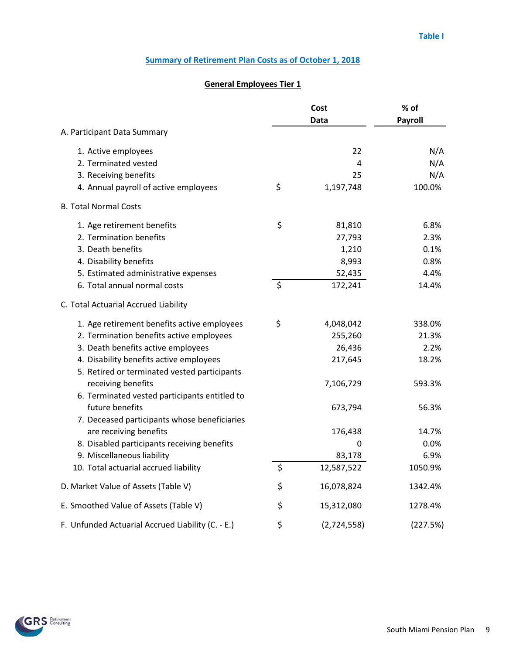|                                                                                         |         | Cost<br>Data | % of<br>Payroll |  |
|-----------------------------------------------------------------------------------------|---------|--------------|-----------------|--|
| A. Participant Data Summary                                                             |         |              |                 |  |
| 1. Active employees                                                                     |         | 22           | N/A             |  |
| 2. Terminated vested                                                                    |         | 4            | N/A             |  |
| 3. Receiving benefits                                                                   |         | 25           | N/A             |  |
| 4. Annual payroll of active employees                                                   | \$      | 1,197,748    | 100.0%          |  |
| <b>B. Total Normal Costs</b>                                                            |         |              |                 |  |
| 1. Age retirement benefits                                                              | \$      | 81,810       | 6.8%            |  |
| 2. Termination benefits                                                                 |         | 27,793       | 2.3%            |  |
| 3. Death benefits                                                                       |         | 1,210        | 0.1%            |  |
| 4. Disability benefits                                                                  |         | 8,993        | 0.8%            |  |
| 5. Estimated administrative expenses                                                    |         | 52,435       | 4.4%            |  |
| 6. Total annual normal costs                                                            | $\zeta$ | 172,241      | 14.4%           |  |
| C. Total Actuarial Accrued Liability                                                    |         |              |                 |  |
| 1. Age retirement benefits active employees                                             | \$      | 4,048,042    | 338.0%          |  |
| 2. Termination benefits active employees                                                |         | 255,260      | 21.3%           |  |
| 3. Death benefits active employees                                                      |         | 26,436       | 2.2%            |  |
| 4. Disability benefits active employees<br>5. Retired or terminated vested participants |         | 217,645      | 18.2%           |  |
| receiving benefits                                                                      |         | 7,106,729    | 593.3%          |  |
| 6. Terminated vested participants entitled to                                           |         |              |                 |  |
| future benefits                                                                         |         | 673,794      | 56.3%           |  |
| 7. Deceased participants whose beneficiaries                                            |         |              |                 |  |
| are receiving benefits                                                                  |         | 176,438      | 14.7%           |  |
| 8. Disabled participants receiving benefits                                             |         | 0            | 0.0%            |  |
| 9. Miscellaneous liability                                                              |         | 83,178       | 6.9%            |  |
| 10. Total actuarial accrued liability                                                   | \$      | 12,587,522   | 1050.9%         |  |
| D. Market Value of Assets (Table V)                                                     | \$      | 16,078,824   | 1342.4%         |  |
| E. Smoothed Value of Assets (Table V)                                                   | \$      | 15,312,080   | 1278.4%         |  |
| F. Unfunded Actuarial Accrued Liability (C. - E.)                                       | \$      | (2,724,558)  | (227.5%)        |  |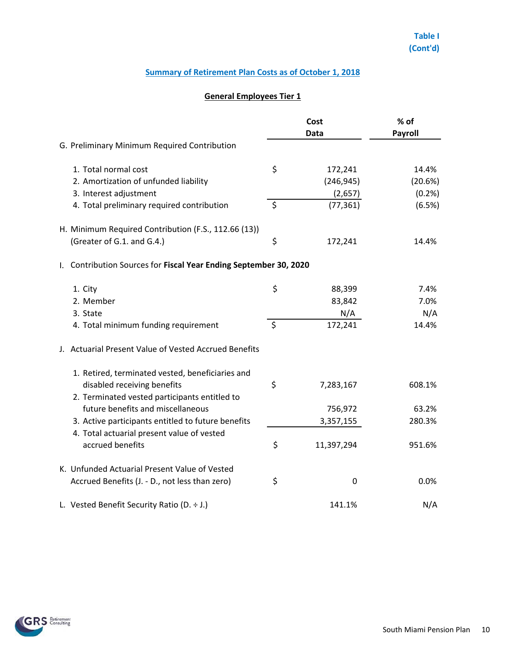|                                                                                    | Cost<br>Data     | % of<br>Payroll |  |
|------------------------------------------------------------------------------------|------------------|-----------------|--|
| G. Preliminary Minimum Required Contribution                                       |                  |                 |  |
| 1. Total normal cost                                                               | \$<br>172,241    | 14.4%           |  |
| 2. Amortization of unfunded liability                                              | (246, 945)       | (20.6%)         |  |
| 3. Interest adjustment                                                             | (2,657)          | (0.2%)          |  |
| 4. Total preliminary required contribution                                         | \$<br>(77, 361)  | (6.5%)          |  |
| H. Minimum Required Contribution (F.S., 112.66 (13))                               |                  |                 |  |
| (Greater of G.1. and G.4.)                                                         | \$<br>172,241    | 14.4%           |  |
| Contribution Sources for Fiscal Year Ending September 30, 2020<br>L.               |                  |                 |  |
| 1. City                                                                            | \$<br>88,399     | 7.4%            |  |
| 2. Member                                                                          | 83,842           | 7.0%            |  |
| 3. State                                                                           | N/A              | N/A             |  |
| 4. Total minimum funding requirement                                               | \$<br>172,241    | 14.4%           |  |
| J. Actuarial Present Value of Vested Accrued Benefits                              |                  |                 |  |
| 1. Retired, terminated vested, beneficiaries and                                   |                  |                 |  |
| disabled receiving benefits                                                        | \$<br>7,283,167  | 608.1%          |  |
| 2. Terminated vested participants entitled to<br>future benefits and miscellaneous | 756,972          | 63.2%           |  |
| 3. Active participants entitled to future benefits                                 | 3,357,155        | 280.3%          |  |
| 4. Total actuarial present value of vested                                         |                  |                 |  |
| accrued benefits                                                                   | \$<br>11,397,294 | 951.6%          |  |
| K. Unfunded Actuarial Present Value of Vested                                      |                  |                 |  |
| Accrued Benefits (J. - D., not less than zero)                                     | \$<br>0          | 0.0%            |  |
| L. Vested Benefit Security Ratio (D. $\div$ J.)                                    | 141.1%           | N/A             |  |

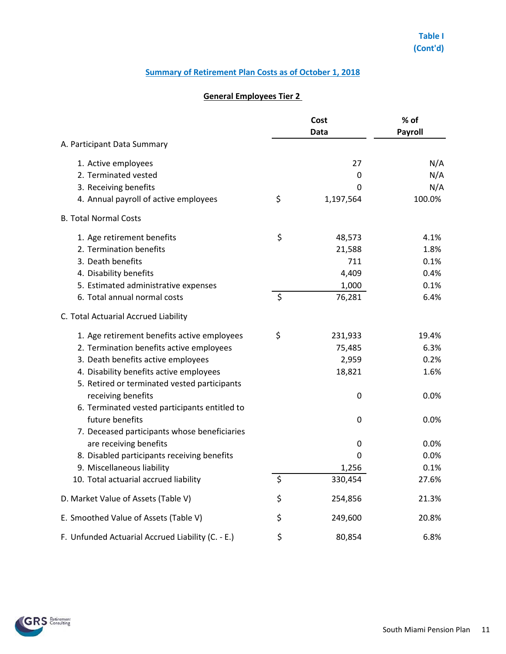|                                                   |         | Cost<br>Data | % of<br>Payroll |  |
|---------------------------------------------------|---------|--------------|-----------------|--|
| A. Participant Data Summary                       |         |              |                 |  |
| 1. Active employees                               |         | 27           | N/A             |  |
| 2. Terminated vested                              |         | 0            | N/A             |  |
| 3. Receiving benefits                             |         | 0            | N/A             |  |
| 4. Annual payroll of active employees             | \$      | 1,197,564    | 100.0%          |  |
| <b>B. Total Normal Costs</b>                      |         |              |                 |  |
| 1. Age retirement benefits                        | \$      | 48,573       | 4.1%            |  |
| 2. Termination benefits                           |         | 21,588       | 1.8%            |  |
| 3. Death benefits                                 |         | 711          | 0.1%            |  |
| 4. Disability benefits                            |         | 4,409        | 0.4%            |  |
| 5. Estimated administrative expenses              |         | 1,000        | 0.1%            |  |
| 6. Total annual normal costs                      | \$      | 76,281       | 6.4%            |  |
| C. Total Actuarial Accrued Liability              |         |              |                 |  |
| 1. Age retirement benefits active employees       | \$      | 231,933      | 19.4%           |  |
| 2. Termination benefits active employees          |         | 75,485       | 6.3%            |  |
| 3. Death benefits active employees                |         | 2,959        | 0.2%            |  |
| 4. Disability benefits active employees           |         | 18,821       | 1.6%            |  |
| 5. Retired or terminated vested participants      |         |              |                 |  |
| receiving benefits                                |         | 0            | 0.0%            |  |
| 6. Terminated vested participants entitled to     |         |              |                 |  |
| future benefits                                   |         | 0            | 0.0%            |  |
| 7. Deceased participants whose beneficiaries      |         |              |                 |  |
| are receiving benefits                            |         | 0            | 0.0%            |  |
| 8. Disabled participants receiving benefits       |         | 0            | 0.0%            |  |
| 9. Miscellaneous liability                        |         | 1,256        | 0.1%            |  |
| 10. Total actuarial accrued liability             | $\zeta$ | 330,454      | 27.6%           |  |
| D. Market Value of Assets (Table V)               | \$      | 254,856      | 21.3%           |  |
| E. Smoothed Value of Assets (Table V)             | \$      | 249,600      | 20.8%           |  |
| F. Unfunded Actuarial Accrued Liability (C. - E.) | \$      | 80,854       | 6.8%            |  |

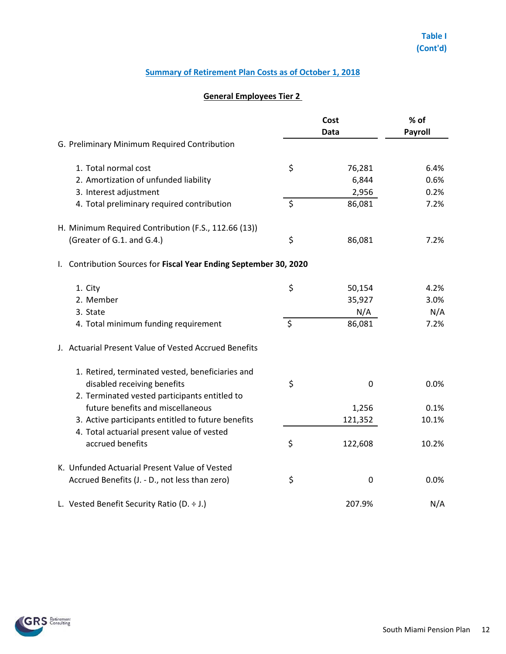|                                                                                    | Cost    |                  | % of           |  |
|------------------------------------------------------------------------------------|---------|------------------|----------------|--|
|                                                                                    |         | <b>Data</b>      | <b>Payroll</b> |  |
| G. Preliminary Minimum Required Contribution                                       |         |                  |                |  |
| 1. Total normal cost                                                               | \$      | 76,281           | 6.4%           |  |
| 2. Amortization of unfunded liability                                              |         | 6,844            | 0.6%           |  |
| 3. Interest adjustment                                                             |         | 2,956            | 0.2%           |  |
| 4. Total preliminary required contribution                                         | \$      | 86,081           | 7.2%           |  |
| H. Minimum Required Contribution (F.S., 112.66 (13))                               |         |                  |                |  |
| (Greater of G.1. and G.4.)                                                         | \$      | 86,081           | 7.2%           |  |
| Contribution Sources for Fiscal Year Ending September 30, 2020<br>I.,              |         |                  |                |  |
| 1. City                                                                            | \$      | 50,154           | 4.2%           |  |
| 2. Member                                                                          |         | 35,927           | 3.0%           |  |
| 3. State                                                                           |         | N/A              | N/A            |  |
| 4. Total minimum funding requirement                                               | $\zeta$ | 86,081           | 7.2%           |  |
| J. Actuarial Present Value of Vested Accrued Benefits                              |         |                  |                |  |
| 1. Retired, terminated vested, beneficiaries and                                   |         |                  |                |  |
| disabled receiving benefits                                                        | \$      | 0                | 0.0%           |  |
| 2. Terminated vested participants entitled to<br>future benefits and miscellaneous |         |                  | 0.1%           |  |
| 3. Active participants entitled to future benefits                                 |         | 1,256<br>121,352 | 10.1%          |  |
| 4. Total actuarial present value of vested                                         |         |                  |                |  |
| accrued benefits                                                                   | \$      | 122,608          | 10.2%          |  |
| K. Unfunded Actuarial Present Value of Vested                                      |         |                  |                |  |
| Accrued Benefits (J. - D., not less than zero)                                     | \$      | 0                | 0.0%           |  |
|                                                                                    |         |                  |                |  |
| L. Vested Benefit Security Ratio (D. $\div$ J.)                                    |         | 207.9%           | N/A            |  |

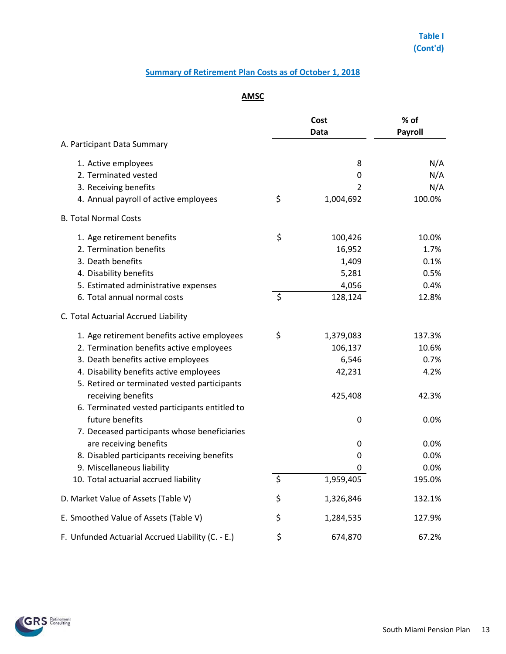# **AMSC**

|                                                                        | Cost<br>Data |           | % of<br>Payroll |  |
|------------------------------------------------------------------------|--------------|-----------|-----------------|--|
| A. Participant Data Summary                                            |              |           |                 |  |
| 1. Active employees                                                    |              | 8         | N/A             |  |
| 2. Terminated vested                                                   |              | 0         | N/A             |  |
| 3. Receiving benefits                                                  |              | 2         | N/A             |  |
| 4. Annual payroll of active employees                                  | \$           | 1,004,692 | 100.0%          |  |
| <b>B. Total Normal Costs</b>                                           |              |           |                 |  |
| 1. Age retirement benefits                                             | \$           | 100,426   | 10.0%           |  |
| 2. Termination benefits                                                |              | 16,952    | 1.7%            |  |
| 3. Death benefits                                                      |              | 1,409     | 0.1%            |  |
| 4. Disability benefits                                                 |              | 5,281     | 0.5%            |  |
| 5. Estimated administrative expenses                                   |              | 4,056     | 0.4%            |  |
| 6. Total annual normal costs                                           | \$           | 128,124   | 12.8%           |  |
| C. Total Actuarial Accrued Liability                                   |              |           |                 |  |
| 1. Age retirement benefits active employees                            | \$           | 1,379,083 | 137.3%          |  |
| 2. Termination benefits active employees                               |              | 106,137   | 10.6%           |  |
| 3. Death benefits active employees                                     |              | 6,546     | 0.7%            |  |
| 4. Disability benefits active employees                                |              | 42,231    | 4.2%            |  |
| 5. Retired or terminated vested participants                           |              |           |                 |  |
| receiving benefits                                                     |              | 425,408   | 42.3%           |  |
| 6. Terminated vested participants entitled to<br>future benefits       |              |           |                 |  |
|                                                                        |              | 0         | 0.0%            |  |
| 7. Deceased participants whose beneficiaries<br>are receiving benefits |              | 0         | 0.0%            |  |
| 8. Disabled participants receiving benefits                            |              | 0         | 0.0%            |  |
| 9. Miscellaneous liability                                             |              | 0         | 0.0%            |  |
| 10. Total actuarial accrued liability                                  | $\zeta$      | 1,959,405 | 195.0%          |  |
| D. Market Value of Assets (Table V)                                    | \$           | 1,326,846 | 132.1%          |  |
| E. Smoothed Value of Assets (Table V)                                  | \$           | 1,284,535 | 127.9%          |  |
|                                                                        | \$           |           | 67.2%           |  |
| F. Unfunded Actuarial Accrued Liability (C. - E.)                      |              | 674,870   |                 |  |

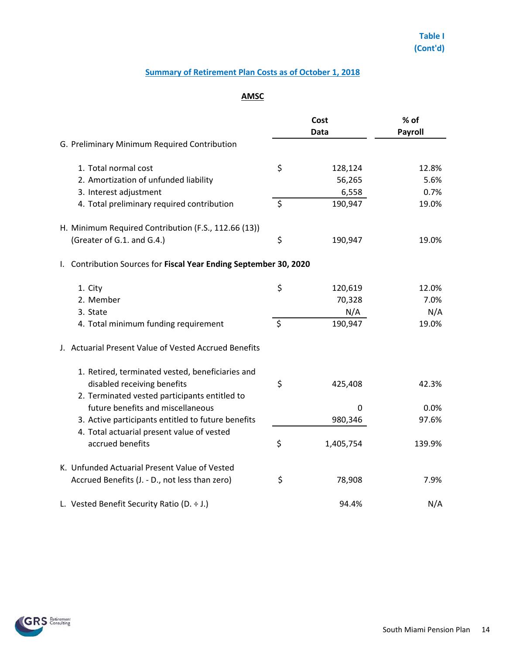# **AMSC**

|                                                                                                  |         | Cost      | % of           |  |
|--------------------------------------------------------------------------------------------------|---------|-----------|----------------|--|
| Data                                                                                             |         |           | <b>Payroll</b> |  |
| G. Preliminary Minimum Required Contribution                                                     |         |           |                |  |
| 1. Total normal cost                                                                             | \$      | 128,124   | 12.8%          |  |
| 2. Amortization of unfunded liability                                                            |         | 56,265    | 5.6%           |  |
| 3. Interest adjustment                                                                           |         | 6,558     | 0.7%           |  |
| 4. Total preliminary required contribution                                                       | \$      | 190,947   | 19.0%          |  |
| H. Minimum Required Contribution (F.S., 112.66 (13))                                             |         |           |                |  |
| (Greater of G.1. and G.4.)                                                                       | \$      | 190,947   | 19.0%          |  |
| Contribution Sources for Fiscal Year Ending September 30, 2020<br>$\mathsf{L}$                   |         |           |                |  |
| 1. City                                                                                          | \$      | 120,619   | 12.0%          |  |
| 2. Member                                                                                        |         | 70,328    | 7.0%           |  |
| 3. State                                                                                         |         | N/A       | N/A            |  |
| 4. Total minimum funding requirement                                                             | $\zeta$ | 190,947   | 19.0%          |  |
| J. Actuarial Present Value of Vested Accrued Benefits                                            |         |           |                |  |
| 1. Retired, terminated vested, beneficiaries and                                                 |         |           |                |  |
| disabled receiving benefits                                                                      | \$      | 425,408   | 42.3%          |  |
| 2. Terminated vested participants entitled to                                                    |         |           |                |  |
| future benefits and miscellaneous                                                                |         | 0         | 0.0%           |  |
| 3. Active participants entitled to future benefits<br>4. Total actuarial present value of vested |         | 980,346   | 97.6%          |  |
| accrued benefits                                                                                 | \$      | 1,405,754 | 139.9%         |  |
| K. Unfunded Actuarial Present Value of Vested                                                    |         |           |                |  |
| Accrued Benefits (J. - D., not less than zero)                                                   | \$      | 78,908    | 7.9%           |  |
| L. Vested Benefit Security Ratio (D. $\div$ J.)                                                  |         | 94.4%     | N/A            |  |

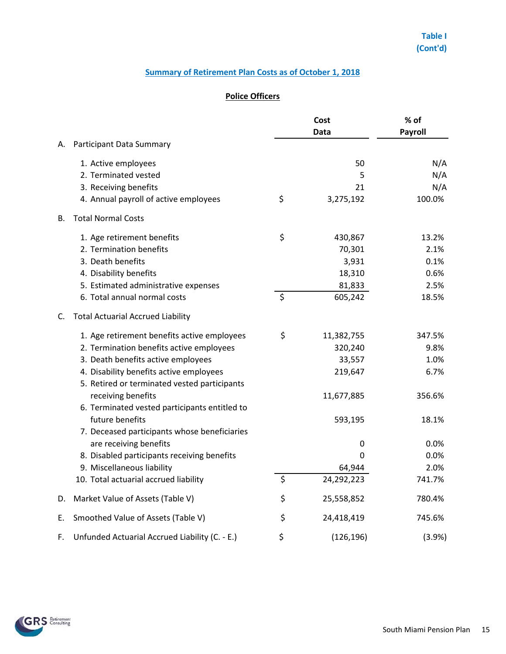## **Police Officers**

|    |                                                                                         |         |            | % of<br>Payroll |  |
|----|-----------------------------------------------------------------------------------------|---------|------------|-----------------|--|
| А. | Participant Data Summary                                                                |         |            |                 |  |
|    | 1. Active employees                                                                     |         | 50         | N/A             |  |
|    | 2. Terminated vested                                                                    |         | 5          | N/A             |  |
|    | 3. Receiving benefits                                                                   |         | 21         | N/A             |  |
|    | 4. Annual payroll of active employees                                                   | \$      | 3,275,192  | 100.0%          |  |
| В. | <b>Total Normal Costs</b>                                                               |         |            |                 |  |
|    | 1. Age retirement benefits                                                              | \$      | 430,867    | 13.2%           |  |
|    | 2. Termination benefits                                                                 |         | 70,301     | 2.1%            |  |
|    | 3. Death benefits                                                                       |         | 3,931      | 0.1%            |  |
|    | 4. Disability benefits                                                                  |         | 18,310     | 0.6%            |  |
|    | 5. Estimated administrative expenses                                                    |         | 81,833     | 2.5%            |  |
|    | 6. Total annual normal costs                                                            | $\zeta$ | 605,242    | 18.5%           |  |
| C. | <b>Total Actuarial Accrued Liability</b>                                                |         |            |                 |  |
|    | 1. Age retirement benefits active employees                                             | \$      | 11,382,755 | 347.5%          |  |
|    | 2. Termination benefits active employees                                                |         | 320,240    | 9.8%            |  |
|    | 3. Death benefits active employees                                                      |         | 33,557     | 1.0%            |  |
|    | 4. Disability benefits active employees<br>5. Retired or terminated vested participants |         | 219,647    | 6.7%            |  |
|    | receiving benefits                                                                      |         | 11,677,885 | 356.6%          |  |
|    | 6. Terminated vested participants entitled to                                           |         |            |                 |  |
|    | future benefits<br>7. Deceased participants whose beneficiaries                         |         | 593,195    | 18.1%           |  |
|    | are receiving benefits                                                                  |         | 0          | $0.0\%$         |  |
|    | 8. Disabled participants receiving benefits                                             |         | 0          | 0.0%            |  |
|    | 9. Miscellaneous liability                                                              |         | 64,944     | 2.0%            |  |
|    | 10. Total actuarial accrued liability                                                   | \$      | 24,292,223 | 741.7%          |  |
| D. | Market Value of Assets (Table V)                                                        | \$      | 25,558,852 | 780.4%          |  |
| Е. | Smoothed Value of Assets (Table V)                                                      | \$      | 24,418,419 | 745.6%          |  |
| F. | Unfunded Actuarial Accrued Liability (C. - E.)                                          | \$      | (126, 196) | (3.9%)          |  |

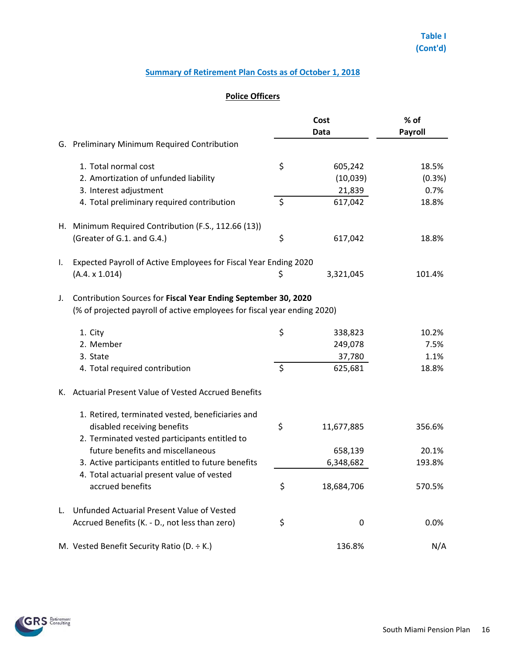## **Police Officers**

|    |                                                                                                  | Cost             | % of    |  |  |
|----|--------------------------------------------------------------------------------------------------|------------------|---------|--|--|
|    | G. Preliminary Minimum Required Contribution                                                     | <b>Data</b>      | Payroll |  |  |
|    |                                                                                                  |                  |         |  |  |
|    | 1. Total normal cost                                                                             | \$<br>605,242    | 18.5%   |  |  |
|    | 2. Amortization of unfunded liability                                                            | (10,039)         | (0.3%)  |  |  |
|    | 3. Interest adjustment                                                                           | 21,839           | 0.7%    |  |  |
|    | 4. Total preliminary required contribution                                                       | \$<br>617,042    | 18.8%   |  |  |
|    | H. Minimum Required Contribution (F.S., 112.66 (13))                                             |                  |         |  |  |
|    | (Greater of G.1. and G.4.)                                                                       | \$<br>617,042    | 18.8%   |  |  |
| Ι. | Expected Payroll of Active Employees for Fiscal Year Ending 2020                                 |                  |         |  |  |
|    | (A.4. x 1.014)                                                                                   | \$<br>3,321,045  | 101.4%  |  |  |
| J. | Contribution Sources for Fiscal Year Ending September 30, 2020                                   |                  |         |  |  |
|    | (% of projected payroll of active employees for fiscal year ending 2020)                         |                  |         |  |  |
|    | 1. City                                                                                          | \$<br>338,823    | 10.2%   |  |  |
|    | 2. Member                                                                                        | 249,078          | 7.5%    |  |  |
|    | 3. State                                                                                         | 37,780           | 1.1%    |  |  |
|    | 4. Total required contribution                                                                   | \$<br>625,681    | 18.8%   |  |  |
| К. | Actuarial Present Value of Vested Accrued Benefits                                               |                  |         |  |  |
|    | 1. Retired, terminated vested, beneficiaries and                                                 |                  |         |  |  |
|    | disabled receiving benefits                                                                      | \$<br>11,677,885 | 356.6%  |  |  |
|    | 2. Terminated vested participants entitled to<br>future benefits and miscellaneous               | 658,139          | 20.1%   |  |  |
|    |                                                                                                  |                  | 193.8%  |  |  |
|    | 3. Active participants entitled to future benefits<br>4. Total actuarial present value of vested | 6,348,682        |         |  |  |
|    | accrued benefits                                                                                 | \$<br>18,684,706 | 570.5%  |  |  |
| L. | Unfunded Actuarial Present Value of Vested                                                       |                  |         |  |  |
|    | Accrued Benefits (K. - D., not less than zero)                                                   | \$<br>0          | 0.0%    |  |  |
|    | M. Vested Benefit Security Ratio (D. ÷ K.)                                                       | 136.8%           | N/A     |  |  |

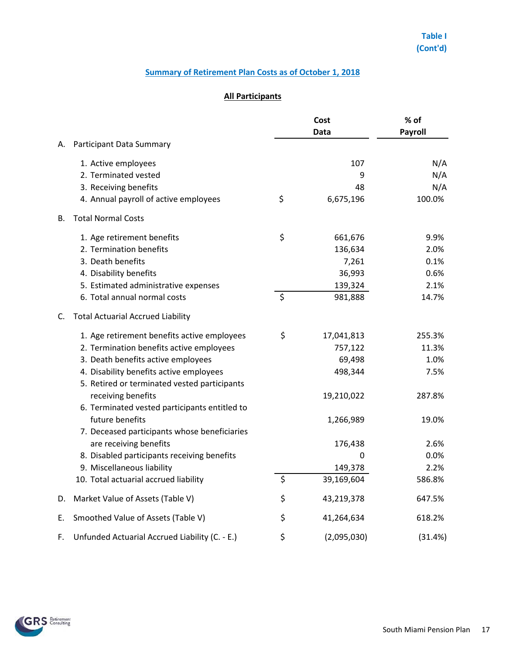## **All Participants**

|    |                                                                                         |         | Cost<br>Data | % of<br>Payroll |  |
|----|-----------------------------------------------------------------------------------------|---------|--------------|-----------------|--|
| А. | Participant Data Summary                                                                |         |              |                 |  |
|    | 1. Active employees                                                                     |         | 107          | N/A             |  |
|    | 2. Terminated vested                                                                    |         | 9            | N/A             |  |
|    | 3. Receiving benefits                                                                   |         | 48           | N/A             |  |
|    | 4. Annual payroll of active employees                                                   | \$      | 6,675,196    | 100.0%          |  |
| В. | <b>Total Normal Costs</b>                                                               |         |              |                 |  |
|    | 1. Age retirement benefits                                                              | \$      | 661,676      | 9.9%            |  |
|    | 2. Termination benefits                                                                 |         | 136,634      | 2.0%            |  |
|    | 3. Death benefits                                                                       |         | 7,261        | 0.1%            |  |
|    | 4. Disability benefits                                                                  |         | 36,993       | 0.6%            |  |
|    | 5. Estimated administrative expenses                                                    |         | 139,324      | 2.1%            |  |
|    | 6. Total annual normal costs                                                            | $\zeta$ | 981,888      | 14.7%           |  |
| C. | <b>Total Actuarial Accrued Liability</b>                                                |         |              |                 |  |
|    | 1. Age retirement benefits active employees                                             | \$      | 17,041,813   | 255.3%          |  |
|    | 2. Termination benefits active employees                                                |         | 757,122      | 11.3%           |  |
|    | 3. Death benefits active employees                                                      |         | 69,498       | 1.0%            |  |
|    | 4. Disability benefits active employees<br>5. Retired or terminated vested participants |         | 498,344      | 7.5%            |  |
|    | receiving benefits                                                                      |         | 19,210,022   | 287.8%          |  |
|    | 6. Terminated vested participants entitled to<br>future benefits                        |         | 1,266,989    | 19.0%           |  |
|    | 7. Deceased participants whose beneficiaries                                            |         |              |                 |  |
|    | are receiving benefits                                                                  |         | 176,438      | 2.6%            |  |
|    | 8. Disabled participants receiving benefits                                             |         | 0            | 0.0%            |  |
|    | 9. Miscellaneous liability                                                              |         | 149,378      | 2.2%            |  |
|    | 10. Total actuarial accrued liability                                                   | \$      | 39,169,604   | 586.8%          |  |
| D. | Market Value of Assets (Table V)                                                        | \$      | 43,219,378   | 647.5%          |  |
| Е. | Smoothed Value of Assets (Table V)                                                      | \$      | 41,264,634   | 618.2%          |  |
| F. | Unfunded Actuarial Accrued Liability (C. - E.)                                          | \$      | (2,095,030)  | (31.4%)         |  |

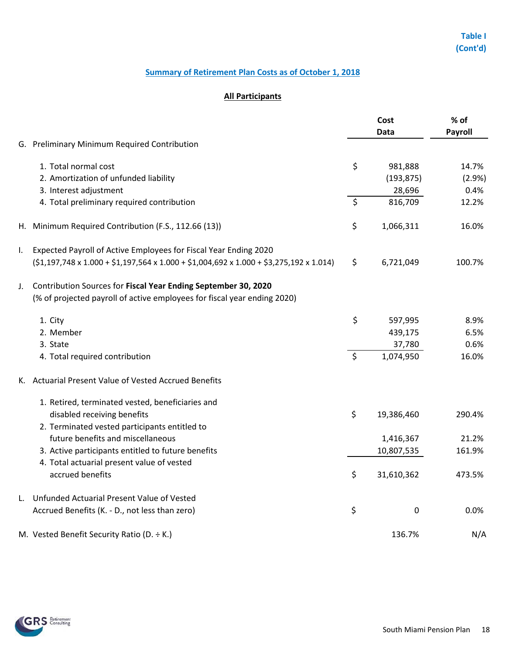# **Table I (Cont'd)**

## **Summary of Retirement Plan Costs as of October 1, 2018**

## **All Participants**

|    |                                                                                                                   | Cost    |             | % of           |  |
|----|-------------------------------------------------------------------------------------------------------------------|---------|-------------|----------------|--|
|    |                                                                                                                   |         | Data        | <b>Payroll</b> |  |
|    | G. Preliminary Minimum Required Contribution                                                                      |         |             |                |  |
|    | 1. Total normal cost                                                                                              | \$      | 981,888     | 14.7%          |  |
|    | 2. Amortization of unfunded liability                                                                             |         | (193, 875)  | (2.9%)         |  |
|    | 3. Interest adjustment                                                                                            |         | 28,696      | 0.4%           |  |
|    | 4. Total preliminary required contribution                                                                        | $\zeta$ | 816,709     | 12.2%          |  |
|    | H. Minimum Required Contribution (F.S., 112.66 (13))                                                              | \$      | 1,066,311   | 16.0%          |  |
| I. | Expected Payroll of Active Employees for Fiscal Year Ending 2020                                                  |         |             |                |  |
|    | $(51, 197, 748 \times 1.000 + 51, 197, 564 \times 1.000 + 51, 004, 692 \times 1.000 + 53, 275, 192 \times 1.014)$ | \$      | 6,721,049   | 100.7%         |  |
| J. | Contribution Sources for Fiscal Year Ending September 30, 2020                                                    |         |             |                |  |
|    | (% of projected payroll of active employees for fiscal year ending 2020)                                          |         |             |                |  |
|    | 1. City                                                                                                           | \$      | 597,995     | 8.9%           |  |
|    | 2. Member                                                                                                         |         | 439,175     | 6.5%           |  |
|    | 3. State                                                                                                          |         | 37,780      | 0.6%           |  |
|    | 4. Total required contribution                                                                                    | \$      | 1,074,950   | 16.0%          |  |
|    | K. Actuarial Present Value of Vested Accrued Benefits                                                             |         |             |                |  |
|    | 1. Retired, terminated vested, beneficiaries and                                                                  |         |             |                |  |
|    | disabled receiving benefits                                                                                       | \$      | 19,386,460  | 290.4%         |  |
|    | 2. Terminated vested participants entitled to                                                                     |         |             |                |  |
|    | future benefits and miscellaneous                                                                                 |         | 1,416,367   | 21.2%          |  |
|    | 3. Active participants entitled to future benefits                                                                |         | 10,807,535  | 161.9%         |  |
|    | 4. Total actuarial present value of vested                                                                        |         |             |                |  |
|    | accrued benefits                                                                                                  | \$      | 31,610,362  | 473.5%         |  |
| L. | Unfunded Actuarial Present Value of Vested                                                                        |         |             |                |  |
|    | Accrued Benefits (K. - D., not less than zero)                                                                    | \$      | $\mathbf 0$ | 0.0%           |  |
|    | M. Vested Benefit Security Ratio (D. $\div$ K.)                                                                   |         | 136.7%      | N/A            |  |

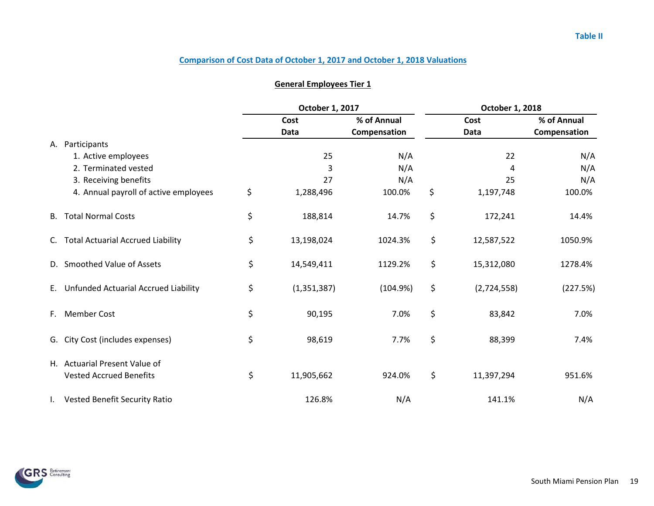|              |                                          | October 1, 2017     |              |      | October 1, 2018 |              |  |
|--------------|------------------------------------------|---------------------|--------------|------|-----------------|--------------|--|
|              |                                          | Cost                | % of Annual  | Cost |                 | % of Annual  |  |
|              |                                          | Data                | Compensation |      | Data            | Compensation |  |
| А.           | Participants                             |                     |              |      |                 |              |  |
|              | 1. Active employees                      | 25                  | N/A          |      | 22              | N/A          |  |
|              | 2. Terminated vested                     | 3                   | N/A          |      | 4               | N/A          |  |
|              | 3. Receiving benefits                    | 27                  | N/A          |      | 25              | N/A          |  |
|              | 4. Annual payroll of active employees    | \$<br>1,288,496     | 100.0%       | \$   | 1,197,748       | 100.0%       |  |
| B.           | <b>Total Normal Costs</b>                | \$<br>188,814       | 14.7%        | \$   | 172,241         | 14.4%        |  |
| C.           | <b>Total Actuarial Accrued Liability</b> | \$<br>13,198,024    | 1024.3%      | \$   | 12,587,522      | 1050.9%      |  |
| D.           | <b>Smoothed Value of Assets</b>          | \$<br>14,549,411    | 1129.2%      | \$   | 15,312,080      | 1278.4%      |  |
| E.           | Unfunded Actuarial Accrued Liability     | \$<br>(1, 351, 387) | (104.9%)     | \$   | (2,724,558)     | (227.5%)     |  |
| F.           | <b>Member Cost</b>                       | \$<br>90,195        | 7.0%         | \$   | 83,842          | 7.0%         |  |
| G.           | City Cost (includes expenses)            | \$<br>98,619        | 7.7%         | \$   | 88,399          | 7.4%         |  |
|              | H. Actuarial Present Value of            |                     |              |      |                 |              |  |
|              | <b>Vested Accrued Benefits</b>           | \$<br>11,905,662    | 924.0%       | \$   | 11,397,294      | 951.6%       |  |
| $\mathbf{L}$ | Vested Benefit Security Ratio            | 126.8%              | N/A          |      | 141.1%          | N/A          |  |

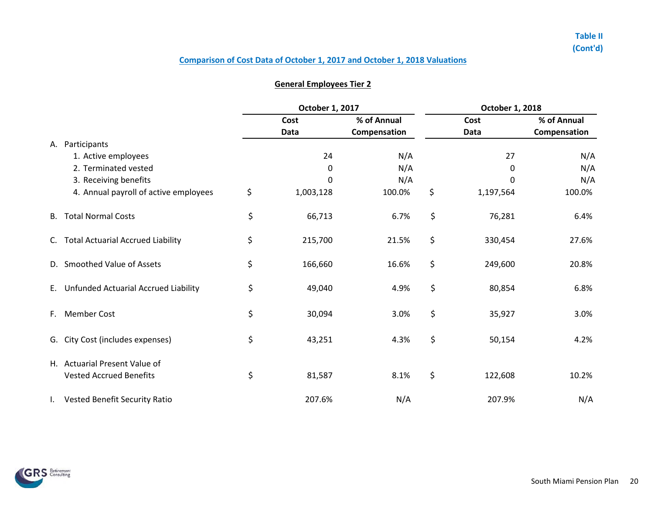|    |                                          | October 1, 2017 |              |    | October 1, 2018 |              |  |  |
|----|------------------------------------------|-----------------|--------------|----|-----------------|--------------|--|--|
|    |                                          | Cost            | % of Annual  |    | Cost            | % of Annual  |  |  |
|    |                                          | Data            | Compensation |    | <b>Data</b>     | Compensation |  |  |
| А. | Participants                             |                 |              |    |                 |              |  |  |
|    | 1. Active employees                      | 24              | N/A          |    | 27              | N/A          |  |  |
|    | 2. Terminated vested                     | $\pmb{0}$       | N/A          |    | 0               | N/A          |  |  |
|    | 3. Receiving benefits                    | 0               | N/A          |    | 0               | N/A          |  |  |
|    | 4. Annual payroll of active employees    | \$<br>1,003,128 | 100.0%       | \$ | 1,197,564       | 100.0%       |  |  |
| В. | <b>Total Normal Costs</b>                | \$<br>66,713    | 6.7%         | \$ | 76,281          | 6.4%         |  |  |
| C. | <b>Total Actuarial Accrued Liability</b> | \$<br>215,700   | 21.5%        | \$ | 330,454         | 27.6%        |  |  |
| D. | <b>Smoothed Value of Assets</b>          | \$<br>166,660   | 16.6%        | \$ | 249,600         | 20.8%        |  |  |
| E. | Unfunded Actuarial Accrued Liability     | \$<br>49,040    | 4.9%         | \$ | 80,854          | 6.8%         |  |  |
| F. | <b>Member Cost</b>                       | \$<br>30,094    | 3.0%         | \$ | 35,927          | 3.0%         |  |  |
| G. | City Cost (includes expenses)            | \$<br>43,251    | 4.3%         | \$ | 50,154          | 4.2%         |  |  |
|    | H. Actuarial Present Value of            |                 |              |    |                 |              |  |  |
|    | <b>Vested Accrued Benefits</b>           | \$<br>81,587    | 8.1%         | \$ | 122,608         | 10.2%        |  |  |
|    | Vested Benefit Security Ratio            | 207.6%          | N/A          |    | 207.9%          | N/A          |  |  |

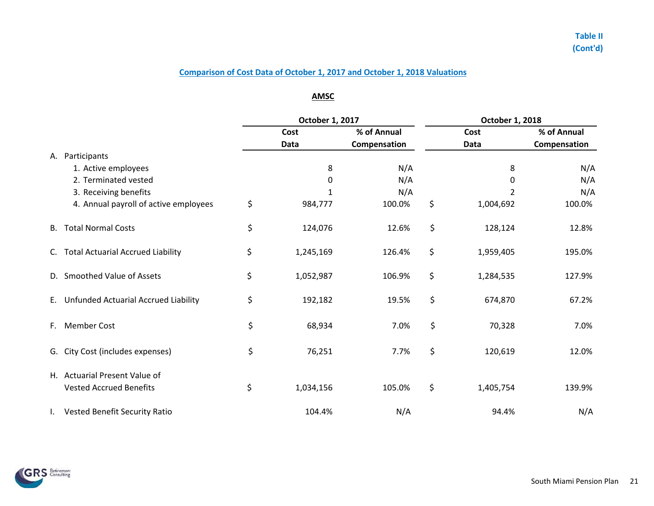## **AMSC**

|              |                                                                 | October 1, 2017 |           |              | October 1, 2018 |              |  |  |  |  |  |
|--------------|-----------------------------------------------------------------|-----------------|-----------|--------------|-----------------|--------------|--|--|--|--|--|
|              |                                                                 |                 | Cost      | % of Annual  | Cost            | % of Annual  |  |  |  |  |  |
|              |                                                                 |                 | Data      | Compensation | Data            | Compensation |  |  |  |  |  |
|              | A. Participants                                                 |                 |           |              |                 |              |  |  |  |  |  |
|              | 1. Active employees                                             |                 | 8         | N/A          | 8               | N/A          |  |  |  |  |  |
|              | 2. Terminated vested                                            |                 | 0         | N/A          | 0               | N/A          |  |  |  |  |  |
|              | 3. Receiving benefits                                           |                 | 1         | N/A          |                 | N/A          |  |  |  |  |  |
|              | 4. Annual payroll of active employees                           | \$              | 984,777   | 100.0%       | \$<br>1,004,692 | 100.0%       |  |  |  |  |  |
| В.           | <b>Total Normal Costs</b>                                       | \$              | 124,076   | 12.6%        | \$<br>128,124   | 12.8%        |  |  |  |  |  |
| C.           | <b>Total Actuarial Accrued Liability</b>                        | \$              | 1,245,169 | 126.4%       | \$<br>1,959,405 | 195.0%       |  |  |  |  |  |
|              | D. Smoothed Value of Assets                                     | \$              | 1,052,987 | 106.9%       | \$<br>1,284,535 | 127.9%       |  |  |  |  |  |
| E.           | Unfunded Actuarial Accrued Liability                            | \$              | 192,182   | 19.5%        | \$<br>674,870   | 67.2%        |  |  |  |  |  |
| F.           | <b>Member Cost</b>                                              | \$              | 68,934    | 7.0%         | \$<br>70,328    | 7.0%         |  |  |  |  |  |
|              | G. City Cost (includes expenses)                                | \$              | 76,251    | 7.7%         | \$<br>120,619   | 12.0%        |  |  |  |  |  |
|              | H. Actuarial Present Value of<br><b>Vested Accrued Benefits</b> | \$              | 1,034,156 | 105.0%       | \$<br>1,405,754 | 139.9%       |  |  |  |  |  |
| $\mathbf{L}$ | <b>Vested Benefit Security Ratio</b>                            |                 | 104.4%    | N/A          | 94.4%           | N/A          |  |  |  |  |  |
|              |                                                                 |                 |           |              |                 |              |  |  |  |  |  |

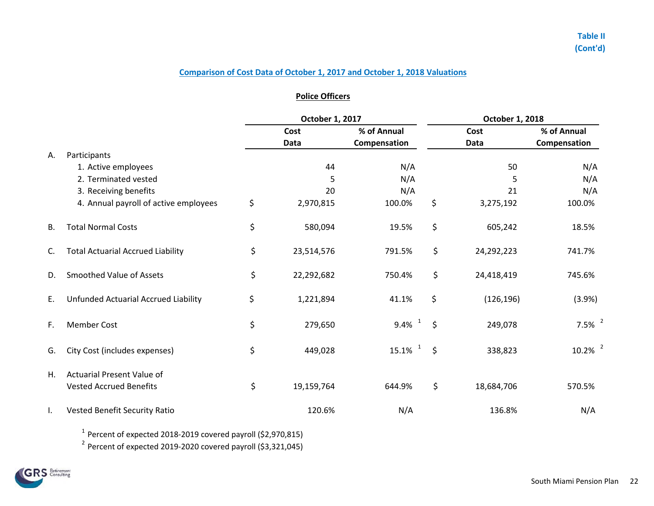### **Police Officers**

|           |                                          | October 1, 2017 |            |                       | October 1, 2018 |            |                       |  |  |  |  |
|-----------|------------------------------------------|-----------------|------------|-----------------------|-----------------|------------|-----------------------|--|--|--|--|
|           |                                          |                 | Cost       | % of Annual           |                 | Cost       | % of Annual           |  |  |  |  |
|           |                                          |                 | Data       | Compensation          |                 | Data       | Compensation          |  |  |  |  |
| Α.        | Participants                             |                 |            |                       |                 |            |                       |  |  |  |  |
|           | 1. Active employees                      |                 | 44         | N/A                   |                 | 50         | N/A                   |  |  |  |  |
|           | 2. Terminated vested                     |                 | 5          | N/A                   |                 | 5          | N/A                   |  |  |  |  |
|           | 3. Receiving benefits                    |                 | 20         | N/A                   |                 | 21         | N/A                   |  |  |  |  |
|           | 4. Annual payroll of active employees    | \$              | 2,970,815  | 100.0%                | \$              | 3,275,192  | 100.0%                |  |  |  |  |
| <b>B.</b> | <b>Total Normal Costs</b>                | \$              | 580,094    | 19.5%                 | \$              | 605,242    | 18.5%                 |  |  |  |  |
| C.        | <b>Total Actuarial Accrued Liability</b> | \$              | 23,514,576 | 791.5%                | \$              | 24,292,223 | 741.7%                |  |  |  |  |
| D.        | <b>Smoothed Value of Assets</b>          | \$              | 22,292,682 | 750.4%                | \$              | 24,418,419 | 745.6%                |  |  |  |  |
| E.        | Unfunded Actuarial Accrued Liability     | \$              | 1,221,894  | 41.1%                 | \$              | (126, 196) | (3.9%)                |  |  |  |  |
| F.        | <b>Member Cost</b>                       | \$              | 279,650    | $9.4\%$ <sup>1</sup>  | \$              | 249,078    | $7.5\%$ <sup>2</sup>  |  |  |  |  |
| G.        | City Cost (includes expenses)            | \$              | 449,028    | $\mathbf{1}$<br>15.1% | $\zeta$         | 338,823    | $10.2\%$ <sup>2</sup> |  |  |  |  |
| Η.        | <b>Actuarial Present Value of</b>        |                 |            |                       |                 |            |                       |  |  |  |  |
|           | <b>Vested Accrued Benefits</b>           | \$              | 19,159,764 | 644.9%                | \$              | 18,684,706 | 570.5%                |  |  |  |  |
| I.        | Vested Benefit Security Ratio            |                 | 120.6%     | N/A                   |                 | 136.8%     | N/A                   |  |  |  |  |

 $^1$  Percent of expected 2018-2019 covered payroll (\$2,970,815)

 $^2$  Percent of expected 2019-2020 covered payroll (\$3,321,045)

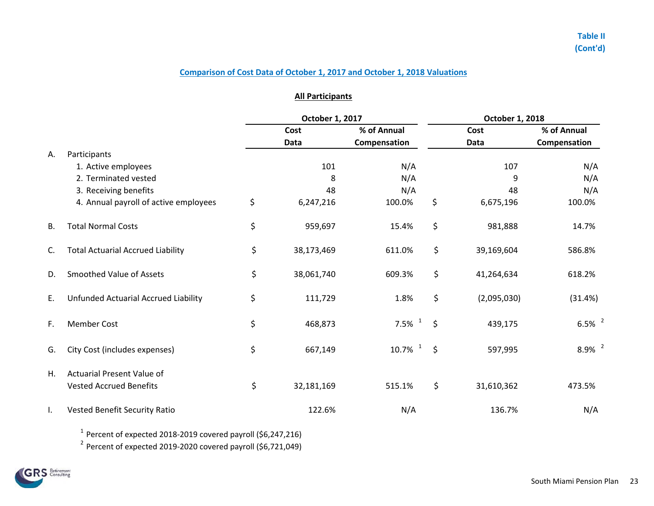### **All Participants**

|    |                                          | October 1, 2017 |            |                       |         | October 1, 2018 |                      |  |  |  |  |  |
|----|------------------------------------------|-----------------|------------|-----------------------|---------|-----------------|----------------------|--|--|--|--|--|
|    |                                          |                 | Cost       | % of Annual           |         | Cost            | % of Annual          |  |  |  |  |  |
|    |                                          |                 | Data       | Compensation          |         | Data            | Compensation         |  |  |  |  |  |
| А. | Participants                             |                 |            |                       |         |                 |                      |  |  |  |  |  |
|    | 1. Active employees                      |                 | 101        | N/A                   |         | 107             | N/A                  |  |  |  |  |  |
|    | 2. Terminated vested                     |                 | 8          | N/A                   |         | 9               | N/A                  |  |  |  |  |  |
|    | 3. Receiving benefits                    |                 | 48         | N/A                   |         | 48              | N/A                  |  |  |  |  |  |
|    | 4. Annual payroll of active employees    | \$              | 6,247,216  | 100.0%                | \$      | 6,675,196       | 100.0%               |  |  |  |  |  |
| В. | <b>Total Normal Costs</b>                | \$              | 959,697    | 15.4%                 | \$      | 981,888         | 14.7%                |  |  |  |  |  |
| C. | <b>Total Actuarial Accrued Liability</b> | \$              | 38,173,469 | 611.0%                | \$      | 39,169,604      | 586.8%               |  |  |  |  |  |
| D. | <b>Smoothed Value of Assets</b>          | \$              | 38,061,740 | 609.3%                | \$      | 41,264,634      | 618.2%               |  |  |  |  |  |
| Ε. | Unfunded Actuarial Accrued Liability     | \$              | 111,729    | 1.8%                  | \$      | (2,095,030)     | (31.4%)              |  |  |  |  |  |
| F. | <b>Member Cost</b>                       | \$              | 468,873    | 7.5% $1$              | $\zeta$ | 439,175         | $6.5\%$ <sup>2</sup> |  |  |  |  |  |
| G. | City Cost (includes expenses)            | \$              | 667,149    | $10.7\%$ <sup>1</sup> | $\zeta$ | 597,995         | $8.9\%$ <sup>2</sup> |  |  |  |  |  |
| Η. | <b>Actuarial Present Value of</b>        |                 |            |                       |         |                 |                      |  |  |  |  |  |
|    | <b>Vested Accrued Benefits</b>           | \$              | 32,181,169 | 515.1%                | \$      | 31,610,362      | 473.5%               |  |  |  |  |  |
| I. | Vested Benefit Security Ratio            |                 | 122.6%     | N/A                   |         | 136.7%          | N/A                  |  |  |  |  |  |

 $^1$  Percent of expected 2018-2019 covered payroll (\$6,247,216)

 $2$  Percent of expected 2019-2020 covered payroll (\$6,721,049)

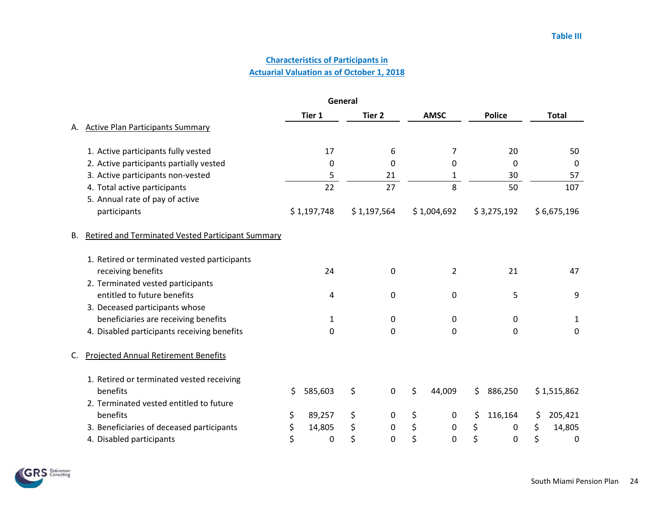## **Actuarial Valuation as of October 1, 2018 Characteristics of Participants in**

|    | General                                                  |    |             |    |                   |    |              |    |               |                        |
|----|----------------------------------------------------------|----|-------------|----|-------------------|----|--------------|----|---------------|------------------------|
|    |                                                          |    | Tier 1      |    | Tier <sub>2</sub> |    | <b>AMSC</b>  |    | <b>Police</b> | <b>Total</b>           |
| А. | <b>Active Plan Participants Summary</b>                  |    |             |    |                   |    |              |    |               |                        |
|    | 1. Active participants fully vested                      |    | 17          |    | 6                 |    | 7            |    | 20            | 50                     |
|    | 2. Active participants partially vested                  |    | 0           |    | 0                 |    | 0            |    | $\Omega$      | $\mathbf 0$            |
|    | 3. Active participants non-vested                        |    | 5           |    | 21                |    | $\mathbf{1}$ |    | 30            | 57                     |
|    | 4. Total active participants                             |    | 22          |    | 27                |    | 8            |    | 50            | 107                    |
|    | 5. Annual rate of pay of active                          |    |             |    |                   |    |              |    |               |                        |
|    | participants                                             |    | \$1,197,748 |    | \$1,197,564       |    | \$1,004,692  |    | \$3,275,192   | \$6,675,196            |
| В. | <b>Retired and Terminated Vested Participant Summary</b> |    |             |    |                   |    |              |    |               |                        |
|    | 1. Retired or terminated vested participants             |    |             |    |                   |    |              |    |               |                        |
|    | receiving benefits                                       |    | 24          |    | $\pmb{0}$         |    | 2            |    | 21            | 47                     |
|    | 2. Terminated vested participants                        |    |             |    |                   |    |              |    |               |                        |
|    | entitled to future benefits                              |    | 4           |    | 0                 |    | 0            |    | 5             | 9                      |
|    | 3. Deceased participants whose                           |    |             |    |                   |    |              |    |               |                        |
|    | beneficiaries are receiving benefits                     |    | 1           |    | $\mathbf 0$       |    | 0            |    | 0             | 1                      |
|    | 4. Disabled participants receiving benefits              |    | 0           |    | 0                 |    | 0            |    | 0             | 0                      |
| C. | <b>Projected Annual Retirement Benefits</b>              |    |             |    |                   |    |              |    |               |                        |
|    | 1. Retired or terminated vested receiving                |    |             |    |                   |    |              |    |               |                        |
|    | benefits                                                 | \$ | 585,603     | \$ | $\mathbf 0$       | \$ | 44,009       | \$ | 886,250       | \$1,515,862            |
|    | 2. Terminated vested entitled to future                  |    |             |    |                   |    |              |    |               |                        |
|    | benefits                                                 | \$ | 89,257      | \$ | 0                 | \$ | 0            | \$ | 116,164       | \$<br>205,421          |
|    | 3. Beneficiaries of deceased participants                | \$ | 14,805      | \$ | $\pmb{0}$         | \$ | $\mathbf 0$  | \$ | 0             | \$<br>14,805           |
|    | 4. Disabled participants                                 | \$ | 0           | \$ | $\boldsymbol{0}$  | \$ | $\mathbf 0$  | \$ | 0             | \$<br>$\boldsymbol{0}$ |

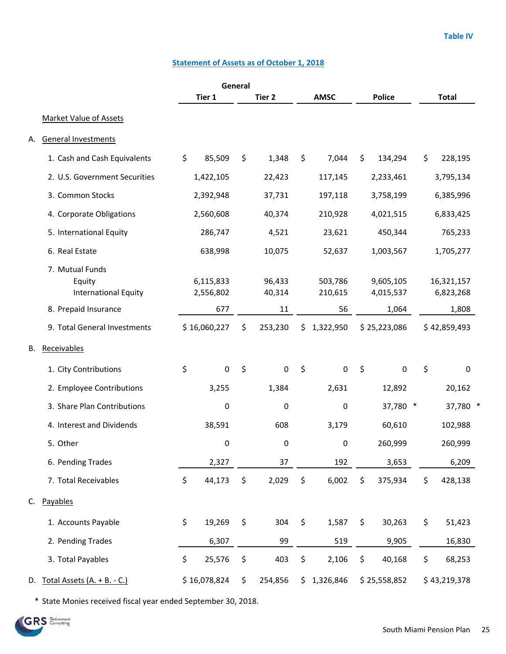## **Statement of Assets as of October 1, 2018**

|    |                                                                                  |                               | General |                        |         |                          |         |                                 |    |                                  |  |
|----|----------------------------------------------------------------------------------|-------------------------------|---------|------------------------|---------|--------------------------|---------|---------------------------------|----|----------------------------------|--|
|    |                                                                                  | Tier 1                        |         | Tier <sub>2</sub>      |         | <b>AMSC</b>              |         | <b>Police</b>                   |    | <b>Total</b>                     |  |
|    | <b>Market Value of Assets</b>                                                    |                               |         |                        |         |                          |         |                                 |    |                                  |  |
| А. | <b>General Investments</b>                                                       |                               |         |                        |         |                          |         |                                 |    |                                  |  |
|    | 1. Cash and Cash Equivalents                                                     | \$<br>85,509                  | \$      | 1,348                  | \$      | 7,044                    | \$      | 134,294                         | \$ | 228,195                          |  |
|    | 2. U.S. Government Securities                                                    | 1,422,105                     |         | 22,423                 |         | 117,145                  |         | 2,233,461                       |    | 3,795,134                        |  |
|    | 3. Common Stocks                                                                 | 2,392,948                     |         | 37,731                 |         | 197,118                  |         | 3,758,199                       |    | 6,385,996                        |  |
|    | 4. Corporate Obligations                                                         | 2,560,608                     |         | 40,374                 |         | 210,928                  |         | 4,021,515                       |    | 6,833,425                        |  |
|    | 5. International Equity                                                          | 286,747                       |         | 4,521                  |         | 23,621                   |         | 450,344                         |    | 765,233                          |  |
|    | 6. Real Estate                                                                   | 638,998                       |         | 10,075                 |         | 52,637                   |         | 1,003,567                       |    | 1,705,277                        |  |
|    | 7. Mutual Funds<br>Equity<br><b>International Equity</b><br>8. Prepaid Insurance | 6,115,833<br>2,556,802<br>677 |         | 96,433<br>40,314<br>11 |         | 503,786<br>210,615<br>56 |         | 9,605,105<br>4,015,537<br>1,064 |    | 16,321,157<br>6,823,268<br>1,808 |  |
|    | 9. Total General Investments                                                     | \$16,060,227                  | \$      | 253,230                | \$      | 1,322,950                |         | \$25,223,086                    |    | \$42,859,493                     |  |
| В. | Receivables                                                                      |                               |         |                        |         |                          |         |                                 |    |                                  |  |
|    | 1. City Contributions                                                            | \$<br>$\mathbf 0$             | $\zeta$ | $\mathbf 0$            | $\zeta$ | $\mathbf 0$              | $\zeta$ | $\boldsymbol{0}$                | \$ | 0                                |  |
|    | 2. Employee Contributions                                                        | 3,255                         |         | 1,384                  |         | 2,631                    |         | 12,892                          |    | 20,162                           |  |
|    | 3. Share Plan Contributions                                                      | 0                             |         | 0                      |         | 0                        |         | 37,780 *                        |    | 37,780 *                         |  |
|    | 4. Interest and Dividends                                                        | 38,591                        |         | 608                    |         | 3,179                    |         | 60,610                          |    | 102,988                          |  |
|    | 5. Other                                                                         | 0                             |         | 0                      |         | $\pmb{0}$                |         | 260,999                         |    | 260,999                          |  |
|    | 6. Pending Trades                                                                | 2,327                         |         | 37                     |         | 192                      |         | 3,653                           |    | 6,209                            |  |
|    | 7. Total Receivables                                                             | \$<br>44,173                  | \$      | 2,029                  | \$      | 6,002                    | \$      | 375,934                         | \$ | 428,138                          |  |
| С. | Payables                                                                         |                               |         |                        |         |                          |         |                                 |    |                                  |  |
|    | 1. Accounts Payable                                                              | \$<br>19,269                  | \$      | 304                    | \$      | 1,587                    | \$      | 30,263                          | \$ | 51,423                           |  |
|    | 2. Pending Trades                                                                | 6,307                         |         | 99                     |         | 519                      |         | 9,905                           |    | 16,830                           |  |
|    | 3. Total Payables                                                                | \$<br>25,576                  | \$      | 403                    | \$      | 2,106                    | \$      | 40,168                          | \$ | 68,253                           |  |
|    | D. Total Assets (A. + B. - C.)                                                   | \$16,078,824                  | \$      | 254,856                | \$      | 1,326,846                |         | \$25,558,852                    |    | \$43,219,378                     |  |

\* State Monies received fiscal year ended September 30, 2018.

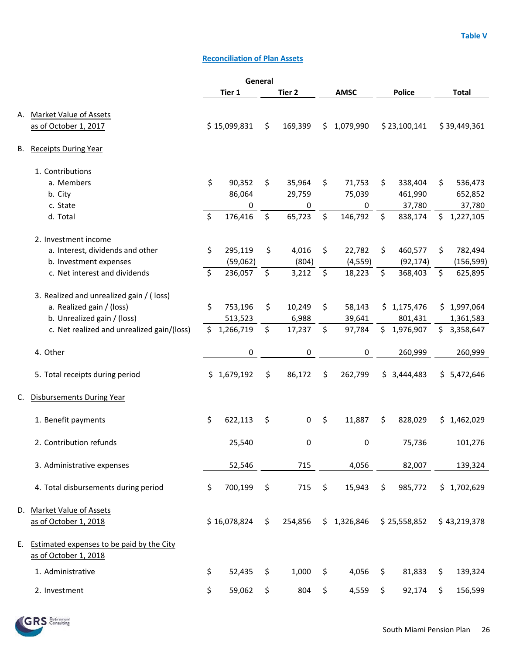# **Reconciliation of Plan Assets**

| General |                                            |         |              |         |         |         |             |         |               |     |              |
|---------|--------------------------------------------|---------|--------------|---------|---------|---------|-------------|---------|---------------|-----|--------------|
|         |                                            |         | Tier 1       |         | Tier 2  |         | <b>AMSC</b> |         | <b>Police</b> |     | <b>Total</b> |
| А.      | <b>Market Value of Assets</b>              |         |              |         |         |         |             |         |               |     |              |
|         | as of October 1, 2017                      |         | \$15,099,831 | $\zeta$ | 169,399 | \$.     | 1,079,990   |         | \$23,100,141  |     | \$39,449,361 |
|         |                                            |         |              |         |         |         |             |         |               |     |              |
| В.      | <b>Receipts During Year</b>                |         |              |         |         |         |             |         |               |     |              |
|         | 1. Contributions                           |         |              |         |         |         |             |         |               |     |              |
|         | a. Members                                 | \$      | 90,352       | \$      | 35,964  | \$      | 71,753      | \$      | 338,404       | \$  | 536,473      |
|         | b. City                                    |         | 86,064       |         | 29,759  |         | 75,039      |         | 461,990       |     | 652,852      |
|         | c. State                                   |         | 0            |         | 0       |         | 0           |         | 37,780        |     | 37,780       |
|         | d. Total                                   | $\zeta$ | 176,416      | $\zeta$ | 65,723  | $\zeta$ | 146,792     | $\zeta$ | 838,174       | \$  | 1,227,105    |
|         | 2. Investment income                       |         |              |         |         |         |             |         |               |     |              |
|         | a. Interest, dividends and other           | \$      | 295,119      | \$      | 4,016   | \$      | 22,782      | \$      | 460,577       | \$  | 782,494      |
|         | b. Investment expenses                     |         | (59,062)     |         | (804)   |         | (4, 559)    |         | (92, 174)     |     | (156, 599)   |
|         | c. Net interest and dividends              | $\zeta$ | 236,057      | $\zeta$ | 3,212   | \$      | 18,223      | \$      | 368,403       | \$  | 625,895      |
|         | 3. Realized and unrealized gain / (loss)   |         |              |         |         |         |             |         |               |     |              |
|         | a. Realized gain / (loss)                  | \$      | 753,196      | \$      | 10,249  | \$      | 58,143      |         | \$1,175,476   |     | \$1,997,064  |
|         | b. Unrealized gain / (loss)                |         | 513,523      |         | 6,988   |         | 39,641      |         | 801,431       |     | 1,361,583    |
|         | c. Net realized and unrealized gain/(loss) | \$      | 1,266,719    | \$      | 17,237  | \$      | 97,784      | \$      | 1,976,907     | \$. | 3,358,647    |
|         | 4. Other                                   |         | 0            |         | 0       |         | 0           |         | 260,999       |     | 260,999      |
|         |                                            |         |              |         |         |         |             |         |               |     |              |
|         | 5. Total receipts during period            |         | \$1,679,192  | \$      | 86,172  | \$      | 262,799     | \$.     | 3,444,483     |     | \$5,472,646  |
| C.      | <b>Disbursements During Year</b>           |         |              |         |         |         |             |         |               |     |              |
|         | 1. Benefit payments                        | \$      | 622,113      | \$      | 0       | \$      | 11,887      | \$      | 828,029       |     | \$1,462,029  |
|         | 2. Contribution refunds                    |         | 25,540       |         | 0       |         | $\mathbf 0$ |         | 75,736        |     | 101,276      |
|         |                                            |         |              |         |         |         |             |         |               |     |              |
|         | 3. Administrative expenses                 |         | 52,546       |         | 715     |         | 4,056       |         | 82,007        |     | 139,324      |
|         | 4. Total disbursements during period       | \$      | 700,199      | \$      | 715     | \$      | 15,943      | \$      | 985,772       |     | \$1,702,629  |
|         | D. Market Value of Assets                  |         |              |         |         |         |             |         |               |     |              |
|         | as of October 1, 2018                      |         | \$16,078,824 | $\zeta$ | 254,856 |         | \$1,326,846 |         | \$25,558,852  |     | \$43,219,378 |
| E.      | Estimated expenses to be paid by the City  |         |              |         |         |         |             |         |               |     |              |
|         | as of October 1, 2018                      |         |              |         |         |         |             |         |               |     |              |
|         | 1. Administrative                          | \$      | 52,435       | \$      | 1,000   | \$      | 4,056       | \$      | 81,833        | \$  | 139,324      |
|         | 2. Investment                              | \$      | 59,062       | \$      | 804     | \$      | 4,559       | \$      | 92,174        | \$  | 156,599      |

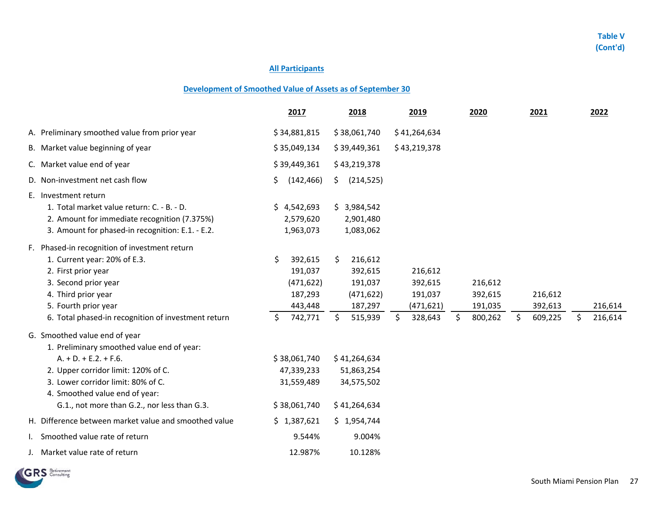### **All Participants**

### **Development of Smoothed Value of Assets as of September 30**

|                                                                                                                                                                                                                                                                       | 2017                                                                          | 2018                                                                                    | 2019                                                         | 2020                                           | 2021                                | 2022                     |
|-----------------------------------------------------------------------------------------------------------------------------------------------------------------------------------------------------------------------------------------------------------------------|-------------------------------------------------------------------------------|-----------------------------------------------------------------------------------------|--------------------------------------------------------------|------------------------------------------------|-------------------------------------|--------------------------|
| A. Preliminary smoothed value from prior year                                                                                                                                                                                                                         | \$34,881,815                                                                  | \$38,061,740                                                                            | \$41,264,634                                                 |                                                |                                     |                          |
| B. Market value beginning of year                                                                                                                                                                                                                                     | \$35,049,134                                                                  | \$39,449,361                                                                            | \$43,219,378                                                 |                                                |                                     |                          |
| C. Market value end of year                                                                                                                                                                                                                                           | \$39,449,361                                                                  | \$43,219,378                                                                            |                                                              |                                                |                                     |                          |
| D. Non-investment net cash flow                                                                                                                                                                                                                                       | (142, 466)<br>\$.                                                             | (214, 525)<br>S.                                                                        |                                                              |                                                |                                     |                          |
| E. Investment return<br>1. Total market value return: C. - B. - D.<br>2. Amount for immediate recognition (7.375%)<br>3. Amount for phased-in recognition: E.1. - E.2.                                                                                                | \$4,542,693<br>2,579,620<br>1,963,073                                         | \$3,984,542<br>2,901,480<br>1,083,062                                                   |                                                              |                                                |                                     |                          |
| F. Phased-in recognition of investment return<br>1. Current year: 20% of E.3.<br>2. First prior year<br>3. Second prior year<br>4. Third prior year<br>5. Fourth prior year<br>6. Total phased-in recognition of investment return                                    | \$<br>392,615<br>191,037<br>(471, 622)<br>187,293<br>443,448<br>Ś.<br>742,771 | \$<br>216,612<br>392,615<br>191,037<br>(471, 622)<br>187,297<br>$\mathsf{S}$<br>515,939 | 216,612<br>392,615<br>191,037<br>(471, 621)<br>\$<br>328,643 | 216,612<br>392,615<br>191,035<br>\$<br>800,262 | 216,612<br>392,613<br>\$<br>609,225 | 216,614<br>Ś.<br>216,614 |
| G. Smoothed value end of year<br>1. Preliminary smoothed value end of year:<br>$A. + D. + E.2. + F.6.$<br>2. Upper corridor limit: 120% of C.<br>3. Lower corridor limit: 80% of C.<br>4. Smoothed value end of year:<br>G.1., not more than G.2., nor less than G.3. | \$38,061,740<br>47,339,233<br>31,559,489<br>\$38,061,740                      | \$41,264,634<br>51,863,254<br>34,575,502<br>\$41,264,634                                |                                                              |                                                |                                     |                          |
| H. Difference between market value and smoothed value                                                                                                                                                                                                                 | \$1,387,621                                                                   | \$1,954,744                                                                             |                                                              |                                                |                                     |                          |
| I. Smoothed value rate of return                                                                                                                                                                                                                                      | 9.544%                                                                        | 9.004%                                                                                  |                                                              |                                                |                                     |                          |
| J. Market value rate of return                                                                                                                                                                                                                                        | 12.987%                                                                       | 10.128%                                                                                 |                                                              |                                                |                                     |                          |

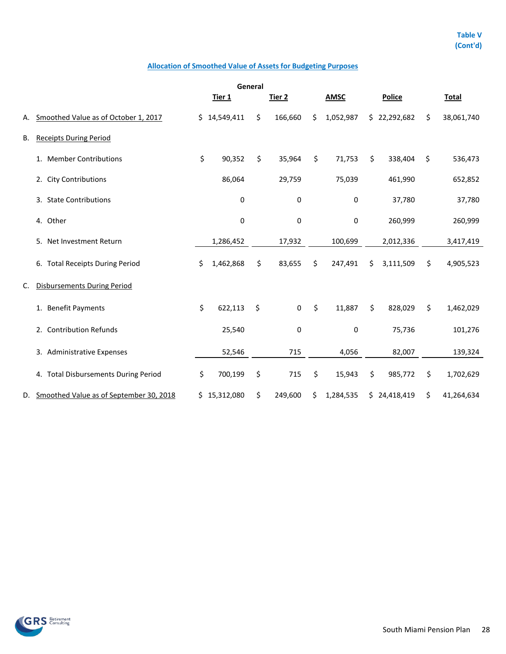## **Allocation of Smoothed Value of Assets for Budgeting Purposes**

| General |                                         |    |              |    |             |    |             |                 |                  |
|---------|-----------------------------------------|----|--------------|----|-------------|----|-------------|-----------------|------------------|
|         |                                         |    | Tier 1       |    | Tier 2      |    | <b>AMSC</b> | <b>Police</b>   | <b>Total</b>     |
| Α.      | Smoothed Value as of October 1, 2017    |    | \$14,549,411 | \$ | 166,660     | \$ | 1,052,987   | \$22,292,682    | \$<br>38,061,740 |
| В.      | <b>Receipts During Period</b>           |    |              |    |             |    |             |                 |                  |
|         | 1. Member Contributions                 | \$ | 90,352       | \$ | 35,964      | \$ | 71,753      | \$<br>338,404   | \$<br>536,473    |
|         | 2. City Contributions                   |    | 86,064       |    | 29,759      |    | 75,039      | 461,990         | 652,852          |
|         | 3. State Contributions                  |    | $\pmb{0}$    |    | 0           |    | 0           | 37,780          | 37,780           |
|         | 4. Other                                |    | 0            |    | $\pmb{0}$   |    | $\pmb{0}$   | 260,999         | 260,999          |
|         | 5. Net Investment Return                |    | 1,286,452    |    | 17,932      |    | 100,699     | 2,012,336       | 3,417,419        |
|         | 6. Total Receipts During Period         | \$ | 1,462,868    | \$ | 83,655      | \$ | 247,491     | \$<br>3,111,509 | \$<br>4,905,523  |
| C.      | <b>Disbursements During Period</b>      |    |              |    |             |    |             |                 |                  |
|         | 1. Benefit Payments                     | \$ | 622,113      | \$ | $\mathbf 0$ | \$ | 11,887      | \$<br>828,029   | \$<br>1,462,029  |
|         | 2. Contribution Refunds                 |    | 25,540       |    | 0           |    | 0           | 75,736          | 101,276          |
|         | 3. Administrative Expenses              |    | 52,546       |    | 715         |    | 4,056       | 82,007          | 139,324          |
|         | 4. Total Disbursements During Period    | \$ | 700,199      | \$ | 715         | \$ | 15,943      | \$<br>985,772   | \$<br>1,702,629  |
| D.      | Smoothed Value as of September 30, 2018 |    | \$15,312,080 | \$ | 249,600     | \$ | 1,284,535   | \$24,418,419    | \$<br>41,264,634 |

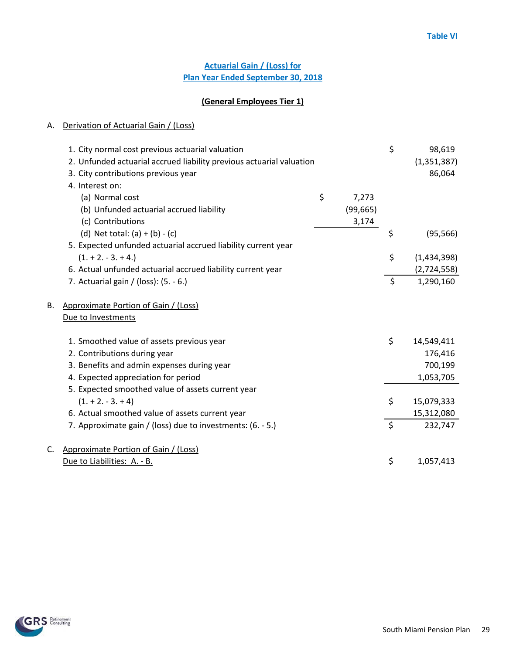## **Actuarial Gain / (Loss) for Plan Year Ended September 30, 2018**

# **(General Employees Tier 1)**

|    | 1. City normal cost previous actuarial valuation                     |             | \$      | 98,619        |
|----|----------------------------------------------------------------------|-------------|---------|---------------|
|    | 2. Unfunded actuarial accrued liability previous actuarial valuation |             |         | (1, 351, 387) |
|    | 3. City contributions previous year                                  |             |         | 86,064        |
|    | 4. Interest on:                                                      |             |         |               |
|    | (a) Normal cost                                                      | \$<br>7,273 |         |               |
|    | (b) Unfunded actuarial accrued liability                             | (99, 665)   |         |               |
|    | (c) Contributions                                                    | 3,174       |         |               |
|    | (d) Net total: $(a) + (b) - (c)$                                     |             | \$      | (95, 566)     |
|    | 5. Expected unfunded actuarial accrued liability current year        |             |         |               |
|    | $(1. + 2. - 3. + 4.)$                                                |             | \$      | (1,434,398)   |
|    | 6. Actual unfunded actuarial accrued liability current year          |             |         | (2,724,558)   |
|    | 7. Actuarial gain / (loss): (5. - 6.)                                |             | $\zeta$ | 1,290,160     |
| В. | Approximate Portion of Gain / (Loss)                                 |             |         |               |
|    | Due to Investments                                                   |             |         |               |
|    | 1. Smoothed value of assets previous year                            |             | \$      | 14,549,411    |
|    | 2. Contributions during year                                         |             |         | 176,416       |
|    | 3. Benefits and admin expenses during year                           |             |         | 700,199       |
|    | 4. Expected appreciation for period                                  |             |         | 1,053,705     |
|    | 5. Expected smoothed value of assets current year                    |             |         |               |
|    | $(1. + 2. - 3. + 4)$                                                 |             | \$      | 15,079,333    |
|    | 6. Actual smoothed value of assets current year                      |             |         | 15,312,080    |
|    | 7. Approximate gain / (loss) due to investments: (6. - 5.)           |             | $\zeta$ | 232,747       |
| C. | Approximate Portion of Gain / (Loss)                                 |             |         |               |
|    | Due to Liabilities: A. - B.                                          |             | \$      | 1,057,413     |

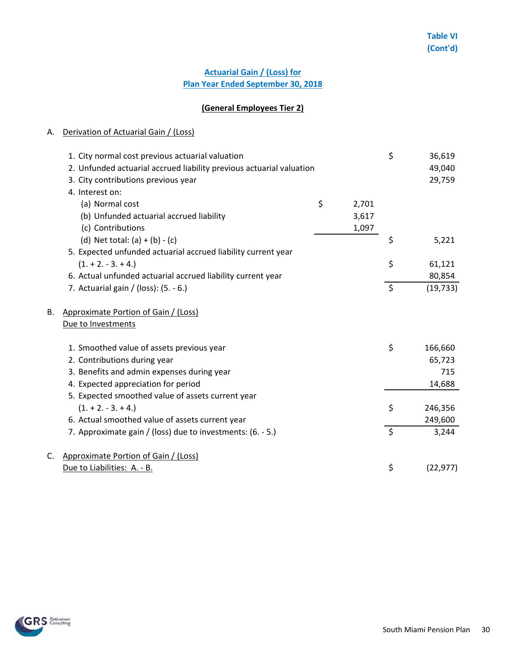## **Actuarial Gain / (Loss) for Plan Year Ended September 30, 2018**

## **(General Employees Tier 2)**

|    | 1. City normal cost previous actuarial valuation<br>2. Unfunded actuarial accrued liability previous actuarial valuation<br>3. City contributions previous year<br>4. Interest on: |             | \$      | 36,619<br>49,040<br>29,759 |
|----|------------------------------------------------------------------------------------------------------------------------------------------------------------------------------------|-------------|---------|----------------------------|
|    | (a) Normal cost                                                                                                                                                                    | \$<br>2,701 |         |                            |
|    | (b) Unfunded actuarial accrued liability                                                                                                                                           | 3,617       |         |                            |
|    | (c) Contributions                                                                                                                                                                  | 1,097       |         |                            |
|    | (d) Net total: $(a) + (b) - (c)$                                                                                                                                                   |             | \$      | 5,221                      |
|    | 5. Expected unfunded actuarial accrued liability current year                                                                                                                      |             |         |                            |
|    | $(1. + 2. - 3. + 4.)$                                                                                                                                                              |             | \$      | 61,121                     |
|    | 6. Actual unfunded actuarial accrued liability current year                                                                                                                        |             |         | 80,854                     |
|    | 7. Actuarial gain / (loss): $(5. - 6.)$                                                                                                                                            |             | $\zeta$ | (19, 733)                  |
| В. | Approximate Portion of Gain / (Loss)                                                                                                                                               |             |         |                            |
|    | Due to Investments                                                                                                                                                                 |             |         |                            |
|    | 1. Smoothed value of assets previous year                                                                                                                                          |             | \$      | 166,660                    |
|    | 2. Contributions during year                                                                                                                                                       |             |         | 65,723                     |
|    | 3. Benefits and admin expenses during year                                                                                                                                         |             |         | 715                        |
|    | 4. Expected appreciation for period                                                                                                                                                |             |         | 14,688                     |
|    | 5. Expected smoothed value of assets current year                                                                                                                                  |             |         |                            |
|    | $(1. + 2. - 3. + 4.)$                                                                                                                                                              |             | \$      | 246,356                    |
|    | 6. Actual smoothed value of assets current year                                                                                                                                    |             |         | 249,600                    |
|    | 7. Approximate gain / (loss) due to investments: (6. - 5.)                                                                                                                         |             | $\zeta$ | 3,244                      |
| C. | Approximate Portion of Gain / (Loss)                                                                                                                                               |             |         |                            |
|    | Due to Liabilities: A. - B.                                                                                                                                                        |             | \$      | (22, 977)                  |
|    |                                                                                                                                                                                    |             |         |                            |

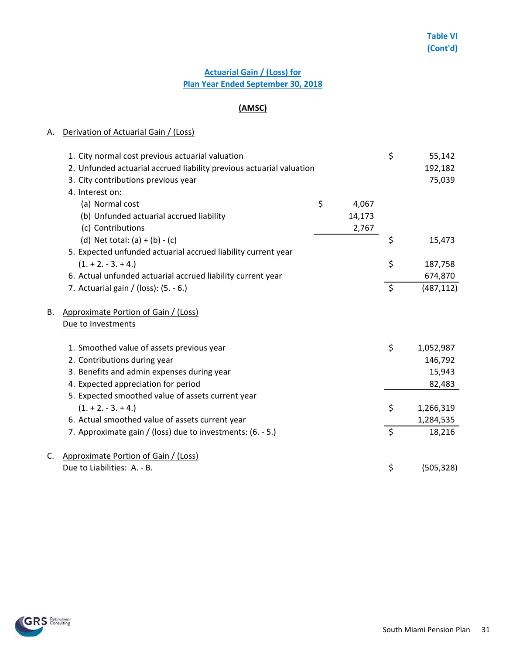# **Actuarial Gain / (Loss) for Plan Year Ended September 30, 2018**

# **(AMSC)**

|    | 1. City normal cost previous actuarial valuation<br>2. Unfunded actuarial accrued liability previous actuarial valuation<br>3. City contributions previous year |             | \$      | 55,142<br>192,182<br>75,039 |
|----|-----------------------------------------------------------------------------------------------------------------------------------------------------------------|-------------|---------|-----------------------------|
|    | 4. Interest on:                                                                                                                                                 |             |         |                             |
|    | (a) Normal cost                                                                                                                                                 | \$<br>4,067 |         |                             |
|    | (b) Unfunded actuarial accrued liability                                                                                                                        | 14,173      |         |                             |
|    | (c) Contributions                                                                                                                                               | 2,767       |         |                             |
|    | (d) Net total: $(a) + (b) - (c)$                                                                                                                                |             | \$      | 15,473                      |
|    | 5. Expected unfunded actuarial accrued liability current year                                                                                                   |             |         |                             |
|    | $(1. + 2. - 3. + 4.)$                                                                                                                                           |             | \$      | 187,758                     |
|    | 6. Actual unfunded actuarial accrued liability current year                                                                                                     |             |         | 674,870                     |
|    | 7. Actuarial gain / (loss): (5. - 6.)                                                                                                                           |             | $\zeta$ | (487, 112)                  |
| В. | Approximate Portion of Gain / (Loss)                                                                                                                            |             |         |                             |
|    | Due to Investments                                                                                                                                              |             |         |                             |
|    | 1. Smoothed value of assets previous year                                                                                                                       |             | \$      | 1,052,987                   |
|    | 2. Contributions during year                                                                                                                                    |             |         | 146,792                     |
|    | 3. Benefits and admin expenses during year                                                                                                                      |             |         | 15,943                      |
|    | 4. Expected appreciation for period                                                                                                                             |             |         | 82,483                      |
|    | 5. Expected smoothed value of assets current year                                                                                                               |             |         |                             |
|    | $(1. + 2. - 3. + 4.)$                                                                                                                                           |             | \$      | 1,266,319                   |
|    | 6. Actual smoothed value of assets current year                                                                                                                 |             |         | 1,284,535                   |
|    | 7. Approximate gain / (loss) due to investments: (6. - 5.)                                                                                                      |             | $\zeta$ | 18,216                      |
| C. | Approximate Portion of Gain / (Loss)                                                                                                                            |             |         |                             |
|    | Due to Liabilities: A. - B.                                                                                                                                     |             | \$      | (505, 328)                  |
|    |                                                                                                                                                                 |             |         |                             |

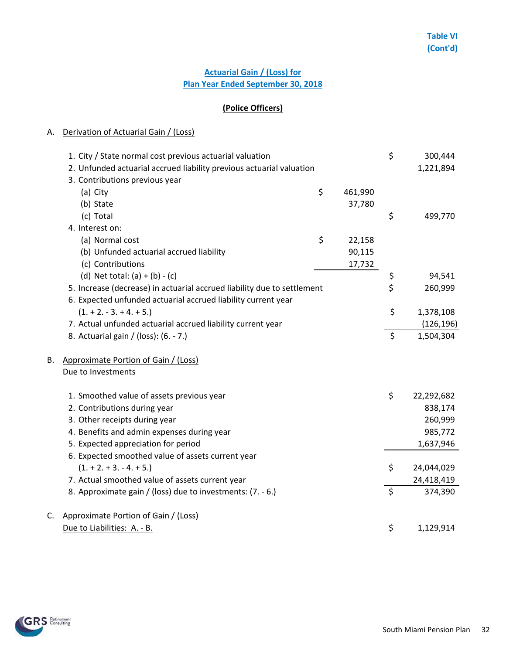# **Plan Year Ended September 30, 2018 Actuarial Gain / (Loss) for**

## **(Police Officers)**

|    | 1. City / State normal cost previous actuarial valuation                |               | \$      | 300,444    |
|----|-------------------------------------------------------------------------|---------------|---------|------------|
|    | 2. Unfunded actuarial accrued liability previous actuarial valuation    |               |         | 1,221,894  |
|    | 3. Contributions previous year                                          |               |         |            |
|    | (a) City                                                                | \$<br>461,990 |         |            |
|    | (b) State                                                               | 37,780        |         |            |
|    | (c) Total                                                               |               | \$      | 499,770    |
|    | 4. Interest on:                                                         |               |         |            |
|    | (a) Normal cost                                                         | \$<br>22,158  |         |            |
|    | (b) Unfunded actuarial accrued liability                                | 90,115        |         |            |
|    | (c) Contributions                                                       | 17,732        |         |            |
|    | (d) Net total: $(a) + (b) - (c)$                                        |               | \$      | 94,541     |
|    | 5. Increase (decrease) in actuarial accrued liability due to settlement |               | \$      | 260,999    |
|    | 6. Expected unfunded actuarial accrued liability current year           |               |         |            |
|    | $(1. + 2. - 3. + 4. + 5.)$                                              |               | \$      | 1,378,108  |
|    | 7. Actual unfunded actuarial accrued liability current year             |               |         | (126, 196) |
|    | 8. Actuarial gain / (loss): (6. - 7.)                                   |               | \$      | 1,504,304  |
|    |                                                                         |               |         |            |
| В. | Approximate Portion of Gain / (Loss)                                    |               |         |            |
|    | Due to Investments                                                      |               |         |            |
|    |                                                                         |               |         |            |
|    | 1. Smoothed value of assets previous year                               |               | \$      | 22,292,682 |
|    | 2. Contributions during year                                            |               |         | 838,174    |
|    | 3. Other receipts during year                                           |               |         | 260,999    |
|    | 4. Benefits and admin expenses during year                              |               |         | 985,772    |
|    | 5. Expected appreciation for period                                     |               |         | 1,637,946  |
|    | 6. Expected smoothed value of assets current year                       |               |         |            |
|    | $(1. + 2. + 3. - 4. + 5.)$                                              |               | \$      | 24,044,029 |
|    | 7. Actual smoothed value of assets current year                         |               |         | 24,418,419 |
|    | 8. Approximate gain / (loss) due to investments: (7. - 6.)              |               | $\zeta$ | 374,390    |
| C. | Approximate Portion of Gain / (Loss)                                    |               |         |            |
|    | Due to Liabilities: A. - B.                                             |               | \$      | 1,129,914  |

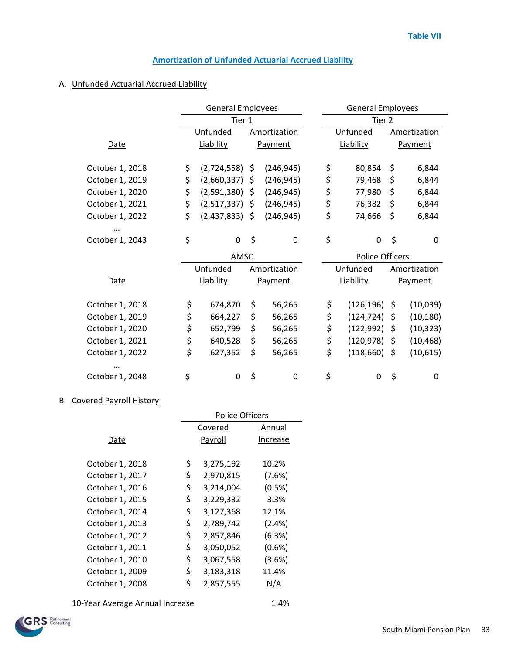## **Amortization of Unfunded Actuarial Accrued Liability**

### A. Unfunded Actuarial Accrued Liability

|                 | <b>General Employees</b> |                  |            |              |  | <b>General Employees</b> |                        |         |           |  |
|-----------------|--------------------------|------------------|------------|--------------|--|--------------------------|------------------------|---------|-----------|--|
|                 |                          | Tier 1           |            |              |  | Tier 2                   |                        |         |           |  |
|                 |                          | Unfunded         |            | Amortization |  | Unfunded                 | Amortization           |         |           |  |
| <b>Date</b>     |                          | Liability        | Payment    |              |  | Liability                |                        |         | Payment   |  |
| October 1, 2018 | \$                       | $(2,724,558)$ \$ |            | (246, 945)   |  | \$                       | 80,854                 | \$      | 6,844     |  |
| October 1, 2019 | \$                       | (2,660,337)      | \$.        | (246, 945)   |  | \$                       | 79,468                 | \$      | 6,844     |  |
| October 1, 2020 | \$                       | $(2,591,380)$ \$ |            | (246, 945)   |  | \$                       | 77,980                 | \$      | 6,844     |  |
| October 1, 2021 | \$                       | (2,517,337)      | -S         | (246, 945)   |  | \$                       | 76,382                 | \$      | 6,844     |  |
| October 1, 2022 | \$                       | $(2,437,833)$ \$ | (246, 945) |              |  | \$                       | 74,666                 | \$      | 6,844     |  |
|                 |                          |                  |            |              |  |                          |                        |         |           |  |
| October 1, 2043 | \$                       | $\Omega$         | \$         | $\mathbf 0$  |  | \$                       | $\mathbf 0$            | \$      | 0         |  |
|                 | AMSC                     |                  |            |              |  |                          | <b>Police Officers</b> |         |           |  |
|                 |                          | Unfunded         |            | Amortization |  | Unfunded<br>Amortization |                        |         |           |  |
| <b>Date</b>     |                          | Liability        |            | Payment      |  |                          | Liability              | Payment |           |  |
|                 |                          |                  |            |              |  |                          |                        |         |           |  |
| October 1, 2018 | \$                       | 674,870          | \$         | 56,265       |  | \$                       | (126, 196)             | Ŝ.      | (10,039)  |  |
| October 1, 2019 | \$                       | 664,227          | \$         | 56,265       |  | \$                       | (124, 724)             | \$      | (10, 180) |  |
| October 1, 2020 | \$                       | 652,799          | \$         | 56,265       |  | \$                       | (122, 992)             | \$      | (10, 323) |  |
| October 1, 2021 | \$                       | 640,528          | \$         | 56,265       |  | \$                       | (120, 978)             | \$      | (10, 468) |  |
| October 1, 2022 | \$                       | 627,352          | \$         | 56,265       |  | \$                       | (118, 660)             | \$.     | (10, 615) |  |
|                 |                          |                  |            |              |  |                          |                        |         |           |  |
| October 1, 2048 | \$                       | 0                | \$         | 0            |  | \$                       | 0                      | \$      | 0         |  |

## B. Covered Payroll History

|                 | Police Officers |           |           |  |  |  |  |
|-----------------|-----------------|-----------|-----------|--|--|--|--|
|                 |                 | Covered   | Annual    |  |  |  |  |
| Date            |                 | Payroll   | Increase  |  |  |  |  |
|                 |                 |           |           |  |  |  |  |
| October 1, 2018 | \$              | 3,275,192 | 10.2%     |  |  |  |  |
| October 1, 2017 | \$              | 2,970,815 | (7.6%)    |  |  |  |  |
| October 1, 2016 | \$              | 3,214,004 | (0.5%)    |  |  |  |  |
| October 1, 2015 | \$              | 3,229,332 | 3.3%      |  |  |  |  |
| October 1, 2014 | \$              | 3,127,368 | 12.1%     |  |  |  |  |
| October 1, 2013 | \$              | 2,789,742 | $(2.4\%)$ |  |  |  |  |
| October 1, 2012 | \$              | 2,857,846 | (6.3%)    |  |  |  |  |
| October 1, 2011 | \$              | 3,050,052 | (0.6% )   |  |  |  |  |
| October 1, 2010 | \$              | 3,067,558 | (3.6%)    |  |  |  |  |
| October 1, 2009 | \$              | 3,183,318 | 11.4%     |  |  |  |  |
| October 1, 2008 | \$              | 2,857,555 | N/A       |  |  |  |  |

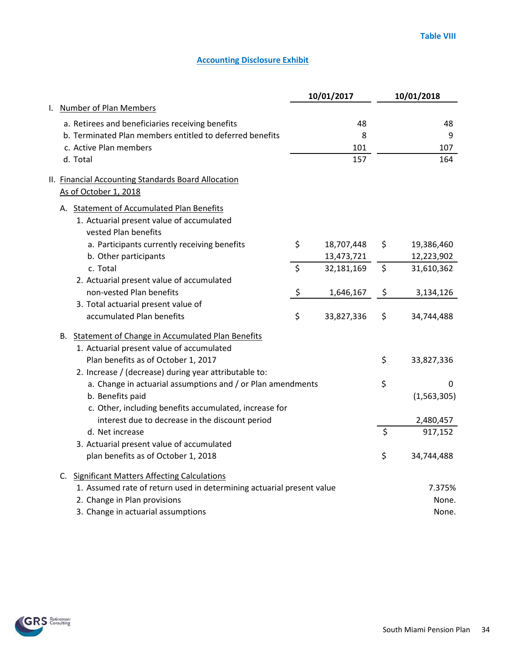|                                                                       | 10/01/2017       | 10/01/2018       |
|-----------------------------------------------------------------------|------------------|------------------|
| I. Number of Plan Members                                             |                  |                  |
| a. Retirees and beneficiaries receiving benefits                      | 48               | 48               |
| b. Terminated Plan members entitled to deferred benefits              | 8                | 9                |
| c. Active Plan members                                                | 101              | 107              |
| d. Total                                                              | 157              | 164              |
| II. Financial Accounting Standards Board Allocation                   |                  |                  |
| As of October 1, 2018                                                 |                  |                  |
| A. Statement of Accumulated Plan Benefits                             |                  |                  |
| 1. Actuarial present value of accumulated                             |                  |                  |
| vested Plan benefits                                                  |                  |                  |
| a. Participants currently receiving benefits                          | \$<br>18,707,448 | \$<br>19,386,460 |
| b. Other participants                                                 | 13,473,721       | 12,223,902       |
| c. Total                                                              | \$<br>32,181,169 | \$<br>31,610,362 |
| 2. Actuarial present value of accumulated                             |                  |                  |
| non-vested Plan benefits                                              | \$<br>1,646,167  | \$<br>3,134,126  |
| 3. Total actuarial present value of                                   |                  |                  |
| accumulated Plan benefits                                             | \$<br>33,827,336 | \$<br>34,744,488 |
| B. Statement of Change in Accumulated Plan Benefits                   |                  |                  |
| 1. Actuarial present value of accumulated                             |                  |                  |
| Plan benefits as of October 1, 2017                                   |                  | \$<br>33,827,336 |
| 2. Increase / (decrease) during year attributable to:                 |                  |                  |
| a. Change in actuarial assumptions and / or Plan amendments           |                  | \$<br>0          |
| b. Benefits paid                                                      |                  | (1, 563, 305)    |
| c. Other, including benefits accumulated, increase for                |                  |                  |
| interest due to decrease in the discount period                       |                  | 2,480,457        |
| d. Net increase                                                       |                  | \$<br>917,152    |
| 3. Actuarial present value of accumulated                             |                  |                  |
| plan benefits as of October 1, 2018                                   |                  | \$<br>34,744,488 |
| C. Significant Matters Affecting Calculations                         |                  |                  |
| 1. Assumed rate of return used in determining actuarial present value |                  | 7.375%           |
| 2. Change in Plan provisions                                          |                  | None.            |
| 3. Change in actuarial assumptions                                    |                  | None.            |

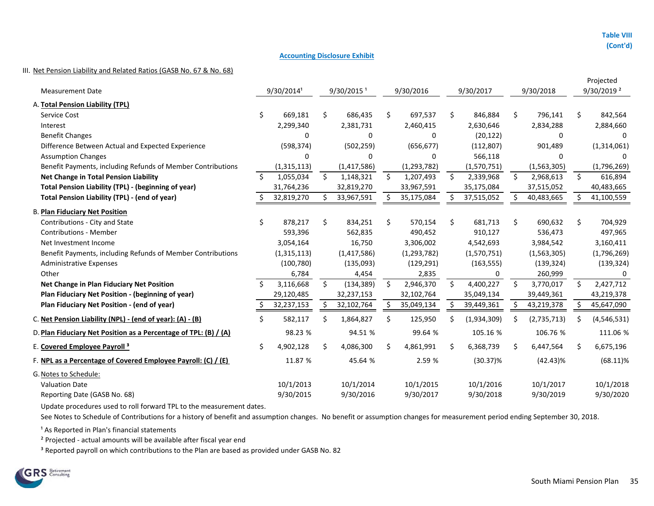#### III. Net Pension Liability and Related Ratios (GASB No. 67 & No. 68)

|                                                                  |                    |             |    |                          |         |               |         |             |         |             | Projected |                          |  |
|------------------------------------------------------------------|--------------------|-------------|----|--------------------------|---------|---------------|---------|-------------|---------|-------------|-----------|--------------------------|--|
| <b>Measurement Date</b>                                          |                    | 9/30/20141  |    | $9/30/2015$ <sup>1</sup> |         | 9/30/2016     |         | 9/30/2017   |         | 9/30/2018   |           | $9/30/2019$ <sup>2</sup> |  |
| A. Total Pension Liability (TPL)                                 |                    |             |    |                          |         |               |         |             |         |             |           |                          |  |
| Service Cost                                                     | \$.                | 669,181     | Ŝ. | 686,435                  | \$      | 697,537       | \$      | 846,884     | \$      | 796,141     | \$        | 842,564                  |  |
| Interest                                                         |                    | 2,299,340   |    | 2,381,731                |         | 2,460,415     |         | 2,630,646   |         | 2,834,288   |           | 2,884,660                |  |
| <b>Benefit Changes</b>                                           |                    | 0           |    | $\Omega$                 |         | $\Omega$      |         | (20, 122)   |         | 0           |           | $\Omega$                 |  |
| Difference Between Actual and Expected Experience                |                    | (598, 374)  |    | (502, 259)               |         | (656, 677)    |         | (112, 807)  |         | 901,489     |           | (1,314,061)              |  |
| <b>Assumption Changes</b>                                        |                    | 0           |    | 0                        |         | 0             |         | 566,118     |         | 0           |           |                          |  |
| Benefit Payments, including Refunds of Member Contributions      |                    | (1,315,113) |    | (1,417,586)              |         | (1, 293, 782) |         | (1,570,751) |         | (1,563,305) |           | (1,796,269)              |  |
| <b>Net Change in Total Pension Liability</b>                     | $\mathsf{\hat{S}}$ | 1,055,034   | \$ | 1,148,321                | $\zeta$ | 1,207,493     | $\zeta$ | 2,339,968   | \$      | 2,968,613   | $\zeta$   | 616,894                  |  |
| <b>Total Pension Liability (TPL) - (beginning of year)</b>       |                    | 31,764,236  |    | 32,819,270               |         | 33,967,591    |         | 35,175,084  |         | 37,515,052  |           | 40,483,665               |  |
| Total Pension Liability (TPL) - (end of year)                    |                    | 32,819,270  |    | 33,967,591               |         | 35,175,084    |         | 37,515,052  |         | 40,483,665  |           | 41,100,559               |  |
| <b>B. Plan Fiduciary Net Position</b>                            |                    |             |    |                          |         |               |         |             |         |             |           |                          |  |
| Contributions - City and State                                   | \$                 | 878,217     | \$ | 834,251                  | \$.     | 570,154       | \$      | 681,713     | \$      | 690,632     | \$        | 704,929                  |  |
| <b>Contributions - Member</b>                                    |                    | 593,396     |    | 562,835                  |         | 490,452       |         | 910,127     |         | 536,473     |           | 497,965                  |  |
| Net Investment Income                                            |                    | 3,054,164   |    | 16,750                   |         | 3,306,002     |         | 4,542,693   |         | 3,984,542   |           | 3,160,411                |  |
| Benefit Payments, including Refunds of Member Contributions      |                    | (1,315,113) |    | (1,417,586)              |         | (1, 293, 782) |         | (1,570,751) |         | (1,563,305) |           | (1,796,269)              |  |
| <b>Administrative Expenses</b>                                   |                    | (100, 780)  |    | (135,093)                |         | (129, 291)    |         | (163, 555)  |         | (139, 324)  |           | (139, 324)               |  |
| Other                                                            |                    | 6,784       |    | 4,454                    |         | 2,835         |         | 0           |         | 260,999     |           |                          |  |
| Net Change in Plan Fiduciary Net Position                        | Ŝ.                 | 3,116,668   | Ŝ. | (134, 389)               | $\zeta$ | 2,946,370     | $\zeta$ | 4,400,227   | $\zeta$ | 3,770,017   | Ś.        | 2,427,712                |  |
| Plan Fiduciary Net Position - (beginning of year)                |                    | 29,120,485  |    | 32,237,153               |         | 32,102,764    |         | 35,049,134  |         | 39,449,361  |           | 43,219,378               |  |
| Plan Fiduciary Net Position - (end of year)                      |                    | 32,237,153  |    | 32,102,764               | \$      | 35,049,134    | \$      | 39,449,361  | S       | 43,219,378  | S.        | 45,647,090               |  |
| C. Net Pension Liability (NPL) - (end of year): (A) - (B)        |                    | 582,117     | Ŝ. | 1,864,827                | \$      | 125,950       | \$      | (1,934,309) | \$      | (2,735,713) | S         | (4, 546, 531)            |  |
| D. Plan Fiduciary Net Position as a Percentage of TPL: (B) / (A) |                    | 98.23 %     |    | 94.51 %                  |         | 99.64 %       |         | 105.16 %    |         | 106.76 %    |           | 111.06 %                 |  |
| E. Covered Employee Payroll <sup>3</sup>                         | \$                 | 4,902,128   |    | 4,086,300                | Ś       | 4,861,991     | \$      | 6,368,739   | \$      | 6,447,564   | \$        | 6,675,196                |  |
| F. NPL as a Percentage of Covered Employee Payroll: (C) / (E)    |                    | 11.87 %     |    | 45.64 %                  |         | 2.59 %        |         | $(30.37)\%$ |         | $(42.43)\%$ |           | $(68.11)\%$              |  |
| G. Notes to Schedule:                                            |                    |             |    |                          |         |               |         |             |         |             |           |                          |  |
| <b>Valuation Date</b>                                            |                    | 10/1/2013   |    | 10/1/2014                |         | 10/1/2015     |         | 10/1/2016   |         | 10/1/2017   |           | 10/1/2018                |  |
| Reporting Date (GASB No. 68)                                     |                    | 9/30/2015   |    | 9/30/2016                |         | 9/30/2017     |         | 9/30/2018   |         | 9/30/2019   |           | 9/30/2020                |  |

Update procedures used to roll forward TPL to the measurement dates.

See Notes to Schedule of Contributions for a history of benefit and assumption changes. No benefit or assumption changes for measurement period ending September 30, 2018.

<sup>1</sup> As Reported in Plan's financial statements

² Projected - actual amounts will be available after fiscal year end

<sup>3</sup> Reported payroll on which contributions to the Plan are based as provided under GASB No. 82

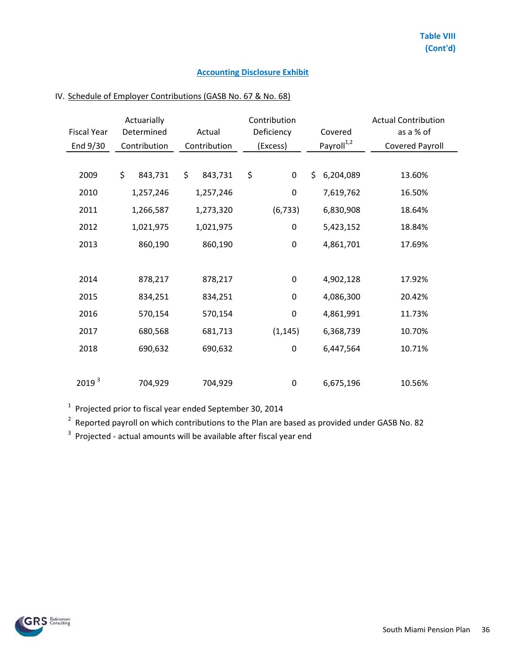|                    | Actuarially   |               | Contribution     | <b>Actual Contribution</b> |                        |  |  |
|--------------------|---------------|---------------|------------------|----------------------------|------------------------|--|--|
| <b>Fiscal Year</b> | Determined    | Actual        | Deficiency       | Covered                    | as a % of              |  |  |
| End 9/30           | Contribution  | Contribution  | (Excess)         | Payroll <sup>1,2</sup>     | <b>Covered Payroll</b> |  |  |
|                    |               |               |                  |                            |                        |  |  |
| 2009               | \$<br>843,731 | \$<br>843,731 | \$<br>$\pmb{0}$  | 6,204,089<br>\$            | 13.60%                 |  |  |
| 2010               | 1,257,246     | 1,257,246     | 0                | 7,619,762                  | 16.50%                 |  |  |
| 2011               | 1,266,587     | 1,273,320     | (6, 733)         | 6,830,908                  | 18.64%                 |  |  |
| 2012               | 1,021,975     | 1,021,975     | $\boldsymbol{0}$ | 5,423,152                  | 18.84%                 |  |  |
| 2013               | 860,190       | 860,190       | $\boldsymbol{0}$ | 4,861,701                  | 17.69%                 |  |  |
|                    |               |               |                  |                            |                        |  |  |
| 2014               | 878,217       | 878,217       | $\boldsymbol{0}$ | 4,902,128                  | 17.92%                 |  |  |
| 2015               | 834,251       | 834,251       | $\pmb{0}$        | 4,086,300                  | 20.42%                 |  |  |
| 2016               | 570,154       | 570,154       | $\boldsymbol{0}$ | 4,861,991                  | 11.73%                 |  |  |
| 2017               | 680,568       | 681,713       | (1, 145)         | 6,368,739                  | 10.70%                 |  |  |
| 2018               | 690,632       | 690,632       | $\boldsymbol{0}$ | 6,447,564                  | 10.71%                 |  |  |
|                    |               |               |                  |                            |                        |  |  |
| 2019 <sup>3</sup>  | 704,929       | 704,929       | 0                | 6,675,196                  | 10.56%                 |  |  |

# IV. Schedule of Employer Contributions (GASB No. 67 & No. 68)

 $1$  Projected prior to fiscal year ended September 30, 2014

 $2$  Reported payroll on which contributions to the Plan are based as provided under GASB No. 82

 $3$  Projected - actual amounts will be available after fiscal year end

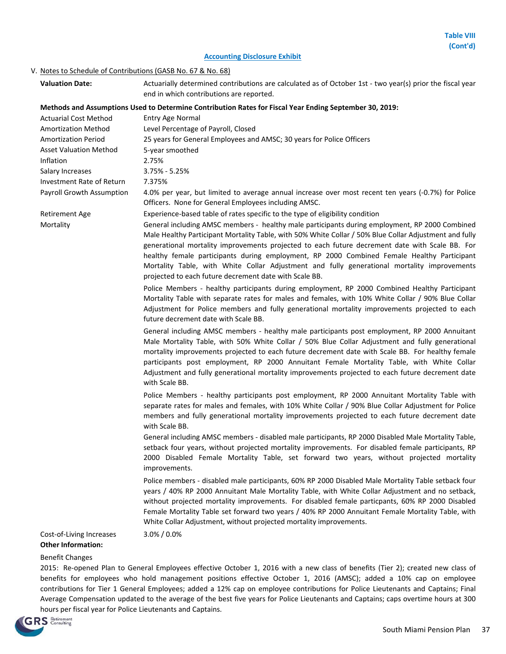### V. Notes to Schedule of Contributions (GASB No. 67 & No. 68)

| <b>Valuation Date:</b>                                      | Actuarially determined contributions are calculated as of October 1st - two year(s) prior the fiscal year<br>end in which contributions are reported.                                                                                                                                                                                                                                                                                                                                                                                                                                                                                              |
|-------------------------------------------------------------|----------------------------------------------------------------------------------------------------------------------------------------------------------------------------------------------------------------------------------------------------------------------------------------------------------------------------------------------------------------------------------------------------------------------------------------------------------------------------------------------------------------------------------------------------------------------------------------------------------------------------------------------------|
| <b>Actuarial Cost Method</b><br><b>Amortization Method</b>  | Methods and Assumptions Used to Determine Contribution Rates for Fiscal Year Ending September 30, 2019:<br><b>Entry Age Normal</b><br>Level Percentage of Payroll, Closed                                                                                                                                                                                                                                                                                                                                                                                                                                                                          |
| <b>Amortization Period</b><br><b>Asset Valuation Method</b> | 25 years for General Employees and AMSC; 30 years for Police Officers<br>5-year smoothed                                                                                                                                                                                                                                                                                                                                                                                                                                                                                                                                                           |
| Inflation<br>Salary Increases<br>Investment Rate of Return  | 2.75%<br>$3.75% - 5.25%$<br>7.375%                                                                                                                                                                                                                                                                                                                                                                                                                                                                                                                                                                                                                 |
| Payroll Growth Assumption                                   | 4.0% per year, but limited to average annual increase over most recent ten years (-0.7%) for Police<br>Officers. None for General Employees including AMSC.                                                                                                                                                                                                                                                                                                                                                                                                                                                                                        |
| <b>Retirement Age</b><br>Mortality                          | Experience-based table of rates specific to the type of eligibility condition<br>General including AMSC members - healthy male participants during employment, RP 2000 Combined<br>Male Healthy Participant Mortality Table, with 50% White Collar / 50% Blue Collar Adjustment and fully<br>generational mortality improvements projected to each future decrement date with Scale BB. For<br>healthy female participants during employment, RP 2000 Combined Female Healthy Participant<br>Mortality Table, with White Collar Adjustment and fully generational mortality improvements<br>projected to each future decrement date with Scale BB. |
|                                                             | Police Members - healthy participants during employment, RP 2000 Combined Healthy Participant<br>Mortality Table with separate rates for males and females, with 10% White Collar / 90% Blue Collar<br>Adjustment for Police members and fully generational mortality improvements projected to each<br>future decrement date with Scale BB.                                                                                                                                                                                                                                                                                                       |
|                                                             | General including AMSC members - healthy male participants post employment, RP 2000 Annuitant<br>Male Mortality Table, with 50% White Collar / 50% Blue Collar Adjustment and fully generational<br>mortality improvements projected to each future decrement date with Scale BB. For healthy female<br>participants post employment, RP 2000 Annuitant Female Mortality Table, with White Collar<br>Adjustment and fully generational mortality improvements projected to each future decrement date<br>with Scale BB.                                                                                                                            |
|                                                             | Police Members - healthy participants post employment, RP 2000 Annuitant Mortality Table with<br>separate rates for males and females, with 10% White Collar / 90% Blue Collar Adjustment for Police<br>members and fully generational mortality improvements projected to each future decrement date<br>with Scale BB.                                                                                                                                                                                                                                                                                                                            |
|                                                             | General including AMSC members - disabled male participants, RP 2000 Disabled Male Mortality Table,<br>setback four years, without projected mortality improvements. For disabled female participants, RP<br>2000 Disabled Female Mortality Table, set forward two years, without projected mortality<br>improvements.                                                                                                                                                                                                                                                                                                                             |
|                                                             | Police members - disabled male participants, 60% RP 2000 Disabled Male Mortality Table setback four<br>years / 40% RP 2000 Annuitant Male Mortality Table, with White Collar Adjustment and no setback,<br>without projected mortality improvements. For disabled female particpants, 60% RP 2000 Disabled<br>Female Mortality Table set forward two years / 40% RP 2000 Annuitant Female Mortality Table, with<br>White Collar Adjustment, without projected mortality improvements.                                                                                                                                                              |
| Cost-of-Living Increases<br><b>Other Information:</b>       | 3.0% / 0.0%                                                                                                                                                                                                                                                                                                                                                                                                                                                                                                                                                                                                                                        |

### Benefit Changes

2015: Re-opened Plan to General Employees effective October 1, 2016 with a new class of benefits (Tier 2); created new class of benefits for employees who hold management positions effective October 1, 2016 (AMSC); added a 10% cap on employee contributions for Tier 1 General Employees; added a 12% cap on employee contributions for Police Lieutenants and Captains; Final Average Compensation updated to the average of the best five years for Police Lieutenants and Captains; caps overtime hours at 300 hours per fiscal year for Police Lieutenants and Captains.

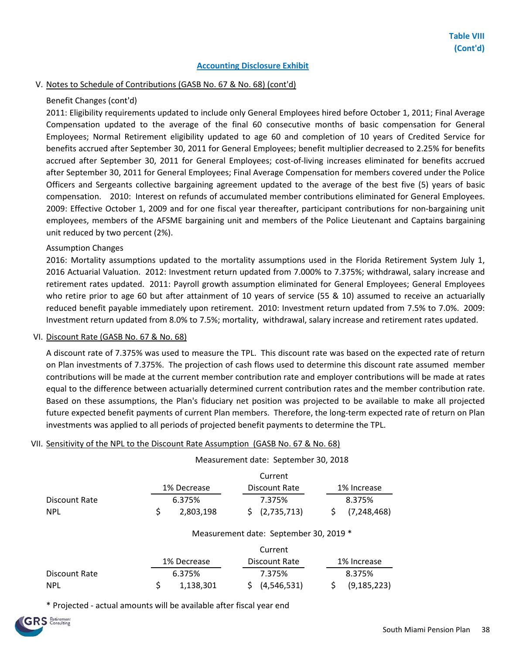### V. Notes to Schedule of Contributions (GASB No. 67 & No. 68) (cont'd)

### Benefit Changes (cont'd)

2011: Eligibility requirements updated to include only General Employees hired before October 1, 2011; Final Average Compensation updated to the average of the final 60 consecutive months of basic compensation for General Employees; Normal Retirement eligibility updated to age 60 and completion of 10 years of Credited Service for benefits accrued after September 30, 2011 for General Employees; benefit multiplier decreased to 2.25% for benefits accrued after September 30, 2011 for General Employees; cost-of-living increases eliminated for benefits accrued after September 30, 2011 for General Employees; Final Average Compensation for members covered under the Police Officers and Sergeants collective bargaining agreement updated to the average of the best five (5) years of basic compensation. 2010: Interest on refunds of accumulated member contributions eliminated for General Employees. 2009: Effective October 1, 2009 and for one fiscal year thereafter, participant contributions for non-bargaining unit employees, members of the AFSME bargaining unit and members of the Police Lieutenant and Captains bargaining unit reduced by two percent (2%).

#### Assumption Changes

2016: Mortality assumptions updated to the mortality assumptions used in the Florida Retirement System July 1, 2016 Actuarial Valuation. 2012: Investment return updated from 7.000% to 7.375%; withdrawal, salary increase and retirement rates updated. 2011: Payroll growth assumption eliminated for General Employees; General Employees who retire prior to age 60 but after attainment of 10 years of service (55 & 10) assumed to receive an actuarially reduced benefit payable immediately upon retirement. 2010: Investment return updated from 7.5% to 7.0%. 2009: Investment return updated from 8.0% to 7.5%; mortality, withdrawal, salary increase and retirement rates updated.

#### VI. Discount Rate (GASB No. 67 & No. 68)

A discount rate of 7.375% was used to measure the TPL. This discount rate was based on the expected rate of return on Plan investments of 7.375%. The projection of cash flows used to determine this discount rate assumed member contributions will be made at the current member contribution rate and employer contributions will be made at rates equal to the difference between actuarially determined current contribution rates and the member contribution rate. Based on these assumptions, the Plan's fiduciary net position was projected to be available to make all projected future expected benefit payments of current Plan members. Therefore, the long-term expected rate of return on Plan investments was applied to all periods of projected benefit payments to determine the TPL.

#### VII. Sensitivity of the NPL to the Discount Rate Assumption (GASB No. 67 & No. 68)

|               |                                        | Measurement date: September 30, 2018 |                     |  |  |  |  |  |  |  |
|---------------|----------------------------------------|--------------------------------------|---------------------|--|--|--|--|--|--|--|
|               | Current                                |                                      |                     |  |  |  |  |  |  |  |
|               | 1% Decrease                            | Discount Rate                        | 1% Increase         |  |  |  |  |  |  |  |
| Discount Rate | 6.375%                                 | 7.375%                               | 8.375%              |  |  |  |  |  |  |  |
| <b>NPL</b>    | \$<br>2,803,198                        | (2,735,713)<br>S.                    | (7, 248, 468)<br>\$ |  |  |  |  |  |  |  |
|               | Measurement date: September 30, 2019 * |                                      |                     |  |  |  |  |  |  |  |
|               |                                        | Current                              |                     |  |  |  |  |  |  |  |
|               | 1% Decrease                            | Discount Rate                        | 1% Increase         |  |  |  |  |  |  |  |
| Discount Rate | 6.375%                                 | 7.375%                               | 8.375%              |  |  |  |  |  |  |  |
| <b>NPL</b>    | \$<br>1,138,301                        | (4,546,531)<br>S                     | \$<br>(9, 185, 223) |  |  |  |  |  |  |  |

\* Projected - actual amounts will be available after fiscal year end

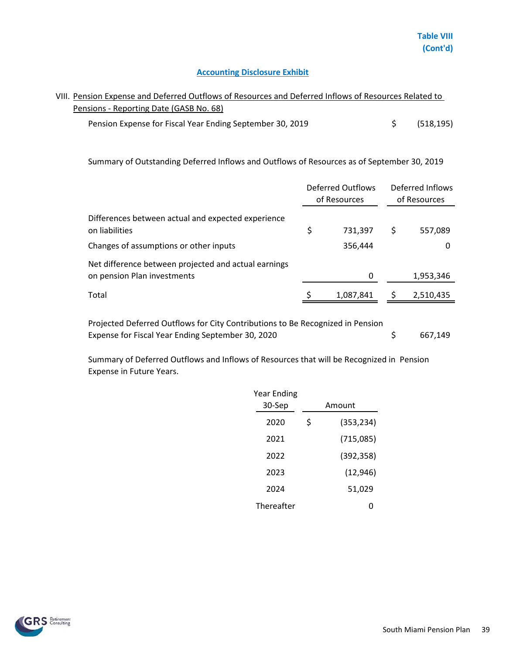# VIII. Pension Expense and Deferred Outflows of Resources and Deferred Inflows of Resources Related to Pensions - Reporting Date (GASB No. 68)

Pension Expense for Fiscal Year Ending September 30, 2019 <br>
\$ (518,195)

Summary of Outstanding Deferred Inflows and Outflows of Resources as of September 30, 2019

|                                                                                     | Deferred Outflows<br>of Resources | Deferred Inflows<br>of Resources |
|-------------------------------------------------------------------------------------|-----------------------------------|----------------------------------|
| Differences between actual and expected experience<br>on liabilities                | \$<br>731,397                     | \$<br>557,089                    |
| Changes of assumptions or other inputs                                              | 356,444                           |                                  |
| Net difference between projected and actual earnings<br>on pension Plan investments | 0                                 | 1,953,346                        |
| Total                                                                               | 1,087,841                         | 2,510,435                        |

Projected Deferred Outflows for City Contributions to Be Recognized in Pension Expense for Fiscal Year Ending September 30, 2020

\$ 667,149

Summary of Deferred Outflows and Inflows of Resources that will be Recognized in Pension Expense in Future Years.

| Year Ending |                  |
|-------------|------------------|
| 30-Sep      | Amount           |
| 2020        | \$<br>(353, 234) |
| 2021        | (715,085)        |
| 2022        | (392, 358)       |
| 2023        | (12, 946)        |
| 2024        | 51,029           |
| Thereafter  | 0                |

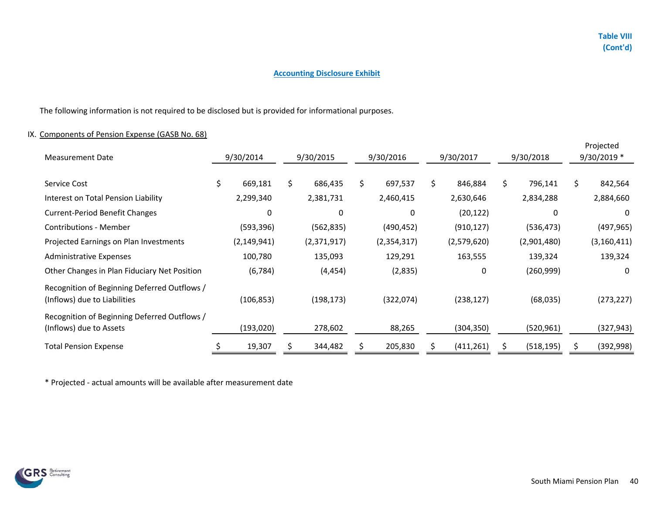The following information is not required to be disclosed but is provided for informational purposes.

### IX. Components of Pension Expense (GASB No. 68)

| <b>Measurement Date</b>                                                      | 9/30/2014     | 9/30/2015     | 9/30/2017<br>9/30/2016 |    |             | 9/30/2018 |             | Projected<br>9/30/2019 * |               |
|------------------------------------------------------------------------------|---------------|---------------|------------------------|----|-------------|-----------|-------------|--------------------------|---------------|
| Service Cost                                                                 | \$<br>669,181 | \$<br>686,435 | \$<br>697,537          | \$ | 846,884     | \$        | 796,141     | \$                       | 842,564       |
| Interest on Total Pension Liability                                          | 2,299,340     | 2,381,731     | 2,460,415              |    | 2,630,646   |           | 2,834,288   |                          | 2,884,660     |
| <b>Current-Period Benefit Changes</b>                                        | 0             | $\Omega$      | $\Omega$               |    | (20, 122)   |           | $\Omega$    |                          | $\Omega$      |
| <b>Contributions - Member</b>                                                | (593, 396)    | (562, 835)    | (490, 452)             |    | (910, 127)  |           | (536, 473)  |                          | (497, 965)    |
| Projected Earnings on Plan Investments                                       | (2, 149, 941) | (2,371,917)   | (2,354,317)            |    | (2,579,620) |           | (2,901,480) |                          | (3, 160, 411) |
| <b>Administrative Expenses</b>                                               | 100,780       | 135,093       | 129,291                |    | 163,555     |           | 139,324     |                          | 139,324       |
| Other Changes in Plan Fiduciary Net Position                                 | (6, 784)      | (4, 454)      | (2,835)                |    | 0           |           | (260, 999)  |                          | $\Omega$      |
| Recognition of Beginning Deferred Outflows /<br>(Inflows) due to Liabilities | (106, 853)    | (198, 173)    | (322,074)              |    | (238, 127)  |           | (68, 035)   |                          | (273, 227)    |
| Recognition of Beginning Deferred Outflows /<br>(Inflows) due to Assets      | (193,020)     | 278,602       | 88,265                 |    | (304, 350)  |           | (520, 961)  |                          | (327, 943)    |
| <b>Total Pension Expense</b>                                                 | 19,307        | 344,482       | 205,830                |    | (411, 261)  |           | (518, 195)  |                          | (392, 998)    |

\* Projected - actual amounts will be available after measurement date

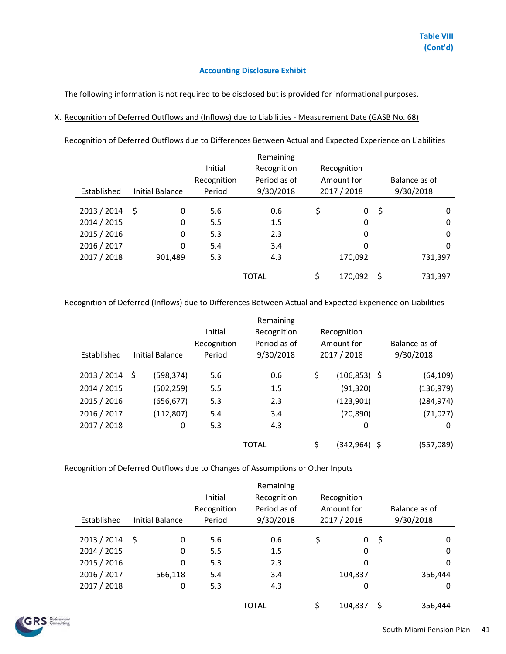The following information is not required to be disclosed but is provided for informational purposes.

### X. Recognition of Deferred Outflows and (Inflows) due to Liabilities - Measurement Date (GASB No. 68)

Recognition of Deferred Outflows due to Differences Between Actual and Expected Experience on Liabilities

|             |                        |             | Remaining    |               |     |               |
|-------------|------------------------|-------------|--------------|---------------|-----|---------------|
|             |                        | Initial     | Recognition  | Recognition   |     |               |
|             |                        | Recognition | Period as of | Amount for    |     | Balance as of |
| Established | <b>Initial Balance</b> | Period      | 9/30/2018    | 2017 / 2018   |     | 9/30/2018     |
|             |                        |             |              |               |     |               |
| 2013 / 2014 | -\$<br>0               | 5.6         | 0.6          | \$<br>0       | -\$ | 0             |
| 2014 / 2015 | 0                      | 5.5         | 1.5          | 0             |     | $\Omega$      |
| 2015 / 2016 | 0                      | 5.3         | 2.3          | $\Omega$      |     | $\Omega$      |
| 2016 / 2017 | 0                      | 5.4         | 3.4          | 0             |     | $\Omega$      |
| 2017 / 2018 | 901,489                | 5.3         | 4.3          | 170,092       |     | 731,397       |
|             |                        |             | <b>TOTAL</b> | \$<br>170,092 | \$  | 731,397       |

Recognition of Deferred (Inflows) due to Differences Between Actual and Expected Experience on Liabilities

|                  |                 |             | Remaining    |                       |           |               |
|------------------|-----------------|-------------|--------------|-----------------------|-----------|---------------|
|                  |                 | Initial     | Recognition  | Recognition           |           |               |
|                  |                 | Recognition | Period as of | Amount for            |           | Balance as of |
| Established      | Initial Balance | Period      | 9/30/2018    | 2017 / 2018           | 9/30/2018 |               |
|                  |                 |             |              |                       |           |               |
| $2013 / 2014$ \$ | (598, 374)      | 5.6         | 0.6          | \$<br>$(106, 853)$ \$ |           | (64, 109)     |
| 2014 / 2015      | (502,259)       | 5.5         | 1.5          | (91, 320)             |           | (136, 979)    |
| 2015 / 2016      | (656, 677)      | 5.3         | 2.3          | (123, 901)            |           | (284, 974)    |
| 2016 / 2017      | (112, 807)      | 5.4         | 3.4          | (20, 890)             |           | (71, 027)     |
| 2017 / 2018      | 0               | 5.3         | 4.3          | 0                     |           | 0             |
|                  |                 |             | <b>TOTAL</b> | \$<br>(342,964) \$    |           | (557,089)     |

Recognition of Deferred Outflows due to Changes of Assumptions or Other Inputs

|             |                        |             | Remaining    |             |             |               |  |
|-------------|------------------------|-------------|--------------|-------------|-------------|---------------|--|
|             |                        | Initial     | Recognition  |             | Recognition |               |  |
|             |                        | Recognition | Period as of |             | Amount for  | Balance as of |  |
| Established | <b>Initial Balance</b> | Period      | 9/30/2018    | 2017 / 2018 |             | 9/30/2018     |  |
|             |                        |             |              |             |             |               |  |
| 2013 / 2014 | 0<br>-Ŝ                | 5.6         | 0.6          | \$          | 0           | \$<br>0       |  |
| 2014 / 2015 | 0                      | 5.5         | 1.5          |             | 0           | $\Omega$      |  |
| 2015 / 2016 | 0                      | 5.3         | 2.3          |             | 0           | $\Omega$      |  |
| 2016 / 2017 | 566,118                | 5.4         | 3.4          |             | 104,837     | 356,444       |  |
| 2017 / 2018 | 0                      | 5.3         | 4.3          |             | 0           | 0             |  |
|             |                        |             |              |             |             |               |  |
|             |                        |             | <b>TOTAL</b> |             | 104,837     | 356,444       |  |

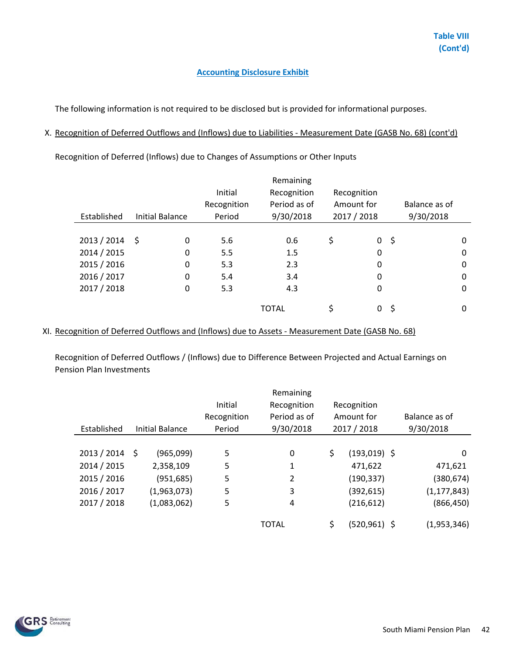The following information is not required to be disclosed but is provided for informational purposes.

### X. Recognition of Deferred Outflows and (Inflows) due to Liabilities - Measurement Date (GASB No. 68) (cont'd)

Recognition of Deferred (Inflows) due to Changes of Assumptions or Other Inputs

|                        |             | Remaining    |              |                   |               |   |
|------------------------|-------------|--------------|--------------|-------------------|---------------|---|
|                        | Initial     | Recognition  | Recognition  |                   |               |   |
|                        | Recognition | Period as of | Amount for   |                   | Balance as of |   |
| <b>Initial Balance</b> | Period      | 9/30/2018    | 2017 / 2018  |                   | 9/30/2018     |   |
|                        |             |              |              |                   |               |   |
| - \$<br>0              | 5.6         | 0.6          | \$           | -\$               |               | 0 |
| 0                      | 5.5         | 1.5          |              |                   |               | 0 |
| 0                      | 5.3         | 2.3          |              |                   |               | 0 |
| $\Omega$               | 5.4         | 3.4          | 0            |                   |               | 0 |
| 0                      | 5.3         | 4.3          |              |                   |               | 0 |
|                        |             |              |              |                   |               |   |
|                        |             |              |              |                   |               | 0 |
|                        |             |              | <b>TOTAL</b> | 0<br>0<br>0<br>\$ | 0<br>\$<br>0  |   |

### XI. Recognition of Deferred Outflows and (Inflows) due to Assets - Measurement Date (GASB No. 68)

Recognition of Deferred Outflows / (Inflows) due to Difference Between Projected and Actual Earnings on Pension Plan Investments

|             |                        |             | Remaining    |             |                 |               |
|-------------|------------------------|-------------|--------------|-------------|-----------------|---------------|
|             |                        | Initial     | Recognition  |             | Recognition     |               |
|             |                        | Recognition | Period as of |             | Amount for      | Balance as of |
| Established | <b>Initial Balance</b> | Period      | 9/30/2018    | 2017 / 2018 |                 | 9/30/2018     |
|             |                        |             |              |             |                 |               |
| 2013 / 2014 | (965,099)<br>Ŝ.        | 5           | 0            | \$          | $(193,019)$ \$  | 0             |
| 2014 / 2015 | 2,358,109              | 5           | 1            |             | 471,622         | 471,621       |
| 2015 / 2016 | (951, 685)             | 5           | 2            |             | (190, 337)      | (380, 674)    |
| 2016 / 2017 | (1,963,073)            | 5           | 3            |             | (392, 615)      | (1, 177, 843) |
| 2017 / 2018 | (1,083,062)            | 5           | 4            |             | (216, 612)      | (866, 450)    |
|             |                        |             |              |             |                 |               |
|             |                        |             | <b>TOTAL</b> | \$          | $(520, 961)$ \$ | (1,953,346)   |

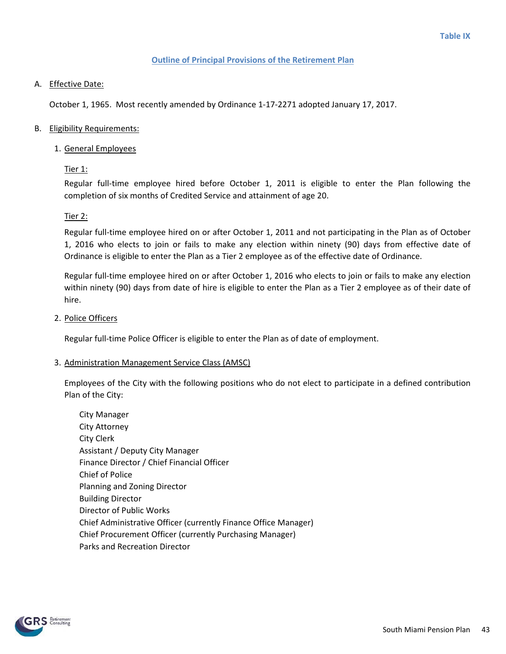#### **Outline of Principal Provisions of the Retirement Plan**

### A. Effective Date:

October 1, 1965. Most recently amended by Ordinance 1-17-2271 adopted January 17, 2017.

### B. Eligibility Requirements:

1. General Employees

### Tier 1:

Regular full-time employee hired before October 1, 2011 is eligible to enter the Plan following the completion of six months of Credited Service and attainment of age 20.

### Tier 2:

Regular full-time employee hired on or after October 1, 2011 and not participating in the Plan as of October 1, 2016 who elects to join or fails to make any election within ninety (90) days from effective date of Ordinance is eligible to enter the Plan as a Tier 2 employee as of the effective date of Ordinance.

Regular full-time employee hired on or after October 1, 2016 who elects to join or fails to make any election within ninety (90) days from date of hire is eligible to enter the Plan as a Tier 2 employee as of their date of hire.

2. Police Officers

Regular full-time Police Officer is eligible to enter the Plan as of date of employment.

### 3. Administration Management Service Class (AMSC)

Employees of the City with the following positions who do not elect to participate in a defined contribution Plan of the City:

City Manager City Attorney City Clerk Assistant / Deputy City Manager Finance Director / Chief Financial Officer Chief of Police Planning and Zoning Director Building Director Director of Public Works Chief Administrative Officer (currently Finance Office Manager) Chief Procurement Officer (currently Purchasing Manager) Parks and Recreation Director

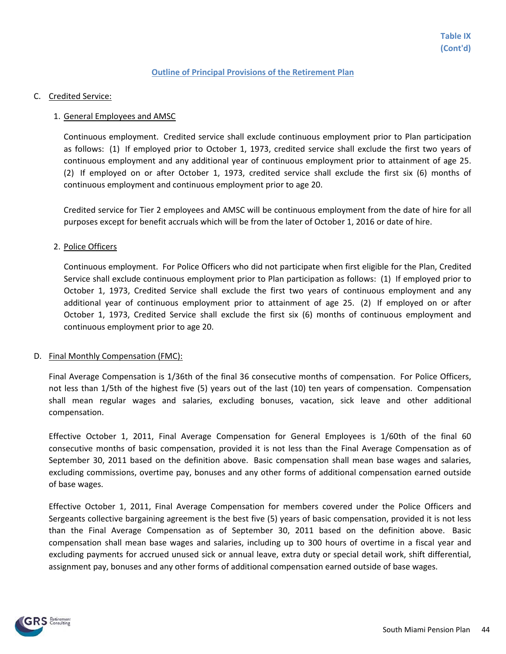#### **Outline of Principal Provisions of the Retirement Plan**

C. Credited Service:

#### 1. General Employees and AMSC

Continuous employment. Credited service shall exclude continuous employment prior to Plan participation as follows: (1) If employed prior to October 1, 1973, credited service shall exclude the first two years of continuous employment and any additional year of continuous employment prior to attainment of age 25. (2) If employed on or after October 1, 1973, credited service shall exclude the first six (6) months of continuous employment and continuous employment prior to age 20.

Credited service for Tier 2 employees and AMSC will be continuous employment from the date of hire for all purposes except for benefit accruals which will be from the later of October 1, 2016 or date of hire.

#### 2. Police Officers

Continuous employment. For Police Officers who did not participate when first eligible for the Plan, Credited Service shall exclude continuous employment prior to Plan participation as follows: (1) If employed prior to October 1, 1973, Credited Service shall exclude the first two years of continuous employment and any additional year of continuous employment prior to attainment of age 25. (2) If employed on or after October 1, 1973, Credited Service shall exclude the first six (6) months of continuous employment and continuous employment prior to age 20.

#### D. Final Monthly Compensation (FMC):

Final Average Compensation is 1/36th of the final 36 consecutive months of compensation. For Police Officers, not less than 1/5th of the highest five (5) years out of the last (10) ten years of compensation. Compensation shall mean regular wages and salaries, excluding bonuses, vacation, sick leave and other additional compensation.

Effective October 1, 2011, Final Average Compensation for General Employees is 1/60th of the final 60 consecutive months of basic compensation, provided it is not less than the Final Average Compensation as of September 30, 2011 based on the definition above. Basic compensation shall mean base wages and salaries, excluding commissions, overtime pay, bonuses and any other forms of additional compensation earned outside of base wages.

Effective October 1, 2011, Final Average Compensation for members covered under the Police Officers and Sergeants collective bargaining agreement is the best five (5) years of basic compensation, provided it is not less than the Final Average Compensation as of September 30, 2011 based on the definition above. Basic compensation shall mean base wages and salaries, including up to 300 hours of overtime in a fiscal year and excluding payments for accrued unused sick or annual leave, extra duty or special detail work, shift differential, assignment pay, bonuses and any other forms of additional compensation earned outside of base wages.

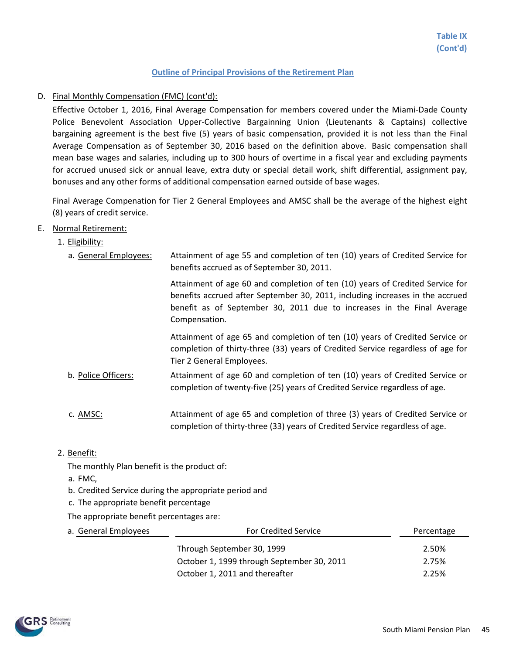#### D. Final Monthly Compensation (FMC) (cont'd):

Effective October 1, 2016, Final Average Compensation for members covered under the Miami-Dade County Police Benevolent Association Upper-Collective Bargainning Union (Lieutenants & Captains) collective bargaining agreement is the best five (5) years of basic compensation, provided it is not less than the Final Average Compensation as of September 30, 2016 based on the definition above. Basic compensation shall mean base wages and salaries, including up to 300 hours of overtime in a fiscal year and excluding payments for accrued unused sick or annual leave, extra duty or special detail work, shift differential, assignment pay, bonuses and any other forms of additional compensation earned outside of base wages.

Final Average Compenation for Tier 2 General Employees and AMSC shall be the average of the highest eight (8) years of credit service.

#### E. Normal Retirement:

| 1. Eligibility:       |                                                                                                                                                                                                                                                           |
|-----------------------|-----------------------------------------------------------------------------------------------------------------------------------------------------------------------------------------------------------------------------------------------------------|
| a. General Employees: | Attainment of age 55 and completion of ten (10) years of Credited Service for<br>benefits accrued as of September 30, 2011.                                                                                                                               |
|                       | Attainment of age 60 and completion of ten (10) years of Credited Service for<br>benefits accrued after September 30, 2011, including increases in the accrued<br>benefit as of September 30, 2011 due to increases in the Final Average<br>Compensation. |
|                       | Attainment of age 65 and completion of ten (10) years of Credited Service or<br>completion of thirty-three (33) years of Credited Service regardless of age for<br>Tier 2 General Employees.                                                              |
| b. Police Officers:   | Attainment of age 60 and completion of ten (10) years of Credited Service or<br>completion of twenty-five (25) years of Credited Service regardless of age.                                                                                               |
| c. AMSC:              | Attainment of age 65 and completion of three (3) years of Credited Service or<br>completion of thirty-three (33) years of Credited Service regardless of age.                                                                                             |

2. Benefit:

The monthly Plan benefit is the product of:

- a. FMC,
- b. Credited Service during the appropriate period and
- c. The appropriate benefit percentage
- The appropriate benefit percentages are:

| a. General Employees | <b>For Credited Service</b>                | Percentage |
|----------------------|--------------------------------------------|------------|
|                      | Through September 30, 1999                 | 2.50%      |
|                      | October 1, 1999 through September 30, 2011 | 2.75%      |
|                      | October 1, 2011 and thereafter             | 2.25%      |

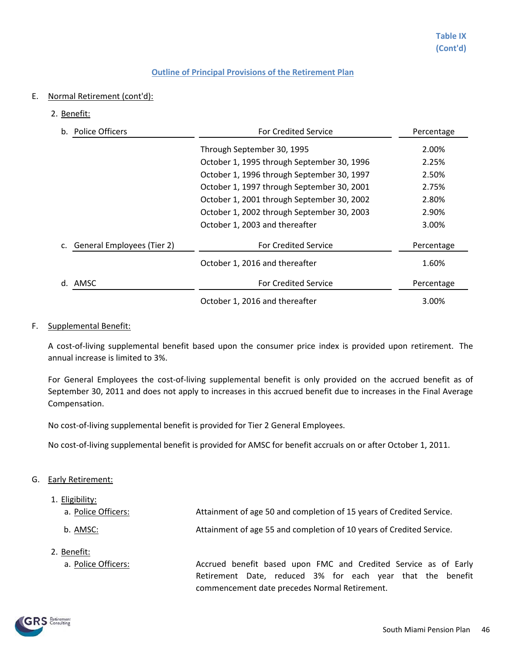- E. Normal Retirement (cont'd):
	- 2. Benefit:

| <b>Police Officers</b><br>b.     | <b>For Credited Service</b>                | Percentage |
|----------------------------------|--------------------------------------------|------------|
|                                  | Through September 30, 1995                 | 2.00%      |
|                                  | October 1, 1995 through September 30, 1996 | 2.25%      |
|                                  | October 1, 1996 through September 30, 1997 | 2.50%      |
|                                  | October 1, 1997 through September 30, 2001 | 2.75%      |
|                                  | October 1, 2001 through September 30, 2002 | 2.80%      |
|                                  | October 1, 2002 through September 30, 2003 | 2.90%      |
|                                  | October 1, 2003 and thereafter             | 3.00%      |
| General Employees (Tier 2)<br>c. | <b>For Credited Service</b>                | Percentage |
|                                  | October 1, 2016 and thereafter             | 1.60%      |
| AMSC<br>d.                       | <b>For Credited Service</b>                | Percentage |
|                                  | October 1, 2016 and thereafter             | 3.00%      |

#### F. Supplemental Benefit:

A cost-of-living supplemental benefit based upon the consumer price index is provided upon retirement. The annual increase is limited to 3%.

For General Employees the cost-of-living supplemental benefit is only provided on the accrued benefit as of September 30, 2011 and does not apply to increases in this accrued benefit due to increases in the Final Average Compensation.

No cost-of-living supplemental benefit is provided for Tier 2 General Employees.

No cost-of-living supplemental benefit is provided for AMSC for benefit accruals on or after October 1, 2011.

### G. Early Retirement:

1. Eligibility:

| a. Police Officers: | Attainment of age 50 and completion of 15 years of Credited Service. |  |
|---------------------|----------------------------------------------------------------------|--|
| b. AMSC:            | Attainment of age 55 and completion of 10 years of Credited Service. |  |
| 2. Benefit:         |                                                                      |  |
| a. Police Officers: | Accrued benefit based upon FMC and Credited Service as of Early      |  |
|                     | Retirement Date, reduced 3% for each year that the benefit           |  |
|                     | commencement date precedes Normal Retirement.                        |  |

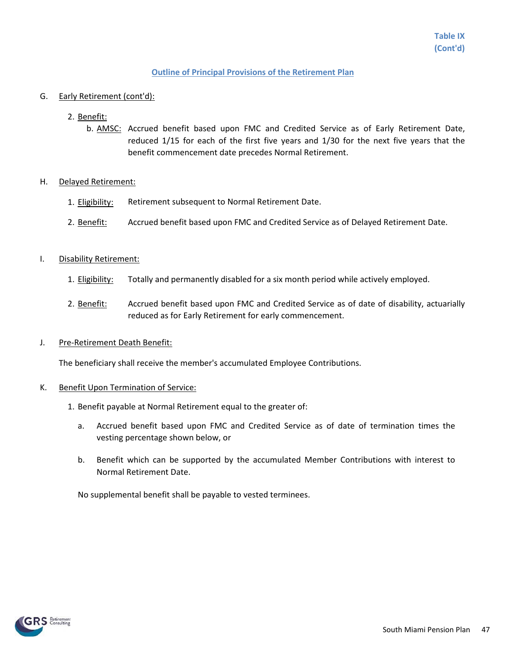#### G. Early Retirement (cont'd):

- 2. Benefit:
	- b. **AMSC**: Accrued benefit based upon FMC and Credited Service as of Early Retirement Date, reduced 1/15 for each of the first five years and 1/30 for the next five years that the benefit commencement date precedes Normal Retirement.

#### H. Delayed Retirement:

- 1. Eligibility: Retirement subsequent to Normal Retirement Date.
- 2. Benefit: Accrued benefit based upon FMC and Credited Service as of Delayed Retirement Date.

#### I. Disability Retirement:

- 1. Eligibility: Totally and permanently disabled for a six month period while actively employed.
- 2. Benefit: Accrued benefit based upon FMC and Credited Service as of date of disability, actuarially reduced as for Early Retirement for early commencement.

#### J. Pre-Retirement Death Benefit:

The beneficiary shall receive the member's accumulated Employee Contributions.

#### K. Benefit Upon Termination of Service:

- 1. Benefit payable at Normal Retirement equal to the greater of:
	- a. Accrued benefit based upon FMC and Credited Service as of date of termination times the vesting percentage shown below, or
	- b. Benefit which can be supported by the accumulated Member Contributions with interest to Normal Retirement Date.

No supplemental benefit shall be payable to vested terminees.

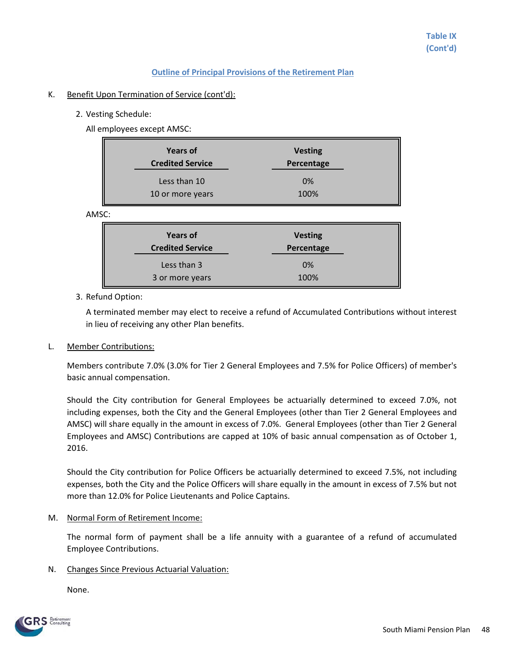#### K. Benefit Upon Termination of Service (cont'd):

2. Vesting Schedule:

All employees except AMSC:

| <b>Years of</b><br><b>Credited Service</b> | <b>Vesting</b><br>Percentage |
|--------------------------------------------|------------------------------|
| Less than 10                               | 0%                           |
| 10 or more years                           | 100%                         |

**AM** 

| <b>Years of</b><br><b>Credited Service</b> | <b>Vesting</b><br>Percentage |
|--------------------------------------------|------------------------------|
| Less than 3                                | 0%                           |
| 3 or more years                            | 100%                         |

#### 3. Refund Option:

A terminated member may elect to receive a refund of Accumulated Contributions without interest in lieu of receiving any other Plan benefits.

#### L. Member Contributions:

Members contribute 7.0% (3.0% for Tier 2 General Employees and 7.5% for Police Officers) of member's basic annual compensation.

Should the City contribution for General Employees be actuarially determined to exceed 7.0%, not including expenses, both the City and the General Employees (other than Tier 2 General Employees and AMSC) will share equally in the amount in excess of 7.0%. General Employees (other than Tier 2 General Employees and AMSC) Contributions are capped at 10% of basic annual compensation as of October 1, 2016.

Should the City contribution for Police Officers be actuarially determined to exceed 7.5%, not including expenses, both the City and the Police Officers will share equally in the amount in excess of 7.5% but not more than 12.0% for Police Lieutenants and Police Captains.

#### M. Normal Form of Retirement Income:

The normal form of payment shall be a life annuity with a guarantee of a refund of accumulated Employee Contributions.

### N. Changes Since Previous Actuarial Valuation:

None.

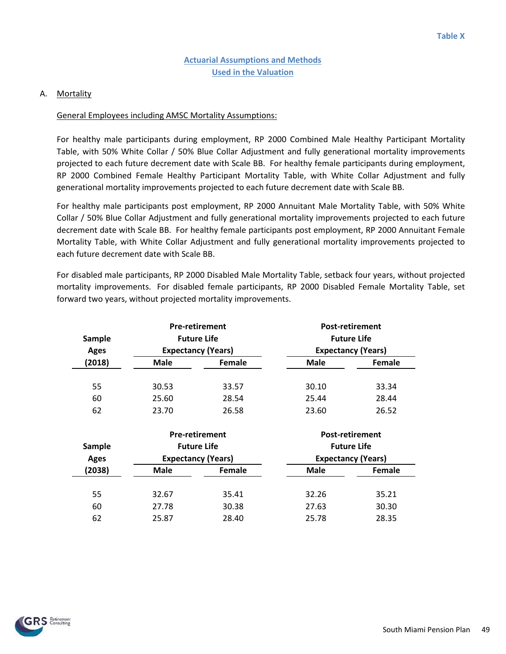### A. Mortality

### General Employees including AMSC Mortality Assumptions:

For healthy male participants during employment, RP 2000 Combined Male Healthy Participant Mortality Table, with 50% White Collar / 50% Blue Collar Adjustment and fully generational mortality improvements projected to each future decrement date with Scale BB. For healthy female participants during employment, RP 2000 Combined Female Healthy Participant Mortality Table, with White Collar Adjustment and fully generational mortality improvements projected to each future decrement date with Scale BB.

For healthy male participants post employment, RP 2000 Annuitant Male Mortality Table, with 50% White Collar / 50% Blue Collar Adjustment and fully generational mortality improvements projected to each future decrement date with Scale BB. For healthy female participants post employment, RP 2000 Annuitant Female Mortality Table, with White Collar Adjustment and fully generational mortality improvements projected to each future decrement date with Scale BB.

For disabled male participants, RP 2000 Disabled Male Mortality Table, setback four years, without projected mortality improvements. For disabled female participants, RP 2000 Disabled Female Mortality Table, set forward two years, without projected mortality improvements.

| Sample<br><b>Ages</b> | <b>Pre-retirement</b><br><b>Future Life</b><br><b>Expectancy (Years)</b> |        |             | <b>Post-retirement</b><br><b>Future Life</b><br><b>Expectancy (Years)</b> |
|-----------------------|--------------------------------------------------------------------------|--------|-------------|---------------------------------------------------------------------------|
| (2018)                | <b>Male</b>                                                              | Female | <b>Male</b> | Female                                                                    |
|                       |                                                                          |        |             |                                                                           |
| 55                    | 30.53                                                                    | 33.57  | 30.10       | 33.34                                                                     |
| 60                    | 25.60                                                                    | 28.54  | 25.44       | 28.44                                                                     |
| 62                    | 23.70                                                                    | 26.58  | 23.60       | 26.52                                                                     |

| Sample<br>Ages | <b>Pre-retirement</b><br><b>Future Life</b><br><b>Expectancy (Years)</b> |        |             | <b>Post-retirement</b><br><b>Future Life</b><br><b>Expectancy (Years)</b> |
|----------------|--------------------------------------------------------------------------|--------|-------------|---------------------------------------------------------------------------|
| (2038)         | <b>Male</b>                                                              | Female | <b>Male</b> | Female                                                                    |
| 55             | 32.67                                                                    | 35.41  | 32.26       | 35.21                                                                     |
| 60             | 27.78                                                                    | 30.38  | 27.63       | 30.30                                                                     |
| 62             | 25.87                                                                    | 28.40  | 25.78       | 28.35                                                                     |

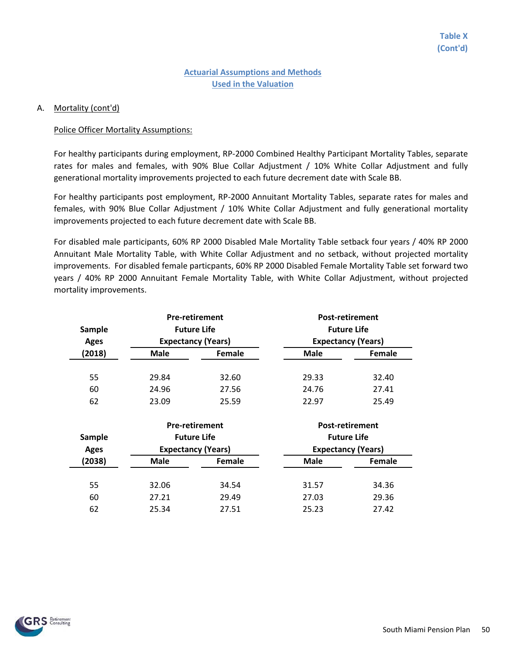#### A. Mortality (cont'd)

#### Police Officer Mortality Assumptions:

For healthy participants during employment, RP-2000 Combined Healthy Participant Mortality Tables, separate rates for males and females, with 90% Blue Collar Adjustment / 10% White Collar Adjustment and fully generational mortality improvements projected to each future decrement date with Scale BB.

For healthy participants post employment, RP-2000 Annuitant Mortality Tables, separate rates for males and females, with 90% Blue Collar Adjustment / 10% White Collar Adjustment and fully generational mortality improvements projected to each future decrement date with Scale BB.

For disabled male participants, 60% RP 2000 Disabled Male Mortality Table setback four years / 40% RP 2000 Annuitant Male Mortality Table, with White Collar Adjustment and no setback, without projected mortality improvements. For disabled female particpants, 60% RP 2000 Disabled Female Mortality Table set forward two years / 40% RP 2000 Annuitant Female Mortality Table, with White Collar Adjustment, without projected mortality improvements.

| Sample<br><b>Ages</b> | <b>Pre-retirement</b><br><b>Future Life</b><br><b>Expectancy (Years)</b> |        | <b>Post-retirement</b><br><b>Future Life</b><br><b>Expectancy (Years)</b> |        |
|-----------------------|--------------------------------------------------------------------------|--------|---------------------------------------------------------------------------|--------|
| (2018)                | <b>Male</b>                                                              | Female | <b>Male</b>                                                               | Female |
|                       |                                                                          |        |                                                                           |        |
| 55                    | 29.84                                                                    | 32.60  | 29.33                                                                     | 32.40  |
| 60                    | 24.96                                                                    | 27.56  | 24.76                                                                     | 27.41  |
| 62                    | 23.09                                                                    | 25.59  | 22.97                                                                     | 25.49  |

| Sample<br><b>Ages</b> | <b>Pre-retirement</b><br><b>Future Life</b><br><b>Expectancy (Years)</b> |        |             | <b>Post-retirement</b><br><b>Future Life</b><br><b>Expectancy (Years)</b> |
|-----------------------|--------------------------------------------------------------------------|--------|-------------|---------------------------------------------------------------------------|
| (2038)                | <b>Male</b>                                                              | Female | <b>Male</b> | Female                                                                    |
| 55                    | 32.06                                                                    | 34.54  | 31.57       | 34.36                                                                     |
| 60                    | 27.21                                                                    | 29.49  | 27.03       | 29.36                                                                     |
| 62                    | 25.34                                                                    | 27.51  | 25.23       | 27.42                                                                     |

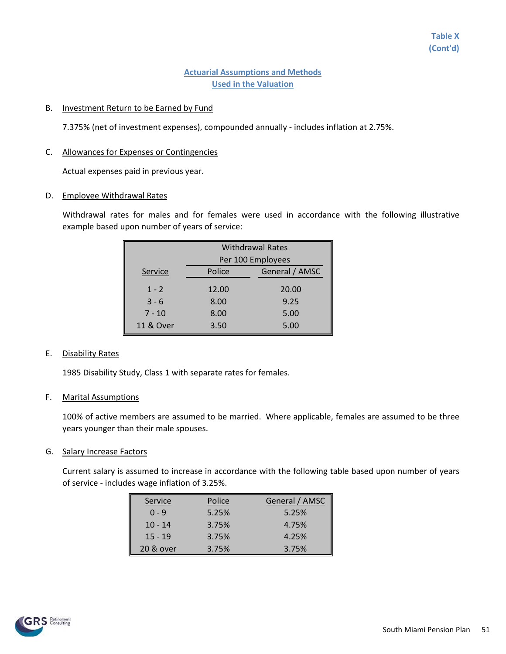#### B. Investment Return to be Earned by Fund

7.375% (net of investment expenses), compounded annually - includes inflation at 2.75%.

#### C. Allowances for Expenses or Contingencies

Actual expenses paid in previous year.

#### D. Employee Withdrawal Rates

Withdrawal rates for males and for females were used in accordance with the following illustrative example based upon number of years of service:

|           | <b>Withdrawal Rates</b> |                |  |
|-----------|-------------------------|----------------|--|
|           | Per 100 Employees       |                |  |
| Service   | Police                  | General / AMSC |  |
| $1 - 2$   | 12.00                   | 20.00          |  |
| $3 - 6$   | 8.00                    | 9.25           |  |
| $7 - 10$  | 8.00                    | 5.00           |  |
| 11 & Over | 3.50                    | 5.00           |  |

### E. Disability Rates

1985 Disability Study, Class 1 with separate rates for females.

### F. Marital Assumptions

100% of active members are assumed to be married. Where applicable, females are assumed to be three years younger than their male spouses.

### G. Salary Increase Factors

Current salary is assumed to increase in accordance with the following table based upon number of years of service - includes wage inflation of 3.25%.

| Service   | Police | General / AMSC |
|-----------|--------|----------------|
| $0 - 9$   | 5.25%  | 5.25%          |
| $10 - 14$ | 3.75%  | 4.75%          |
| $15 - 19$ | 3.75%  | 4.25%          |
| 20 & over | 3.75%  | 3.75%          |

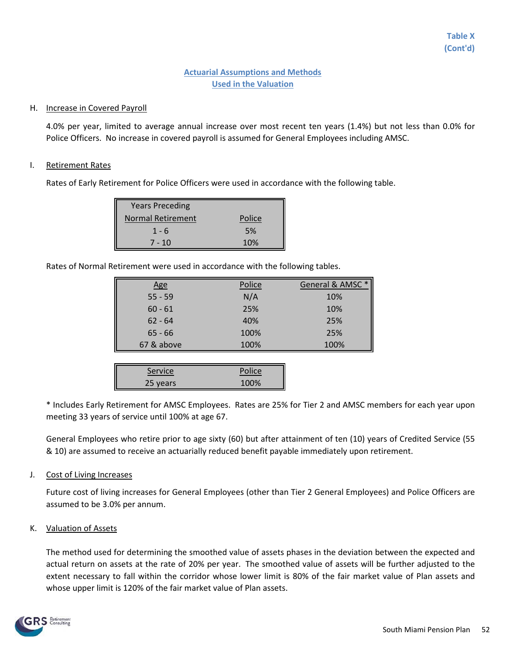### H. Increase in Covered Payroll

4.0% per year, limited to average annual increase over most recent ten years (1.4%) but not less than 0.0% for Police Officers. No increase in covered payroll is assumed for General Employees including AMSC.

#### I. Retirement Rates

Rates of Early Retirement for Police Officers were used in accordance with the following table.

| <b>Years Preceding</b> |        |
|------------------------|--------|
| Normal Retirement      | Police |
| $1 - 6$                | 5%     |
| $7 - 10$               | 10%    |

Rates of Normal Retirement were used in accordance with the following tables.

| <u>Age</u> | Police | General & AMSC* |
|------------|--------|-----------------|
| $55 - 59$  | N/A    | 10%             |
| $60 - 61$  | 25%    | 10%             |
| $62 - 64$  | 40%    | 25%             |
| $65 - 66$  | 100%   | 25%             |
| 67 & above | 100%   | 100%            |

| Service  | Police |
|----------|--------|
| 25 years | 100%   |

\* Includes Early Retirement for AMSC Employees. Rates are 25% for Tier 2 and AMSC members for each year upon meeting 33 years of service until 100% at age 67.

General Employees who retire prior to age sixty (60) but after attainment of ten (10) years of Credited Service (55 & 10) are assumed to receive an actuarially reduced benefit payable immediately upon retirement.

J. Cost of Living Increases

Future cost of living increases for General Employees (other than Tier 2 General Employees) and Police Officers are assumed to be 3.0% per annum.

### K. Valuation of Assets

The method used for determining the smoothed value of assets phases in the deviation between the expected and actual return on assets at the rate of 20% per year. The smoothed value of assets will be further adjusted to the extent necessary to fall within the corridor whose lower limit is 80% of the fair market value of Plan assets and whose upper limit is 120% of the fair market value of Plan assets.

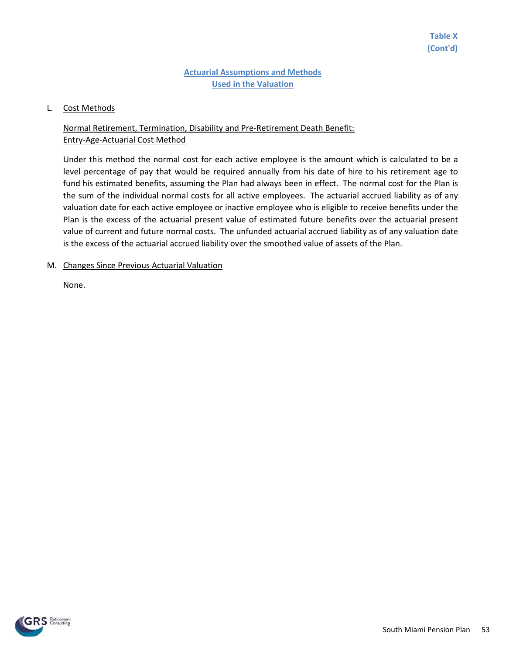### L. Cost Methods

# Normal Retirement, Termination, Disability and Pre-Retirement Death Benefit: Entry-Age-Actuarial Cost Method

Under this method the normal cost for each active employee is the amount which is calculated to be a level percentage of pay that would be required annually from his date of hire to his retirement age to fund his estimated benefits, assuming the Plan had always been in effect. The normal cost for the Plan is the sum of the individual normal costs for all active employees. The actuarial accrued liability as of any valuation date for each active employee or inactive employee who is eligible to receive benefits under the Plan is the excess of the actuarial present value of estimated future benefits over the actuarial present value of current and future normal costs. The unfunded actuarial accrued liability as of any valuation date is the excess of the actuarial accrued liability over the smoothed value of assets of the Plan.

### M. Changes Since Previous Actuarial Valuation

None.

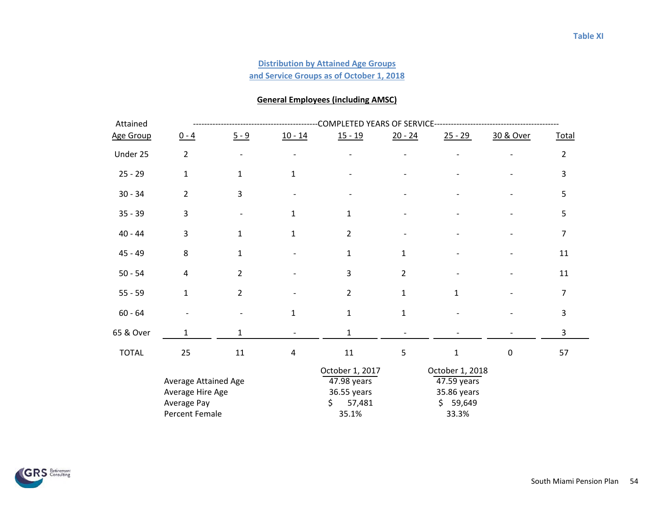## **and Service Groups as of October 1, 2018 Distribution by Attained Age Groups**

## **General Employees (including AMSC)**

| Attained     |                                                         | COMPLETED YEARS OF SERVICE |              |                                                                |                |                                                               |             |                |  |  |
|--------------|---------------------------------------------------------|----------------------------|--------------|----------------------------------------------------------------|----------------|---------------------------------------------------------------|-------------|----------------|--|--|
| Age Group    | $0 - 4$                                                 | $5 - 9$                    | $10 - 14$    | $15 - 19$                                                      | $20 - 24$      | $25 - 29$                                                     | 30 & Over   | Total          |  |  |
| Under 25     | $\overline{2}$                                          |                            |              |                                                                |                |                                                               |             | $\overline{2}$ |  |  |
| $25 - 29$    | $\mathbf{1}$                                            | $\mathbf 1$                | $\mathbf{1}$ |                                                                |                |                                                               |             | 3              |  |  |
| $30 - 34$    | $\overline{2}$                                          | 3                          |              |                                                                |                |                                                               |             | 5              |  |  |
| $35 - 39$    | 3                                                       |                            | 1            | $\mathbf{1}$                                                   |                |                                                               |             | 5              |  |  |
| $40 - 44$    | $\overline{3}$                                          | $\mathbf{1}$               | $\mathbf{1}$ | $\overline{2}$                                                 |                |                                                               |             | 7              |  |  |
| $45 - 49$    | 8                                                       | $\mathbf 1$                |              | $\mathbf{1}$                                                   | $\mathbf 1$    |                                                               |             | $11\,$         |  |  |
| $50 - 54$    | 4                                                       | $\overline{2}$             |              | $\overline{3}$                                                 | $\overline{2}$ |                                                               |             | 11             |  |  |
| $55 - 59$    | $\mathbf{1}$                                            | $\overline{2}$             |              | $\overline{2}$                                                 | $\mathbf 1$    | $\mathbf{1}$                                                  |             | $\overline{7}$ |  |  |
| $60 - 64$    |                                                         |                            | $\mathbf{1}$ | $\mathbf{1}$                                                   | $\mathbf 1$    |                                                               |             | 3              |  |  |
| 65 & Over    | 1                                                       | $\mathbf{1}$               |              | 1                                                              |                |                                                               |             | 3              |  |  |
| <b>TOTAL</b> | 25                                                      | 11                         | 4            | $11\,$                                                         | 5              | $\mathbf{1}$                                                  | $\mathbf 0$ | 57             |  |  |
|              | Average Attained Age<br>Average Hire Age<br>Average Pay |                            |              | October 1, 2017<br>47.98 years<br>36.55 years<br>57,481<br>\$. |                | October 1, 2018<br>47.59 years<br>35.86 years<br>59,649<br>\$ |             |                |  |  |
|              | Percent Female                                          |                            |              | 35.1%                                                          |                | 33.3%                                                         |             |                |  |  |

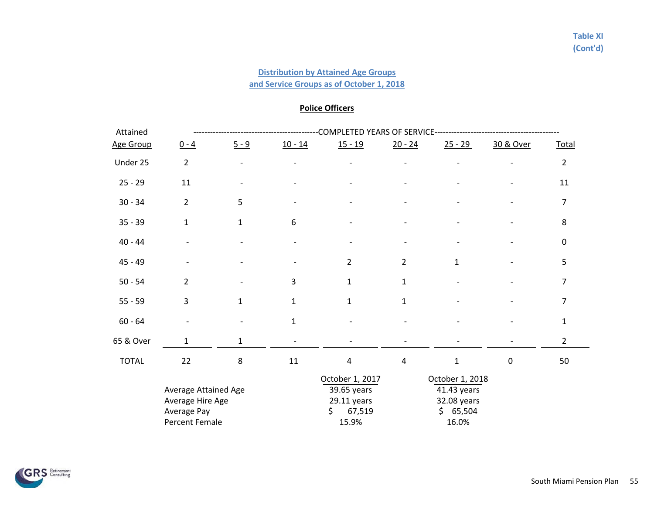### **Distribution by Attained Age Groups**

**and Service Groups as of October 1, 2018**

## **Police Officers**

| Attained     |                                                                           | COMPLETED YEARS OF SERVICE- |             |                                                                          |                         |                                                                    |                  |                |  |  |
|--------------|---------------------------------------------------------------------------|-----------------------------|-------------|--------------------------------------------------------------------------|-------------------------|--------------------------------------------------------------------|------------------|----------------|--|--|
| Age Group    | $0 - 4$                                                                   | $5 - 9$                     | $10 - 14$   | $15 - 19$                                                                | $20 - 24$               | $25 - 29$                                                          | 30 & Over        | Total          |  |  |
| Under 25     | $\overline{2}$                                                            |                             |             |                                                                          |                         |                                                                    |                  | $\overline{2}$ |  |  |
| $25 - 29$    | 11                                                                        |                             |             |                                                                          |                         |                                                                    |                  | 11             |  |  |
| $30 - 34$    | $\overline{2}$                                                            | 5                           |             |                                                                          |                         |                                                                    |                  | $\overline{7}$ |  |  |
| $35 - 39$    | $\mathbf{1}$                                                              | $\mathbf{1}$                | 6           |                                                                          |                         |                                                                    |                  | 8              |  |  |
| $40 - 44$    |                                                                           |                             |             |                                                                          |                         |                                                                    |                  | $\mathbf 0$    |  |  |
| $45 - 49$    |                                                                           |                             |             | $\overline{2}$                                                           | $\overline{2}$          | $\mathbf{1}$                                                       |                  | 5              |  |  |
| $50 - 54$    | $\overline{2}$                                                            |                             | 3           | $\mathbf{1}$                                                             | $\mathbf{1}$            |                                                                    |                  | $\overline{7}$ |  |  |
| $55 - 59$    | 3                                                                         | $\mathbf{1}$                | $\mathbf 1$ | $\mathbf{1}$                                                             | $\mathbf{1}$            |                                                                    |                  | $\overline{7}$ |  |  |
| $60 - 64$    |                                                                           |                             | $\mathbf 1$ |                                                                          |                         |                                                                    |                  | $\mathbf{1}$   |  |  |
| 65 & Over    | 1                                                                         | 1                           |             |                                                                          |                         |                                                                    |                  | $\overline{2}$ |  |  |
| <b>TOTAL</b> | 22                                                                        | 8                           | 11          | 4                                                                        | $\overline{\mathbf{4}}$ | $\mathbf{1}$                                                       | $\boldsymbol{0}$ | 50             |  |  |
|              | Average Attained Age<br>Average Hire Age<br>Average Pay<br>Percent Female |                             |             | October 1, 2017<br>39.65 years<br>$29.11$ years<br>\$<br>67,519<br>15.9% |                         | October 1, 2018<br>41.43 years<br>32.08 years<br>\$65,504<br>16.0% |                  |                |  |  |

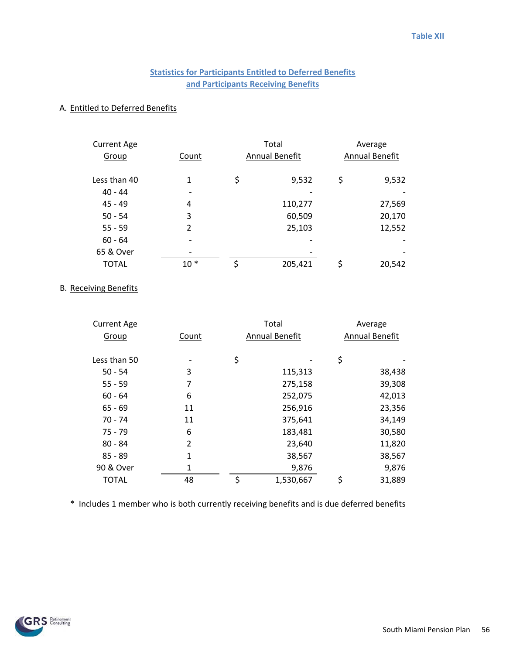# **Statistics for Participants Entitled to Deferred Benefits and Participants Receiving Benefits**

#### A. Entitled to Deferred Benefits

| <b>Current Age</b> |                |                | Total   |                | Average |
|--------------------|----------------|----------------|---------|----------------|---------|
| Group              | Count          | Annual Benefit |         | Annual Benefit |         |
| Less than 40       | 1              | \$             | 9,532   | \$             | 9,532   |
| $40 - 44$          |                |                |         |                |         |
| $45 - 49$          | 4              |                | 110,277 |                | 27,569  |
| $50 - 54$          | 3              |                | 60,509  |                | 20,170  |
| $55 - 59$          | $\overline{2}$ |                | 25,103  |                | 12,552  |
| $60 - 64$          |                |                |         |                |         |
| 65 & Over          |                |                |         |                |         |
| <b>TOTAL</b>       | $10*$          | \$             | 205,421 | \$             | 20,542  |

### B. Receiving Benefits

| <b>Current Age</b> |              | Total                 |    | Average               |  |
|--------------------|--------------|-----------------------|----|-----------------------|--|
| Group              | Count        | <b>Annual Benefit</b> |    | <b>Annual Benefit</b> |  |
|                    |              |                       |    |                       |  |
| Less than 50       |              | \$                    | \$ |                       |  |
| $50 - 54$          | 3            | 115,313               |    | 38,438                |  |
| $55 - 59$          | 7            | 275,158               |    | 39,308                |  |
| $60 - 64$          | 6            | 252,075               |    | 42,013                |  |
| $65 - 69$          | 11           | 256,916               |    | 23,356                |  |
| $70 - 74$          | 11           | 375,641               |    | 34,149                |  |
| $75 - 79$          | 6            | 183,481               |    | 30,580                |  |
| $80 - 84$          | 2            | 23,640                |    | 11,820                |  |
| $85 - 89$          | $\mathbf{1}$ | 38,567                |    | 38,567                |  |
| 90 & Over          | 1            | 9,876                 |    | 9,876                 |  |
| <b>TOTAL</b>       | 48           | \$<br>1,530,667       | \$ | 31,889                |  |

\* Includes 1 member who is both currently receiving benefits and is due deferred benefits

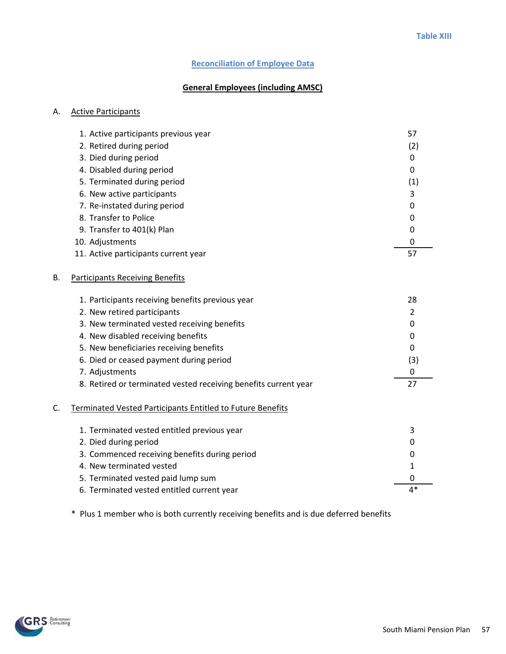### **Reconciliation of Employee Data**

## **General Employees (including AMSC)**

#### A. Active Participants

|           | 1. Active participants previous year   | 57  |
|-----------|----------------------------------------|-----|
|           | 2. Retired during period               | (2) |
|           | 3. Died during period                  | 0   |
|           | 4. Disabled during period              | 0   |
|           | 5. Terminated during period            | (1) |
|           | 6. New active participants             |     |
|           | 7. Re-instated during period           | 0   |
|           | 8. Transfer to Police                  | 0   |
|           | 9. Transfer to 401(k) Plan             |     |
|           | 10. Adjustments                        |     |
|           | 11. Active participants current year   | 57  |
| <b>B.</b> | <b>Participants Receiving Benefits</b> |     |

|    | 1. Participants receiving benefits previous year                | 28  |
|----|-----------------------------------------------------------------|-----|
|    | 2. New retired participants                                     |     |
|    | 3. New terminated vested receiving benefits                     |     |
|    | 4. New disabled receiving benefits                              |     |
|    | 5. New beneficiaries receiving benefits                         |     |
|    | 6. Died or ceased payment during period                         | (3) |
|    | 7. Adjustments                                                  |     |
|    | 8. Retired or terminated vested receiving benefits current year | 27  |
| c. | Terminated Vested Participants Entitled to Future Benefits      |     |
|    | 1. Terminated vested entitled previous year                     | 3   |
|    | 2. Died during period                                           |     |
|    | 3. Commenced receiving benefits during period                   |     |
|    | 4. New terminated vested                                        |     |
|    | 5. Terminated vested paid lump sum                              |     |

\* Plus 1 member who is both currently receiving benefits and is due deferred benefits

6. Terminated vested entitled current year 4\* 4\*

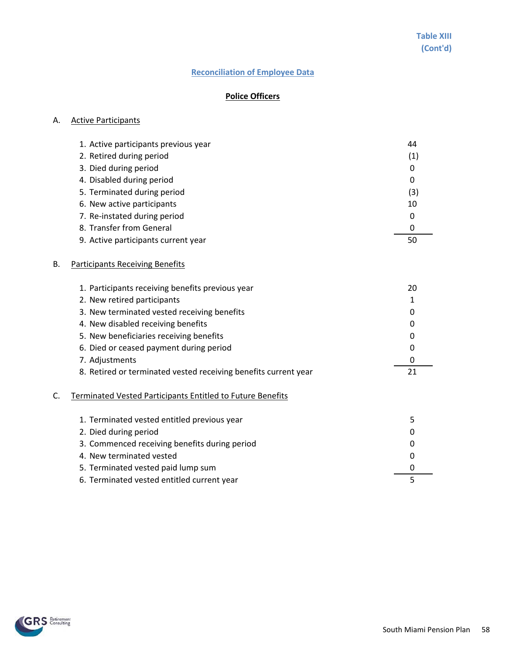## **Reconciliation of Employee Data**

# **Police Officers**

#### A. Active Participants

| 1. Active participants previous year | 44  |
|--------------------------------------|-----|
| 2. Retired during period             | (1) |
| 3. Died during period                | 0   |
| 4. Disabled during period            | 0   |
| 5. Terminated during period          | (3) |
| 6. New active participants           | 10  |
| 7. Re-instated during period         | 0   |
| 8. Transfer from General             | 0   |
| 9. Active participants current year  | 50  |

#### B. Participants Receiving Benefits

| 1. Participants receiving benefits previous year                | 20 |
|-----------------------------------------------------------------|----|
| 2. New retired participants                                     |    |
| 3. New terminated vested receiving benefits                     | 0  |
| 4. New disabled receiving benefits                              | 0  |
| 5. New beneficiaries receiving benefits                         | 0  |
| 6. Died or ceased payment during period                         | 0  |
| 7. Adjustments                                                  |    |
| 8. Retired or terminated vested receiving benefits current year |    |
| Terminated Vested Participants Entitled to Future Benefits      |    |

| 1. Terminated vested entitled previous year   |          |
|-----------------------------------------------|----------|
| 2. Died during period                         | 0        |
| 3. Commenced receiving benefits during period | 0        |
| 4. New terminated vested                      | $\Omega$ |
| 5. Terminated vested paid lump sum            | $\Omega$ |
| 6. Terminated vested entitled current year    |          |

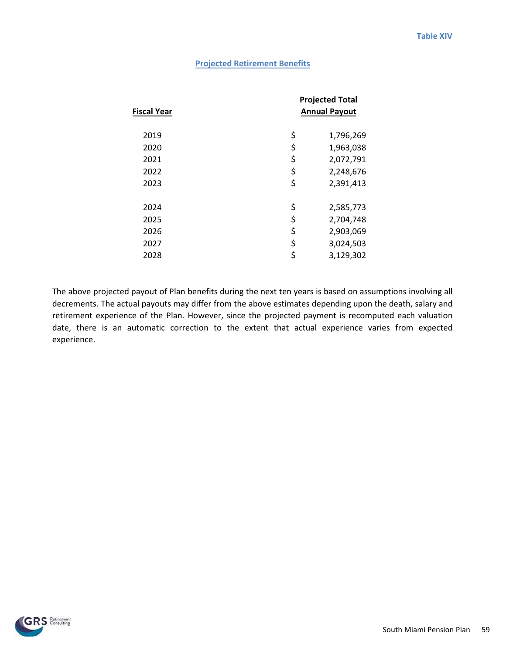#### **Projected Retirement Benefits**

| Fiscal Year | <b>Projected Total</b><br><b>Annual Payout</b> |
|-------------|------------------------------------------------|
| 2019        | \$<br>1,796,269                                |
| 2020        | \$<br>1,963,038                                |
| 2021        | \$<br>2,072,791                                |
| 2022        | \$<br>2,248,676                                |
| 2023        | \$<br>2,391,413                                |
| 2024        | \$<br>2,585,773                                |
| 2025        | \$<br>2,704,748                                |
| 2026        | \$<br>2,903,069                                |
| 2027        | \$<br>3,024,503                                |
| 2028        | \$<br>3,129,302                                |
|             |                                                |

The above projected payout of Plan benefits during the next ten years is based on assumptions involving all decrements. The actual payouts may differ from the above estimates depending upon the death, salary and retirement experience of the Plan. However, since the projected payment is recomputed each valuation date, there is an automatic correction to the extent that actual experience varies from expected experience.

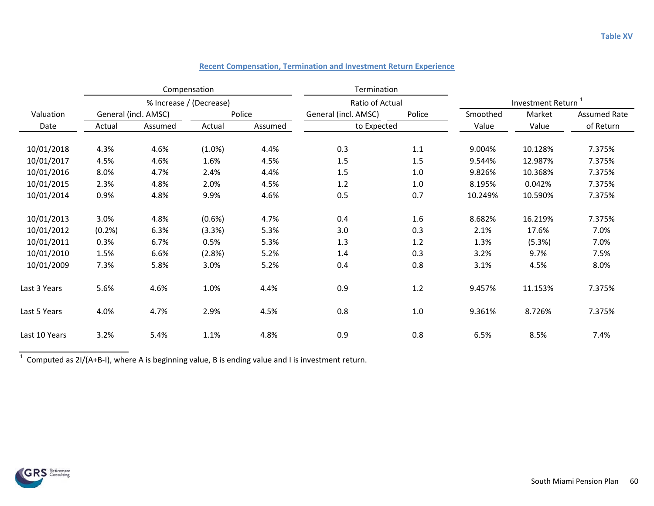|               | Compensation                   |         |        |                      | Termination     |                                |         |                     |           |
|---------------|--------------------------------|---------|--------|----------------------|-----------------|--------------------------------|---------|---------------------|-----------|
|               | % Increase / (Decrease)        |         |        |                      | Ratio of Actual | Investment Return <sup>1</sup> |         |                     |           |
| Valuation     | General (incl. AMSC)<br>Police |         |        | General (incl. AMSC) | Police          | Smoothed                       | Market  | <b>Assumed Rate</b> |           |
| Date          | Actual                         | Assumed | Actual | Assumed              |                 | to Expected                    |         | Value               | of Return |
| 10/01/2018    | 4.3%                           | 4.6%    | (1.0%) | 4.4%                 | 0.3             | 1.1                            | 9.004%  | 10.128%             | 7.375%    |
|               |                                |         |        |                      |                 |                                |         |                     |           |
| 10/01/2017    | 4.5%                           | 4.6%    | 1.6%   | 4.5%                 | 1.5             | 1.5                            | 9.544%  | 12.987%             | 7.375%    |
| 10/01/2016    | 8.0%                           | 4.7%    | 2.4%   | 4.4%                 | 1.5             | 1.0                            | 9.826%  | 10.368%             | 7.375%    |
| 10/01/2015    | 2.3%                           | 4.8%    | 2.0%   | 4.5%                 | 1.2             | 1.0                            | 8.195%  | 0.042%              | 7.375%    |
| 10/01/2014    | 0.9%                           | 4.8%    | 9.9%   | 4.6%                 | 0.5             | 0.7                            | 10.249% | 10.590%             | 7.375%    |
| 10/01/2013    | 3.0%                           | 4.8%    | (0.6%) | 4.7%                 | 0.4             | 1.6                            | 8.682%  | 16.219%             | 7.375%    |
| 10/01/2012    | (0.2%                          | 6.3%    | (3.3%) | 5.3%                 | 3.0             | 0.3                            | 2.1%    | 17.6%               | 7.0%      |
| 10/01/2011    | 0.3%                           | 6.7%    | 0.5%   | 5.3%                 | 1.3             | 1.2                            | 1.3%    | (5.3%)              | 7.0%      |
| 10/01/2010    | 1.5%                           | 6.6%    | (2.8%) | 5.2%                 | 1.4             | 0.3                            | 3.2%    | 9.7%                | 7.5%      |
| 10/01/2009    | 7.3%                           | 5.8%    | 3.0%   | 5.2%                 | 0.4             | 0.8                            | 3.1%    | 4.5%                | 8.0%      |
| Last 3 Years  | 5.6%                           | 4.6%    | 1.0%   | 4.4%                 | 0.9             | 1.2                            | 9.457%  | 11.153%             | 7.375%    |
| Last 5 Years  | 4.0%                           | 4.7%    | 2.9%   | 4.5%                 | 0.8             | 1.0                            | 9.361%  | 8.726%              | 7.375%    |
| Last 10 Years | 3.2%                           | 5.4%    | 1.1%   | 4.8%                 | 0.9             | 0.8                            | 6.5%    | 8.5%                | 7.4%      |

### **Recent Compensation, Termination and Investment Return Experience**

<sup>1</sup> Computed as 2I/(A+B-I), where A is beginning value, B is ending value and I is investment return.

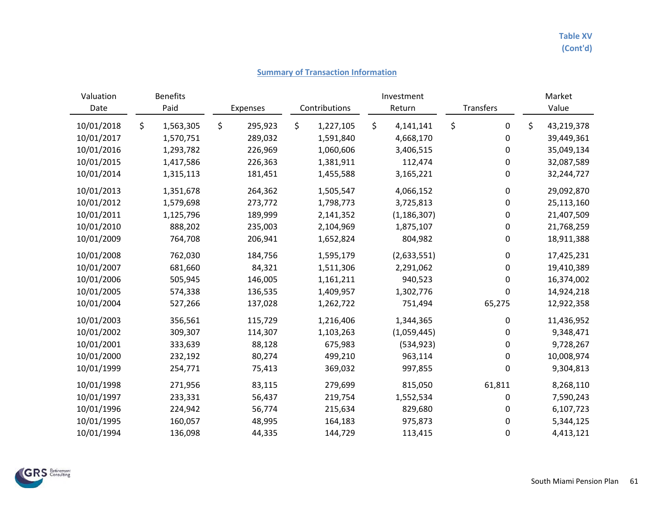### **Summary of Transaction Information**

| Valuation<br>Date | <b>Benefits</b><br>Paid | Expenses      | Contributions   | Investment<br>Return<br>Transfers |               |    | Market<br>Value |    |            |
|-------------------|-------------------------|---------------|-----------------|-----------------------------------|---------------|----|-----------------|----|------------|
|                   |                         |               |                 |                                   |               |    |                 |    |            |
| 10/01/2018        | \$<br>1,563,305         | \$<br>295,923 | \$<br>1,227,105 | \$                                | 4,141,141     | \$ | 0               | \$ | 43,219,378 |
| 10/01/2017        | 1,570,751               | 289,032       | 1,591,840       |                                   | 4,668,170     |    | 0               |    | 39,449,361 |
| 10/01/2016        | 1,293,782               | 226,969       | 1,060,606       |                                   | 3,406,515     |    | 0               |    | 35,049,134 |
| 10/01/2015        | 1,417,586               | 226,363       | 1,381,911       |                                   | 112,474       |    | 0               |    | 32,087,589 |
| 10/01/2014        | 1,315,113               | 181,451       | 1,455,588       |                                   | 3,165,221     |    | $\pmb{0}$       |    | 32,244,727 |
| 10/01/2013        | 1,351,678               | 264,362       | 1,505,547       |                                   | 4,066,152     |    | $\pmb{0}$       |    | 29,092,870 |
| 10/01/2012        | 1,579,698               | 273,772       | 1,798,773       |                                   | 3,725,813     |    | $\pmb{0}$       |    | 25,113,160 |
| 10/01/2011        | 1,125,796               | 189,999       | 2,141,352       |                                   | (1, 186, 307) |    | 0               |    | 21,407,509 |
| 10/01/2010        | 888,202                 | 235,003       | 2,104,969       |                                   | 1,875,107     |    | 0               |    | 21,768,259 |
| 10/01/2009        | 764,708                 | 206,941       | 1,652,824       |                                   | 804,982       |    | 0               |    | 18,911,388 |
| 10/01/2008        | 762,030                 | 184,756       | 1,595,179       |                                   | (2,633,551)   |    | 0               |    | 17,425,231 |
| 10/01/2007        | 681,660                 | 84,321        | 1,511,306       |                                   | 2,291,062     |    | 0               |    | 19,410,389 |
| 10/01/2006        | 505,945                 | 146,005       | 1,161,211       |                                   | 940,523       |    | 0               |    | 16,374,002 |
| 10/01/2005        | 574,338                 | 136,535       | 1,409,957       |                                   | 1,302,776     |    | 0               |    | 14,924,218 |
| 10/01/2004        | 527,266                 | 137,028       | 1,262,722       |                                   | 751,494       |    | 65,275          |    | 12,922,358 |
| 10/01/2003        | 356,561                 | 115,729       | 1,216,406       |                                   | 1,344,365     |    | 0               |    | 11,436,952 |
| 10/01/2002        | 309,307                 | 114,307       | 1,103,263       |                                   | (1,059,445)   |    | 0               |    | 9,348,471  |
| 10/01/2001        | 333,639                 | 88,128        | 675,983         |                                   | (534, 923)    |    | 0               |    | 9,728,267  |
| 10/01/2000        | 232,192                 | 80,274        | 499,210         |                                   | 963,114       |    | 0               |    | 10,008,974 |
| 10/01/1999        | 254,771                 | 75,413        | 369,032         |                                   | 997,855       |    | 0               |    | 9,304,813  |
| 10/01/1998        | 271,956                 | 83,115        | 279,699         |                                   | 815,050       |    | 61,811          |    | 8,268,110  |
| 10/01/1997        | 233,331                 | 56,437        | 219,754         |                                   | 1,552,534     |    | 0               |    | 7,590,243  |
| 10/01/1996        | 224,942                 | 56,774        | 215,634         |                                   | 829,680       |    | 0               |    | 6,107,723  |
| 10/01/1995        | 160,057                 | 48,995        | 164,183         |                                   | 975,873       |    | 0               |    | 5,344,125  |
| 10/01/1994        | 136,098                 | 44,335        | 144,729         |                                   | 113,415       |    | 0               |    | 4,413,121  |

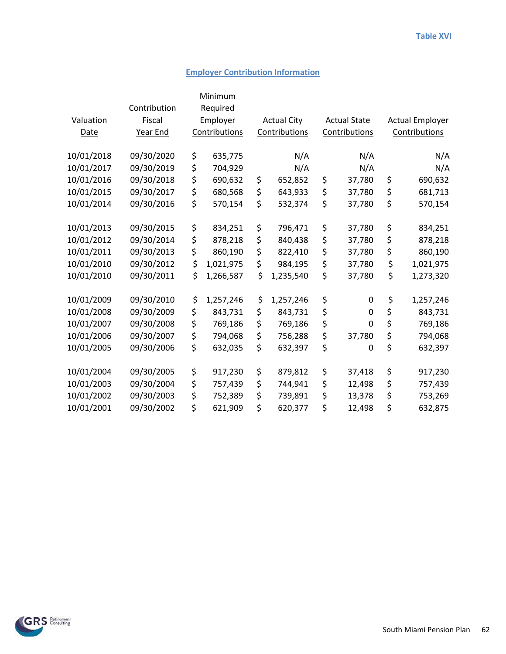## **Employer Contribution Information**

|            |              | Minimum         |                    |                     |                        |
|------------|--------------|-----------------|--------------------|---------------------|------------------------|
|            | Contribution | Required        |                    |                     |                        |
| Valuation  | Fiscal       | Employer        | <b>Actual City</b> | <b>Actual State</b> | <b>Actual Employer</b> |
| Date       | Year End     | Contributions   | Contributions      | Contributions       | Contributions          |
| 10/01/2018 | 09/30/2020   | 635,775         | N/A                | N/A                 | N/A                    |
|            |              | \$              |                    |                     |                        |
| 10/01/2017 | 09/30/2019   | \$<br>704,929   | N/A                | N/A                 | N/A                    |
| 10/01/2016 | 09/30/2018   | \$<br>690,632   | \$<br>652,852      | \$<br>37,780        | \$<br>690,632          |
| 10/01/2015 | 09/30/2017   | \$<br>680,568   | \$<br>643,933      | \$<br>37,780        | \$<br>681,713          |
| 10/01/2014 | 09/30/2016   | \$<br>570,154   | \$<br>532,374      | \$<br>37,780        | \$<br>570,154          |
| 10/01/2013 | 09/30/2015   | \$<br>834,251   | \$<br>796,471      | \$<br>37,780        | \$<br>834,251          |
| 10/01/2012 | 09/30/2014   | \$<br>878,218   | \$<br>840,438      | \$<br>37,780        | \$<br>878,218          |
|            |              |                 |                    |                     |                        |
| 10/01/2011 | 09/30/2013   | \$<br>860,190   | \$<br>822,410      | \$<br>37,780        | \$<br>860,190          |
| 10/01/2010 | 09/30/2012   | \$<br>1,021,975 | \$<br>984,195      | \$<br>37,780        | \$<br>1,021,975        |
| 10/01/2010 | 09/30/2011   | \$<br>1,266,587 | \$<br>1,235,540    | \$<br>37,780        | \$<br>1,273,320        |
| 10/01/2009 | 09/30/2010   | \$<br>1,257,246 | \$<br>1,257,246    | \$<br>0             | \$<br>1,257,246        |
| 10/01/2008 | 09/30/2009   | \$<br>843,731   | \$<br>843,731      | \$<br>0             | \$<br>843,731          |
| 10/01/2007 | 09/30/2008   | \$<br>769,186   | \$<br>769,186      | \$<br>0             | \$<br>769,186          |
| 10/01/2006 | 09/30/2007   | \$<br>794,068   | \$<br>756,288      | \$<br>37,780        | \$<br>794,068          |
| 10/01/2005 | 09/30/2006   | \$<br>632,035   | \$<br>632,397      | \$<br>0             | \$<br>632,397          |
|            |              |                 |                    |                     |                        |
| 10/01/2004 | 09/30/2005   | \$<br>917,230   | \$<br>879,812      | \$<br>37,418        | \$<br>917,230          |
| 10/01/2003 | 09/30/2004   | \$<br>757,439   | \$<br>744,941      | \$<br>12,498        | \$<br>757,439          |
| 10/01/2002 | 09/30/2003   | \$<br>752,389   | \$<br>739,891      | \$<br>13,378        | \$<br>753,269          |
| 10/01/2001 | 09/30/2002   | \$<br>621,909   | \$<br>620,377      | \$<br>12,498        | \$<br>632,875          |

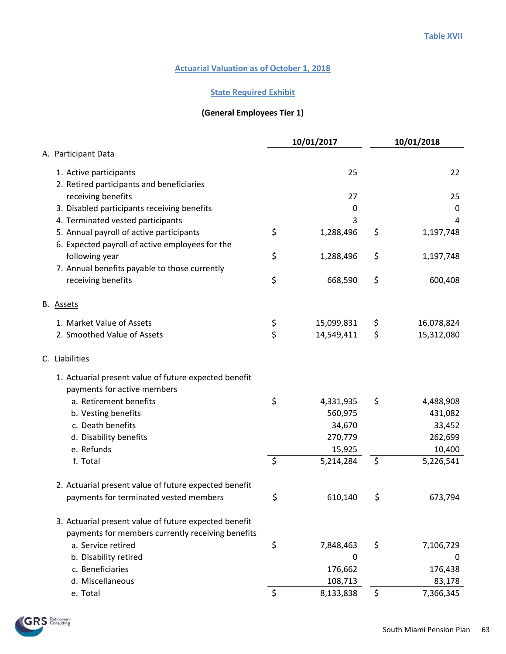## **State Required Exhibit**

# **(General Employees Tier 1)**

|                                                       |         | 10/01/2017  |    | 10/01/2018 |
|-------------------------------------------------------|---------|-------------|----|------------|
| A. Participant Data                                   |         |             |    |            |
| 1. Active participants                                |         | 25          |    | 22         |
| 2. Retired participants and beneficiaries             |         |             |    |            |
| receiving benefits                                    |         | 27          |    | 25         |
| 3. Disabled participants receiving benefits           |         | 0           |    | 0          |
| 4. Terminated vested participants                     |         | 3           |    | 4          |
| 5. Annual payroll of active participants              | \$      | 1,288,496   | \$ | 1,197,748  |
| 6. Expected payroll of active employees for the       |         |             |    |            |
| following year                                        | \$      | 1,288,496   | \$ | 1,197,748  |
| 7. Annual benefits payable to those currently         |         |             |    |            |
| receiving benefits                                    | \$      | 668,590     | \$ | 600,408    |
| B. Assets                                             |         |             |    |            |
| 1. Market Value of Assets                             | \$      | 15,099,831  | Ş  | 16,078,824 |
| 2. Smoothed Value of Assets                           | \$      | 14,549,411  | \$ | 15,312,080 |
| C. Liabilities                                        |         |             |    |            |
| 1. Actuarial present value of future expected benefit |         |             |    |            |
| payments for active members                           |         |             |    |            |
| a. Retirement benefits                                | \$      | 4,331,935   | \$ | 4,488,908  |
| b. Vesting benefits                                   |         | 560,975     |    | 431,082    |
| c. Death benefits                                     |         | 34,670      |    | 33,452     |
| d. Disability benefits                                |         | 270,779     |    | 262,699    |
| e. Refunds                                            |         | 15,925      |    | 10,400     |
| f. Total                                              | $\zeta$ | 5,214,284   | \$ | 5,226,541  |
| 2. Actuarial present value of future expected benefit |         |             |    |            |
| payments for terminated vested members                | \$      | 610,140     | \$ | 673,794    |
| 3. Actuarial present value of future expected benefit |         |             |    |            |
| payments for members currently receiving benefits     |         |             |    |            |
| a. Service retired                                    | \$      | 7,848,463   | \$ | 7,106,729  |
| b. Disability retired                                 |         | $\mathbf 0$ |    | 0          |
| c. Beneficiaries                                      |         | 176,662     |    | 176,438    |
| d. Miscellaneous                                      |         | 108,713     |    | 83,178     |
| e. Total                                              | \$      | 8,133,838   | \$ | 7,366,345  |

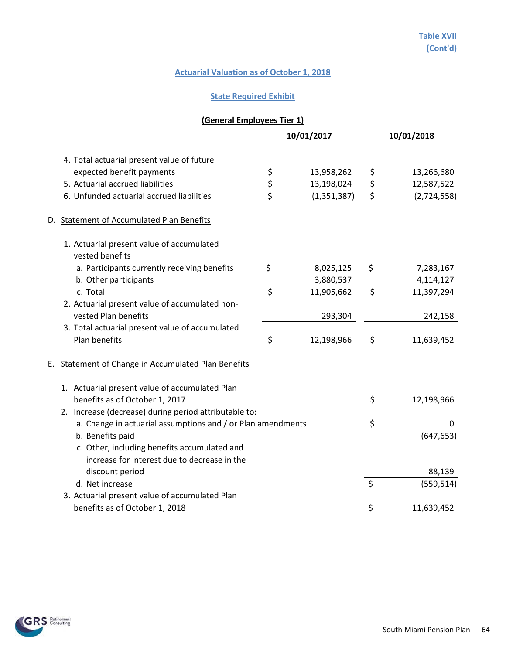## **State Required Exhibit**

# **(General Employees Tier 1)**

|                                                               |                | 10/01/2017    |    | 10/01/2018  |
|---------------------------------------------------------------|----------------|---------------|----|-------------|
| 4. Total actuarial present value of future                    |                |               |    |             |
| expected benefit payments                                     |                | 13,958,262    | \$ | 13,266,680  |
| 5. Actuarial accrued liabilities                              | \$<br>\$<br>\$ | 13,198,024    | \$ | 12,587,522  |
| 6. Unfunded actuarial accrued liabilities                     |                | (1, 351, 387) | \$ | (2,724,558) |
| D. Statement of Accumulated Plan Benefits                     |                |               |    |             |
| 1. Actuarial present value of accumulated<br>vested benefits  |                |               |    |             |
| a. Participants currently receiving benefits                  | \$             | 8,025,125     | \$ | 7,283,167   |
| b. Other participants                                         |                | 3,880,537     |    | 4,114,127   |
| c. Total                                                      | $\zeta$        | 11,905,662    | \$ | 11,397,294  |
| 2. Actuarial present value of accumulated non-                |                |               |    |             |
| vested Plan benefits                                          |                | 293,304       |    | 242,158     |
| 3. Total actuarial present value of accumulated               |                |               |    |             |
| Plan benefits                                                 | \$             | 12,198,966    | \$ | 11,639,452  |
| <b>Statement of Change in Accumulated Plan Benefits</b><br>Е. |                |               |    |             |
| 1. Actuarial present value of accumulated Plan                |                |               |    |             |
| benefits as of October 1, 2017                                |                |               | \$ | 12,198,966  |
| 2. Increase (decrease) during period attributable to:         |                |               |    |             |
| a. Change in actuarial assumptions and / or Plan amendments   |                |               | \$ | 0           |
| b. Benefits paid                                              |                |               |    | (647, 653)  |
| c. Other, including benefits accumulated and                  |                |               |    |             |
| increase for interest due to decrease in the                  |                |               |    |             |
| discount period                                               |                |               |    | 88,139      |
| d. Net increase                                               |                |               | \$ | (559, 514)  |
| 3. Actuarial present value of accumulated Plan                |                |               |    |             |
| benefits as of October 1, 2018                                |                |               | \$ | 11,639,452  |

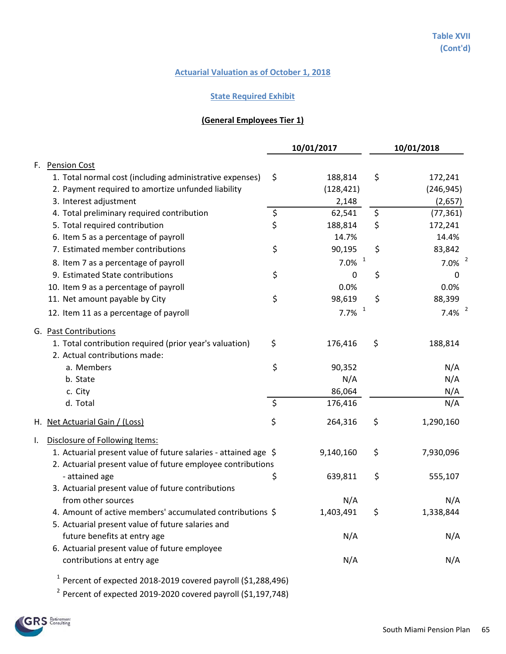## **State Required Exhibit**

# **(General Employees Tier 1)**

|    |                                                                                          |               | 10/01/2017           |                          | 10/01/2018           |
|----|------------------------------------------------------------------------------------------|---------------|----------------------|--------------------------|----------------------|
| F. | <b>Pension Cost</b>                                                                      |               |                      |                          |                      |
|    | 1. Total normal cost (including administrative expenses)                                 | \$            | 188,814              | \$                       | 172,241              |
|    | 2. Payment required to amortize unfunded liability                                       |               | (128, 421)           |                          | (246, 945)           |
|    | 3. Interest adjustment                                                                   |               | 2,148                |                          | (2,657)              |
|    | 4. Total preliminary required contribution                                               |               | 62,541               | $\overline{\mathcal{S}}$ | (77, 361)            |
|    | 5. Total required contribution                                                           | $\frac{1}{2}$ | 188,814              | \$                       | 172,241              |
|    | 6. Item 5 as a percentage of payroll                                                     |               | 14.7%                |                          | 14.4%                |
|    | 7. Estimated member contributions                                                        | \$            | 90,195               | \$                       | 83,842               |
|    | 8. Item 7 as a percentage of payroll                                                     |               | $7.0\%$ <sup>1</sup> |                          | $7.0\%$ <sup>2</sup> |
|    | 9. Estimated State contributions                                                         | \$            | 0                    | \$                       | 0                    |
|    | 10. Item 9 as a percentage of payroll                                                    |               | 0.0%                 |                          | 0.0%                 |
|    | 11. Net amount payable by City                                                           | \$            | 98,619               | \$                       | 88,399               |
|    | 12. Item 11 as a percentage of payroll                                                   |               | $7.7\%$ <sup>1</sup> |                          | $7.4\%$ <sup>2</sup> |
|    | G. Past Contributions                                                                    |               |                      |                          |                      |
|    | 1. Total contribution required (prior year's valuation)<br>2. Actual contributions made: | \$            | 176,416              | \$                       | 188,814              |
|    | a. Members                                                                               | \$            | 90,352               |                          | N/A                  |
|    | b. State                                                                                 |               | N/A                  |                          | N/A                  |
|    | c. City                                                                                  |               | 86,064               |                          | N/A                  |
|    | d. Total                                                                                 | \$            | 176,416              |                          | N/A                  |
|    | H. Net Actuarial Gain / (Loss)                                                           | \$            | 264,316              | \$                       | 1,290,160            |
| L. | Disclosure of Following Items:                                                           |               |                      |                          |                      |
|    | 1. Actuarial present value of future salaries - attained age \$                          |               | 9,140,160            | \$                       | 7,930,096            |
|    | 2. Actuarial present value of future employee contributions                              |               |                      |                          |                      |
|    | - attained age                                                                           | \$            | 639,811              | \$                       | 555,107              |
|    | 3. Actuarial present value of future contributions                                       |               |                      |                          |                      |
|    | from other sources                                                                       |               | N/A                  |                          | N/A                  |
|    | 4. Amount of active members' accumulated contributions \$                                |               | 1,403,491            | \$                       | 1,338,844            |
|    | 5. Actuarial present value of future salaries and                                        |               |                      |                          |                      |
|    | future benefits at entry age                                                             |               | N/A                  |                          | N/A                  |
|    | 6. Actuarial present value of future employee                                            |               |                      |                          |                      |
|    | contributions at entry age                                                               |               | N/A                  |                          | N/A                  |
|    | $1$ Percent of expected 2018-2019 covered payroll (\$1,288,496)                          |               |                      |                          |                      |
|    | $2$ Percent of expected 2019-2020 covered payroll (\$1,197,748)                          |               |                      |                          |                      |

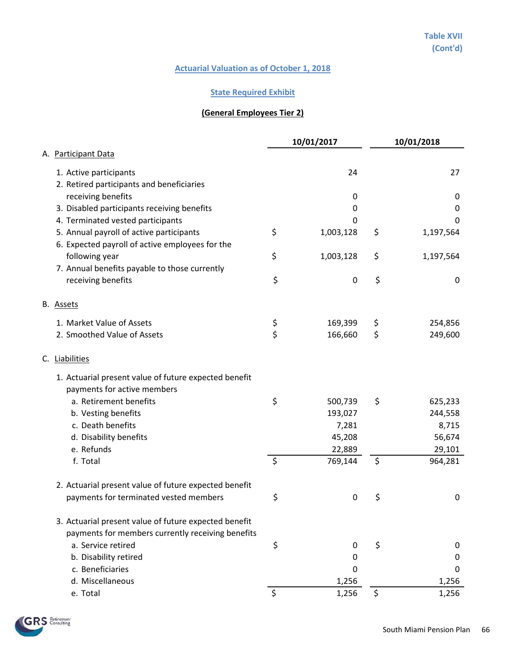## **State Required Exhibit**

# **(General Employees Tier 2)**

|                                                                                             |         | 10/01/2017  | 10/01/2018      |
|---------------------------------------------------------------------------------------------|---------|-------------|-----------------|
| A. Participant Data                                                                         |         |             |                 |
| 1. Active participants                                                                      |         | 24          | 27              |
| 2. Retired participants and beneficiaries                                                   |         |             |                 |
| receiving benefits                                                                          |         | 0           | 0               |
| 3. Disabled participants receiving benefits                                                 |         | 0           | $\pmb{0}$       |
| 4. Terminated vested participants                                                           |         | 0           | 0               |
| 5. Annual payroll of active participants<br>6. Expected payroll of active employees for the | \$      | 1,003,128   | \$<br>1,197,564 |
| following year                                                                              | \$      | 1,003,128   | \$<br>1,197,564 |
| 7. Annual benefits payable to those currently                                               |         |             |                 |
| receiving benefits                                                                          | \$      | $\mathbf 0$ | \$<br>0         |
| B. Assets                                                                                   |         |             |                 |
| 1. Market Value of Assets                                                                   | \$      | 169,399     | \$<br>254,856   |
| 2. Smoothed Value of Assets                                                                 | \$      | 166,660     | \$<br>249,600   |
| C. Liabilities                                                                              |         |             |                 |
| 1. Actuarial present value of future expected benefit<br>payments for active members        |         |             |                 |
| a. Retirement benefits                                                                      | \$      | 500,739     | \$<br>625,233   |
| b. Vesting benefits                                                                         |         | 193,027     | 244,558         |
| c. Death benefits                                                                           |         | 7,281       | 8,715           |
| d. Disability benefits                                                                      |         | 45,208      | 56,674          |
| e. Refunds                                                                                  |         | 22,889      | 29,101          |
| f. Total                                                                                    | $\zeta$ | 769,144     | \$<br>964,281   |
| 2. Actuarial present value of future expected benefit                                       |         |             |                 |
| payments for terminated vested members                                                      | \$      | $\mathbf 0$ | \$<br>0         |
| 3. Actuarial present value of future expected benefit                                       |         |             |                 |
| payments for members currently receiving benefits                                           |         |             |                 |
| a. Service retired                                                                          | \$      | 0           | \$<br>0         |
| b. Disability retired                                                                       |         | 0           | 0               |
| c. Beneficiaries                                                                            |         | 0           | 0               |
| d. Miscellaneous                                                                            |         | 1,256       | 1,256           |
| e. Total                                                                                    | \$      | 1,256       | \$<br>1,256     |

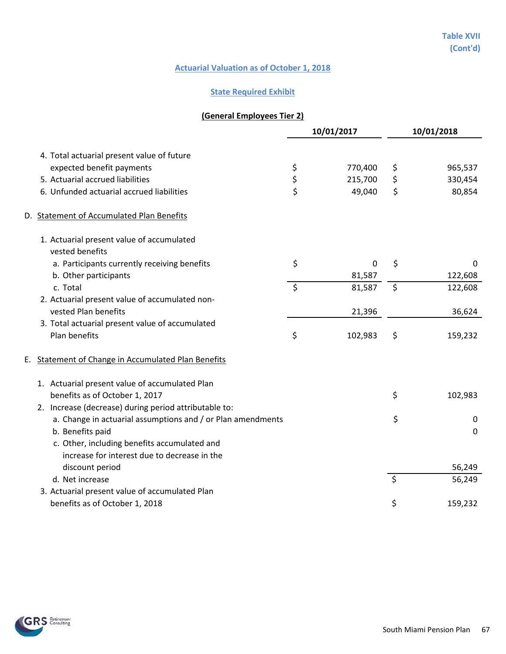## **State Required Exhibit**

# **(General Employees Tier 2)**

|    |                                                              | 10/01/2017 |             | 10/01/2018 |             |
|----|--------------------------------------------------------------|------------|-------------|------------|-------------|
|    | 4. Total actuarial present value of future                   |            |             |            |             |
|    | expected benefit payments                                    | \$         | 770,400     | \$         | 965,537     |
|    | 5. Actuarial accrued liabilities                             |            | 215,700     | \$         | 330,454     |
|    | 6. Unfunded actuarial accrued liabilities                    | \$<br>\$   | 49,040      | \$         | 80,854      |
|    | D. Statement of Accumulated Plan Benefits                    |            |             |            |             |
|    | 1. Actuarial present value of accumulated<br>vested benefits |            |             |            |             |
|    | a. Participants currently receiving benefits                 | \$         | $\mathbf 0$ | \$         | 0           |
|    | b. Other participants                                        |            | 81,587      |            | 122,608     |
|    | c. Total                                                     | $\zeta$    | 81,587      | \$         | 122,608     |
|    | 2. Actuarial present value of accumulated non-               |            |             |            |             |
|    | vested Plan benefits                                         |            | 21,396      |            | 36,624      |
|    | 3. Total actuarial present value of accumulated              |            |             |            |             |
|    | Plan benefits                                                | \$         | 102,983     | \$         | 159,232     |
| Е. | <b>Statement of Change in Accumulated Plan Benefits</b>      |            |             |            |             |
|    | 1. Actuarial present value of accumulated Plan               |            |             |            |             |
|    | benefits as of October 1, 2017                               |            |             | \$         | 102,983     |
|    | 2. Increase (decrease) during period attributable to:        |            |             |            |             |
|    | a. Change in actuarial assumptions and / or Plan amendments  |            |             | \$         | 0           |
|    | b. Benefits paid                                             |            |             |            | $\mathbf 0$ |
|    | c. Other, including benefits accumulated and                 |            |             |            |             |
|    | increase for interest due to decrease in the                 |            |             |            |             |
|    | discount period                                              |            |             |            | 56,249      |
|    | d. Net increase                                              |            |             | \$         | 56,249      |
|    | 3. Actuarial present value of accumulated Plan               |            |             |            |             |
|    | benefits as of October 1, 2018                               |            |             | \$         | 159,232     |

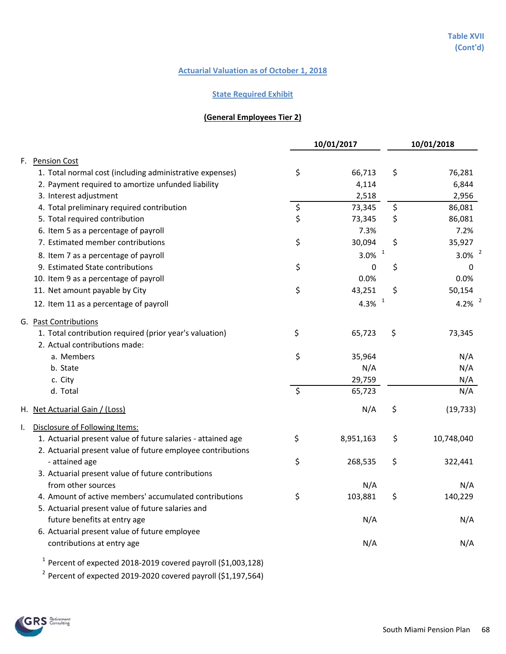#### **State Required Exhibit**

### **(General Employees Tier 2)**

|    |                                                              | 10/01/2017 |                      | 10/01/2018 |             |
|----|--------------------------------------------------------------|------------|----------------------|------------|-------------|
| F. | <b>Pension Cost</b>                                          |            |                      |            |             |
|    | 1. Total normal cost (including administrative expenses)     | \$         | 66,713               | \$         | 76,281      |
|    | 2. Payment required to amortize unfunded liability           |            | 4,114                |            | 6,844       |
|    | 3. Interest adjustment                                       |            | 2,518                |            | 2,956       |
|    | 4. Total preliminary required contribution                   | \$         | 73,345               | \$         | 86,081      |
|    | 5. Total required contribution                               | \$         | 73,345               | \$         | 86,081      |
|    | 6. Item 5 as a percentage of payroll                         |            | 7.3%                 |            | 7.2%        |
|    | 7. Estimated member contributions                            | \$         | 30,094               | \$         | 35,927      |
|    | 8. Item 7 as a percentage of payroll                         |            | $3.0\%$ <sup>1</sup> |            | 3.0% $^{2}$ |
|    | 9. Estimated State contributions                             | \$         | 0                    | \$         | 0           |
|    | 10. Item 9 as a percentage of payroll                        |            | 0.0%                 |            | 0.0%        |
|    | 11. Net amount payable by City                               | \$         | 43,251               | \$         | 50,154      |
|    | 12. Item 11 as a percentage of payroll                       |            | 4.3% $1$             |            | 4.2% $^{2}$ |
|    | G. Past Contributions                                        |            |                      |            |             |
|    | 1. Total contribution required (prior year's valuation)      | \$         | 65,723               | \$         | 73,345      |
|    | 2. Actual contributions made:                                |            |                      |            |             |
|    | a. Members                                                   | \$         | 35,964               |            | N/A         |
|    | b. State                                                     |            | N/A                  |            | N/A         |
|    | c. City                                                      |            | 29,759               |            | N/A         |
|    | d. Total                                                     | $\zeta$    | 65,723               |            | N/A         |
|    | H. Net Actuarial Gain / (Loss)                               |            | N/A                  | \$         | (19, 733)   |
| ı. | Disclosure of Following Items:                               |            |                      |            |             |
|    | 1. Actuarial present value of future salaries - attained age | \$         | 8,951,163            | \$         | 10,748,040  |
|    | 2. Actuarial present value of future employee contributions  |            |                      |            |             |
|    | - attained age                                               | \$         | 268,535              | \$         | 322,441     |
|    | 3. Actuarial present value of future contributions           |            |                      |            |             |
|    | from other sources                                           |            | N/A                  |            | N/A         |
|    | 4. Amount of active members' accumulated contributions       | $\ddot{ }$ | 103,881              | Ş          | 140,229     |
|    | 5. Actuarial present value of future salaries and            |            |                      |            |             |
|    | future benefits at entry age                                 |            | N/A                  |            | N/A         |
|    | 6. Actuarial present value of future employee                |            |                      |            |             |
|    | contributions at entry age                                   |            | N/A                  |            | N/A         |
|    |                                                              |            |                      |            |             |

 $1$  Percent of expected 2018-2019 covered payroll (\$1,003,128)

<sup>2</sup> Percent of expected 2019-2020 covered payroll (\$1,197,564)

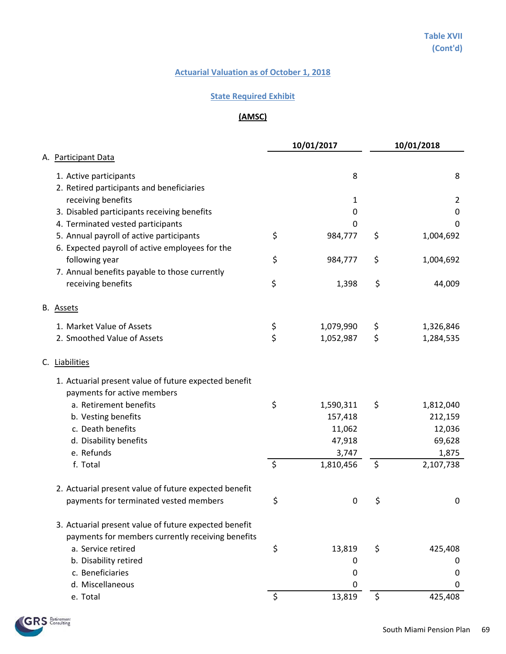#### **State Required Exhibit**

# **(AMSC)**

|                                                       |         | 10/01/2017  | 10/01/2018      |
|-------------------------------------------------------|---------|-------------|-----------------|
| A. Participant Data                                   |         |             |                 |
| 1. Active participants                                |         | 8           | 8               |
| 2. Retired participants and beneficiaries             |         |             |                 |
| receiving benefits                                    |         | 1           | 2               |
| 3. Disabled participants receiving benefits           |         | 0           | $\mathbf 0$     |
| 4. Terminated vested participants                     |         | 0           | 0               |
| 5. Annual payroll of active participants              | \$      | 984,777     | \$<br>1,004,692 |
| 6. Expected payroll of active employees for the       |         |             |                 |
| following year                                        | \$      | 984,777     | \$<br>1,004,692 |
| 7. Annual benefits payable to those currently         |         |             |                 |
| receiving benefits                                    | \$      | 1,398       | \$<br>44,009    |
| B. Assets                                             |         |             |                 |
| 1. Market Value of Assets                             | \$      | 1,079,990   | \$<br>1,326,846 |
| 2. Smoothed Value of Assets                           | \$      | 1,052,987   | \$<br>1,284,535 |
| C. Liabilities                                        |         |             |                 |
| 1. Actuarial present value of future expected benefit |         |             |                 |
| payments for active members                           |         |             |                 |
| a. Retirement benefits                                | \$      | 1,590,311   | \$<br>1,812,040 |
| b. Vesting benefits                                   |         | 157,418     | 212,159         |
| c. Death benefits                                     |         | 11,062      | 12,036          |
| d. Disability benefits                                |         | 47,918      | 69,628          |
| e. Refunds                                            |         | 3,747       | 1,875           |
| f. Total                                              | $\zeta$ | 1,810,456   | \$<br>2,107,738 |
| 2. Actuarial present value of future expected benefit |         |             |                 |
| payments for terminated vested members                | \$      | $\mathbf 0$ | \$<br>0         |
| 3. Actuarial present value of future expected benefit |         |             |                 |
| payments for members currently receiving benefits     |         |             |                 |
| a. Service retired                                    | \$      | 13,819      | \$<br>425,408   |
| b. Disability retired                                 |         | 0           | 0               |
| c. Beneficiaries                                      |         | 0           | 0               |
| d. Miscellaneous                                      |         | 0           | 0               |
| e. Total                                              | \$      | 13,819      | \$<br>425,408   |

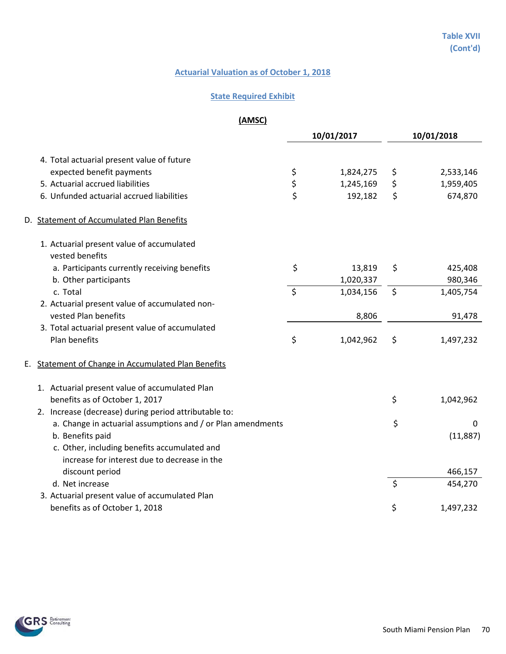## **State Required Exhibit**

**(AMSC)**

|    |                                                             | 10/01/2017 |           | 10/01/2018 |           |
|----|-------------------------------------------------------------|------------|-----------|------------|-----------|
|    | 4. Total actuarial present value of future                  |            |           |            |           |
|    | expected benefit payments                                   | \$         | 1,824,275 | \$         | 2,533,146 |
|    | 5. Actuarial accrued liabilities                            | \$         | 1,245,169 | \$         | 1,959,405 |
|    | 6. Unfunded actuarial accrued liabilities                   | \$         | 192,182   | \$         | 674,870   |
|    | D. Statement of Accumulated Plan Benefits                   |            |           |            |           |
|    | 1. Actuarial present value of accumulated                   |            |           |            |           |
|    | vested benefits                                             |            |           |            |           |
|    | a. Participants currently receiving benefits                | \$         | 13,819    | \$         | 425,408   |
|    | b. Other participants                                       |            | 1,020,337 |            | 980,346   |
|    | c. Total                                                    | $\zeta$    | 1,034,156 | $\zeta$    | 1,405,754 |
|    | 2. Actuarial present value of accumulated non-              |            |           |            |           |
|    | vested Plan benefits                                        |            | 8,806     |            | 91,478    |
|    | 3. Total actuarial present value of accumulated             |            |           |            |           |
|    | Plan benefits                                               | \$         | 1,042,962 | \$         | 1,497,232 |
| Е. | <b>Statement of Change in Accumulated Plan Benefits</b>     |            |           |            |           |
|    | 1. Actuarial present value of accumulated Plan              |            |           |            |           |
|    | benefits as of October 1, 2017                              |            |           | \$         | 1,042,962 |
|    | 2. Increase (decrease) during period attributable to:       |            |           |            |           |
|    | a. Change in actuarial assumptions and / or Plan amendments |            |           | \$         | 0         |
|    | b. Benefits paid                                            |            |           |            | (11, 887) |
|    | c. Other, including benefits accumulated and                |            |           |            |           |
|    | increase for interest due to decrease in the                |            |           |            |           |
|    | discount period                                             |            |           |            | 466,157   |
|    | d. Net increase                                             |            |           | \$         | 454,270   |
|    | 3. Actuarial present value of accumulated Plan              |            |           |            |           |
|    | benefits as of October 1, 2018                              |            |           | \$         | 1,497,232 |

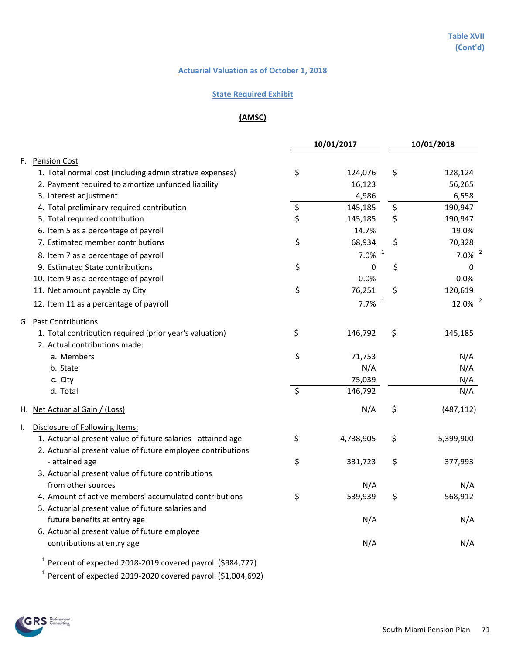#### **State Required Exhibit**

## **(AMSC)**

|    |                                                              |         | 10/01/2017           | 10/01/2018 |                       |
|----|--------------------------------------------------------------|---------|----------------------|------------|-----------------------|
| F. | <b>Pension Cost</b>                                          |         |                      |            |                       |
|    | 1. Total normal cost (including administrative expenses)     | \$      | 124,076              | \$         | 128,124               |
|    | 2. Payment required to amortize unfunded liability           |         | 16,123               |            | 56,265                |
|    | 3. Interest adjustment                                       |         | 4,986                |            | 6,558                 |
|    | 4. Total preliminary required contribution                   | \$      | 145,185              | \$         | 190,947               |
|    | 5. Total required contribution                               | \$      | 145,185              | \$         | 190,947               |
|    | 6. Item 5 as a percentage of payroll                         |         | 14.7%                |            | 19.0%                 |
|    | 7. Estimated member contributions                            | \$      | 68,934               | \$         | 70,328                |
|    | 8. Item 7 as a percentage of payroll                         |         | $7.0\%$ <sup>1</sup> |            | $7.0\%$ <sup>2</sup>  |
|    | 9. Estimated State contributions                             | \$      | 0                    | \$         | 0                     |
|    | 10. Item 9 as a percentage of payroll                        |         | 0.0%                 |            | 0.0%                  |
|    | 11. Net amount payable by City                               | \$      | 76,251               | \$         | 120,619               |
|    | 12. Item 11 as a percentage of payroll                       |         | $7.7\%$ <sup>1</sup> |            | $12.0\%$ <sup>2</sup> |
|    | G. Past Contributions                                        |         |                      |            |                       |
|    | 1. Total contribution required (prior year's valuation)      | \$      | 146,792              | \$         | 145,185               |
|    | 2. Actual contributions made:                                |         |                      |            |                       |
|    | a. Members                                                   | \$      | 71,753               |            | N/A                   |
|    | b. State                                                     |         | N/A                  |            | N/A                   |
|    | c. City                                                      |         | 75,039               |            | N/A                   |
|    | d. Total                                                     | $\zeta$ | 146,792              |            | N/A                   |
|    | H. Net Actuarial Gain / (Loss)                               |         | N/A                  | \$         | (487, 112)            |
| I. | Disclosure of Following Items:                               |         |                      |            |                       |
|    | 1. Actuarial present value of future salaries - attained age | \$      | 4,738,905            | \$         | 5,399,900             |
|    | 2. Actuarial present value of future employee contributions  |         |                      |            |                       |
|    | - attained age                                               | \$      | 331,723              | \$         | 377,993               |
|    | 3. Actuarial present value of future contributions           |         |                      |            |                       |
|    | from other sources                                           |         | N/A                  |            | N/A                   |
|    | 4. Amount of active members' accumulated contributions       | \$      | 539,939              | \$         | 568,912               |
|    | 5. Actuarial present value of future salaries and            |         |                      |            |                       |
|    | future benefits at entry age                                 |         | N/A                  |            | N/A                   |
|    | 6. Actuarial present value of future employee                |         |                      |            |                       |
|    | contributions at entry age                                   |         | N/A                  |            | N/A                   |
|    |                                                              |         |                      |            |                       |

 $1$  Percent of expected 2018-2019 covered payroll (\$984,777)

 $1$  Percent of expected 2019-2020 covered payroll (\$1,004,692)

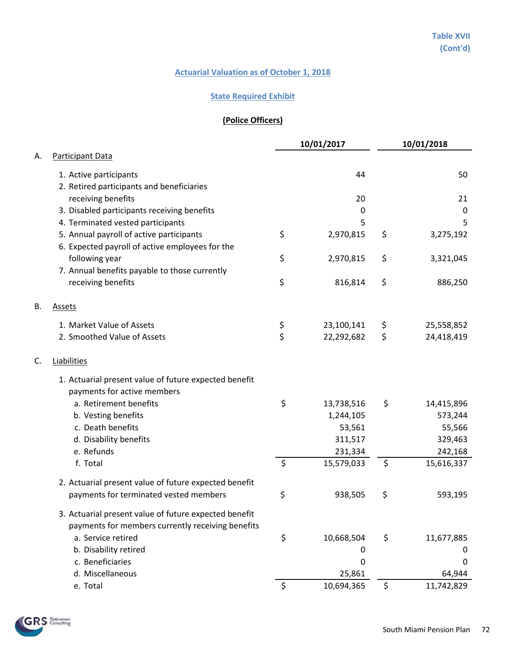## **State Required Exhibit**

# **(Police Officers)**

|    |                                                       |          | 10/01/2017 |    | 10/01/2018  |
|----|-------------------------------------------------------|----------|------------|----|-------------|
| А. | Participant Data                                      |          |            |    |             |
|    | 1. Active participants                                |          | 44         |    | 50          |
|    | 2. Retired participants and beneficiaries             |          |            |    |             |
|    | receiving benefits                                    |          | 20         |    | 21          |
|    | 3. Disabled participants receiving benefits           |          | 0          |    | $\mathbf 0$ |
|    | 4. Terminated vested participants                     |          | 5          |    | 5           |
|    | 5. Annual payroll of active participants              | \$       | 2,970,815  | \$ | 3,275,192   |
|    | 6. Expected payroll of active employees for the       |          |            |    |             |
|    | following year                                        | \$       | 2,970,815  | \$ | 3,321,045   |
|    | 7. Annual benefits payable to those currently         |          |            |    |             |
|    | receiving benefits                                    | \$       | 816,814    | \$ | 886,250     |
| B. | <b>Assets</b>                                         |          |            |    |             |
|    | 1. Market Value of Assets                             |          | 23,100,141 | Ş  | 25,558,852  |
|    | 2. Smoothed Value of Assets                           | \$<br>\$ | 22,292,682 | \$ | 24,418,419  |
| C. | Liabilities                                           |          |            |    |             |
|    | 1. Actuarial present value of future expected benefit |          |            |    |             |
|    | payments for active members                           |          |            |    |             |
|    | a. Retirement benefits                                | \$       | 13,738,516 | \$ | 14,415,896  |
|    | b. Vesting benefits                                   |          | 1,244,105  |    | 573,244     |
|    | c. Death benefits                                     |          | 53,561     |    | 55,566      |
|    | d. Disability benefits                                |          | 311,517    |    | 329,463     |
|    | e. Refunds                                            |          | 231,334    |    | 242,168     |
|    | f. Total                                              | $\zeta$  | 15,579,033 | \$ | 15,616,337  |
|    | 2. Actuarial present value of future expected benefit |          |            |    |             |
|    | payments for terminated vested members                | \$       | 938,505    | \$ | 593,195     |
|    | 3. Actuarial present value of future expected benefit |          |            |    |             |
|    | payments for members currently receiving benefits     |          |            |    |             |
|    | a. Service retired                                    | \$       | 10,668,504 | \$ | 11,677,885  |
|    | b. Disability retired                                 |          | 0          |    | $\bf{0}$    |
|    | c. Beneficiaries                                      |          | 0          |    | 0           |
|    | d. Miscellaneous                                      |          | 25,861     |    | 64,944      |
|    | e. Total                                              | $\zeta$  | 10,694,365 | \$ | 11,742,829  |

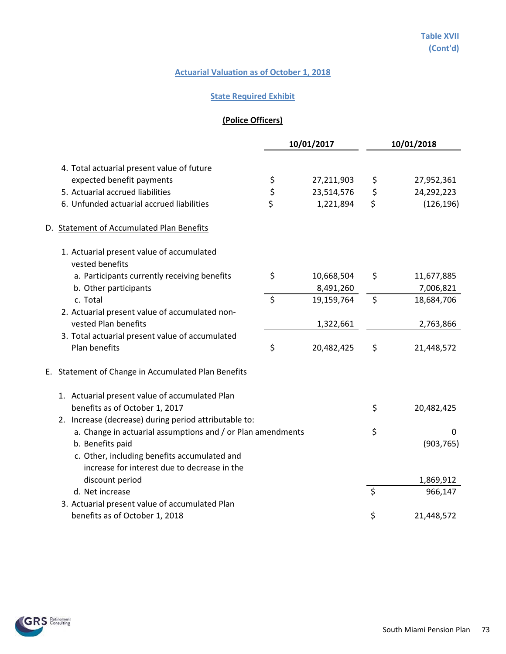## **State Required Exhibit**

# **(Police Officers)**

|                                                              |  |                | 10/01/2017 |         | 10/01/2018 |
|--------------------------------------------------------------|--|----------------|------------|---------|------------|
| 4. Total actuarial present value of future                   |  |                |            |         |            |
| expected benefit payments                                    |  |                | 27,211,903 | \$      | 27,952,361 |
| 5. Actuarial accrued liabilities                             |  | \$<br>\$<br>\$ | 23,514,576 | \$      | 24,292,223 |
| 6. Unfunded actuarial accrued liabilities                    |  |                | 1,221,894  | \$      | (126, 196) |
| D. Statement of Accumulated Plan Benefits                    |  |                |            |         |            |
| 1. Actuarial present value of accumulated<br>vested benefits |  |                |            |         |            |
| a. Participants currently receiving benefits                 |  | \$             | 10,668,504 | \$      | 11,677,885 |
| b. Other participants                                        |  |                | 8,491,260  |         | 7,006,821  |
| c. Total                                                     |  | \$             | 19,159,764 | \$      | 18,684,706 |
| 2. Actuarial present value of accumulated non-               |  |                |            |         |            |
| vested Plan benefits                                         |  |                | 1,322,661  |         | 2,763,866  |
| 3. Total actuarial present value of accumulated              |  |                |            |         |            |
| Plan benefits                                                |  | \$             | 20,482,425 | \$      | 21,448,572 |
| Statement of Change in Accumulated Plan Benefits<br>Е.       |  |                |            |         |            |
| 1. Actuarial present value of accumulated Plan               |  |                |            |         |            |
| benefits as of October 1, 2017                               |  |                |            | \$      | 20,482,425 |
| 2. Increase (decrease) during period attributable to:        |  |                |            |         |            |
| a. Change in actuarial assumptions and / or Plan amendments  |  |                |            | \$      | 0          |
| b. Benefits paid                                             |  |                |            |         | (903, 765) |
| c. Other, including benefits accumulated and                 |  |                |            |         |            |
| increase for interest due to decrease in the                 |  |                |            |         |            |
| discount period                                              |  |                |            |         | 1,869,912  |
| d. Net increase                                              |  |                |            | $\zeta$ | 966,147    |
| 3. Actuarial present value of accumulated Plan               |  |                |            |         |            |
| benefits as of October 1, 2018                               |  |                |            | \$      | 21,448,572 |

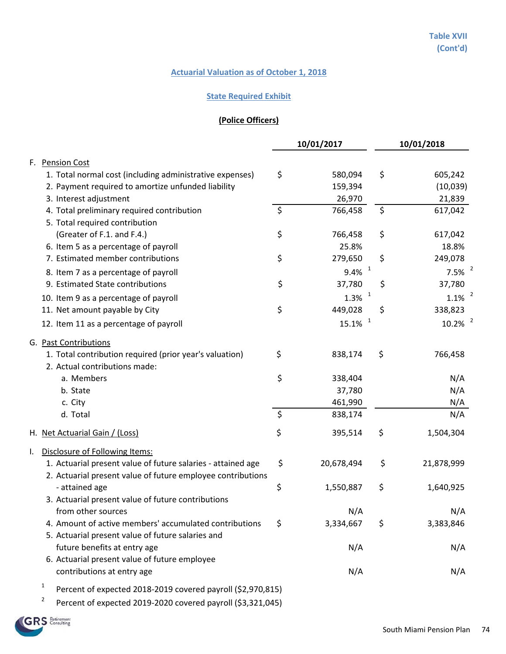## **State Required Exhibit**

# **(Police Officers)**

|                                                                                               |         | 10/01/2017            | 10/01/2018            |
|-----------------------------------------------------------------------------------------------|---------|-----------------------|-----------------------|
| <b>Pension Cost</b><br>F.                                                                     |         |                       |                       |
| 1. Total normal cost (including administrative expenses)                                      | \$      | 580,094               | \$<br>605,242         |
| 2. Payment required to amortize unfunded liability                                            |         | 159,394               | (10,039)              |
| 3. Interest adjustment                                                                        |         | 26,970                | 21,839                |
| 4. Total preliminary required contribution                                                    | \$      | 766,458               | \$<br>617,042         |
| 5. Total required contribution                                                                |         |                       |                       |
| (Greater of F.1. and F.4.)                                                                    | \$      | 766,458               | \$<br>617,042         |
| 6. Item 5 as a percentage of payroll                                                          |         | 25.8%                 | 18.8%                 |
| 7. Estimated member contributions                                                             | \$      | 279,650               | \$<br>249,078         |
| 8. Item 7 as a percentage of payroll                                                          |         | $9.4\%$ <sup>1</sup>  | 7.5%                  |
| 9. Estimated State contributions                                                              | \$      | 37,780                | \$<br>37,780          |
| 10. Item 9 as a percentage of payroll                                                         |         | $1.3\%$ <sup>1</sup>  | $1.1\%$ <sup>2</sup>  |
| 11. Net amount payable by City                                                                | \$      | 449,028               | \$<br>338,823         |
| 12. Item 11 as a percentage of payroll                                                        |         | $15.1\%$ <sup>1</sup> | $10.2\%$ <sup>2</sup> |
| G. Past Contributions                                                                         |         |                       |                       |
| 1. Total contribution required (prior year's valuation)                                       | \$      | 838,174               | \$<br>766,458         |
| 2. Actual contributions made:                                                                 |         |                       |                       |
| a. Members                                                                                    | \$      | 338,404               | N/A                   |
| b. State                                                                                      |         | 37,780                | N/A                   |
| c. City                                                                                       |         | 461,990               | N/A                   |
| d. Total                                                                                      | $\zeta$ | 838,174               | N/A                   |
| H. Net Actuarial Gain / (Loss)                                                                | \$      | 395,514               | \$<br>1,504,304       |
| Disclosure of Following Items:<br>I.                                                          |         |                       |                       |
| 1. Actuarial present value of future salaries - attained age                                  | \$      | 20,678,494            | \$<br>21,878,999      |
| 2. Actuarial present value of future employee contributions                                   |         |                       |                       |
| - attained age                                                                                | \$      | 1,550,887             | \$<br>1,640,925       |
| 3. Actuarial present value of future contributions                                            |         |                       |                       |
| from other sources<br>4. Amount of active members' accumulated contributions                  |         | N/A                   | \$<br>N/A             |
| 5. Actuarial present value of future salaries and                                             | \$      | 3,334,667             | 3,383,846             |
| future benefits at entry age                                                                  |         | N/A                   | N/A                   |
| 6. Actuarial present value of future employee                                                 |         |                       |                       |
| contributions at entry age                                                                    |         | N/A                   | N/A                   |
|                                                                                               |         |                       |                       |
| $\mathbf{1}$<br>Percent of expected 2018-2019 covered payroll (\$2,970,815)<br>$\overline{2}$ |         |                       |                       |
| Percent of expected 2019-2020 covered payroll (\$3,321,045)                                   |         |                       |                       |

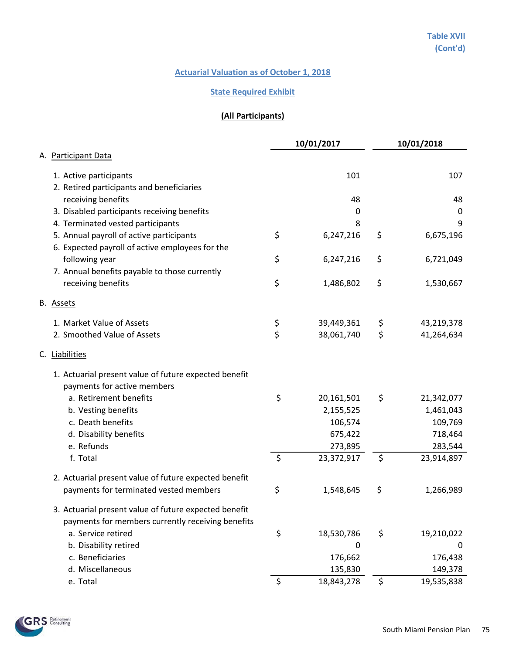#### **State Required Exhibit**

# **(All Participants)**

|                                                       |         | 10/01/2017  | 10/01/2018       |
|-------------------------------------------------------|---------|-------------|------------------|
| A. Participant Data                                   |         |             |                  |
| 1. Active participants                                |         | 101         | 107              |
| 2. Retired participants and beneficiaries             |         |             |                  |
| receiving benefits                                    |         | 48          | 48               |
| 3. Disabled participants receiving benefits           |         | 0           | $\mathbf 0$      |
| 4. Terminated vested participants                     |         | 8           | 9                |
| 5. Annual payroll of active participants              | \$      | 6,247,216   | \$<br>6,675,196  |
| 6. Expected payroll of active employees for the       |         |             |                  |
| following year                                        | \$      | 6,247,216   | \$<br>6,721,049  |
| 7. Annual benefits payable to those currently         |         |             |                  |
| receiving benefits                                    | \$      | 1,486,802   | \$<br>1,530,667  |
| B. Assets                                             |         |             |                  |
| 1. Market Value of Assets                             | \$      | 39,449,361  | \$<br>43,219,378 |
| 2. Smoothed Value of Assets                           | \$      | 38,061,740  | \$<br>41,264,634 |
| C. Liabilities                                        |         |             |                  |
| 1. Actuarial present value of future expected benefit |         |             |                  |
| payments for active members                           |         |             |                  |
| a. Retirement benefits                                | \$      | 20,161,501  | \$<br>21,342,077 |
| b. Vesting benefits                                   |         | 2,155,525   | 1,461,043        |
| c. Death benefits                                     |         | 106,574     | 109,769          |
| d. Disability benefits                                |         | 675,422     | 718,464          |
| e. Refunds                                            |         | 273,895     | 283,544          |
| f. Total                                              | $\zeta$ | 23,372,917  | \$<br>23,914,897 |
| 2. Actuarial present value of future expected benefit |         |             |                  |
| payments for terminated vested members                | \$      | 1,548,645   | \$<br>1,266,989  |
| 3. Actuarial present value of future expected benefit |         |             |                  |
| payments for members currently receiving benefits     |         |             |                  |
| a. Service retired                                    | \$      | 18,530,786  | \$<br>19,210,022 |
| b. Disability retired                                 |         | $\mathbf 0$ | 0                |
| c. Beneficiaries                                      |         | 176,662     | 176,438          |
| d. Miscellaneous                                      |         | 135,830     | 149,378          |
| e. Total                                              | $\zeta$ | 18,843,278  | \$<br>19,535,838 |

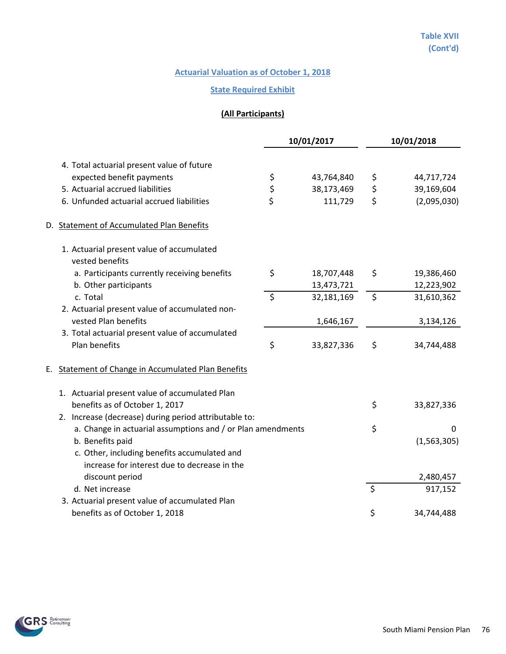## **State Required Exhibit**

# **(All Participants)**

|                                                               |               | 10/01/2017 | 10/01/2018        |
|---------------------------------------------------------------|---------------|------------|-------------------|
| 4. Total actuarial present value of future                    |               |            |                   |
| expected benefit payments                                     | \$            | 43,764,840 | \$<br>44,717,724  |
| 5. Actuarial accrued liabilities                              |               | 38,173,469 | \$<br>39,169,604  |
| 6. Unfunded actuarial accrued liabilities                     | $\frac{5}{5}$ | 111,729    | \$<br>(2,095,030) |
| D. Statement of Accumulated Plan Benefits                     |               |            |                   |
| 1. Actuarial present value of accumulated<br>vested benefits  |               |            |                   |
| a. Participants currently receiving benefits                  | \$            | 18,707,448 | \$<br>19,386,460  |
| b. Other participants                                         |               | 13,473,721 | 12,223,902        |
| c. Total                                                      | $\zeta$       | 32,181,169 | \$<br>31,610,362  |
| 2. Actuarial present value of accumulated non-                |               |            |                   |
| vested Plan benefits                                          |               | 1,646,167  | 3,134,126         |
| 3. Total actuarial present value of accumulated               |               |            |                   |
| Plan benefits                                                 | \$            | 33,827,336 | \$<br>34,744,488  |
| <b>Statement of Change in Accumulated Plan Benefits</b><br>Е. |               |            |                   |
| 1. Actuarial present value of accumulated Plan                |               |            |                   |
| benefits as of October 1, 2017                                |               |            | \$<br>33,827,336  |
| 2. Increase (decrease) during period attributable to:         |               |            |                   |
| a. Change in actuarial assumptions and / or Plan amendments   |               |            | \$<br>0           |
| b. Benefits paid                                              |               |            | (1, 563, 305)     |
| c. Other, including benefits accumulated and                  |               |            |                   |
| increase for interest due to decrease in the                  |               |            |                   |
| discount period                                               |               |            | 2,480,457         |
| d. Net increase                                               |               |            | \$<br>917,152     |
| 3. Actuarial present value of accumulated Plan                |               |            |                   |
| benefits as of October 1, 2018                                |               |            | \$<br>34,744,488  |

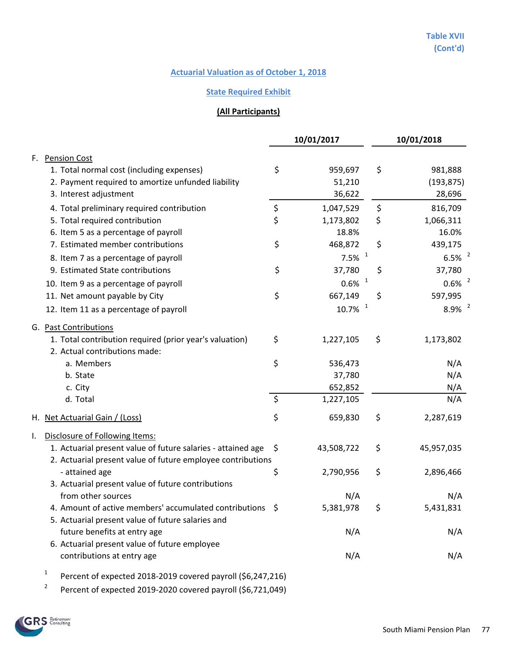#### **State Required Exhibit**

# **(All Participants)**

|    |                                                                                                                |         | 10/01/2017            | 10/01/2018           |
|----|----------------------------------------------------------------------------------------------------------------|---------|-----------------------|----------------------|
|    | F. Pension Cost                                                                                                |         |                       |                      |
|    | 1. Total normal cost (including expenses)                                                                      | \$      | 959,697               | \$<br>981,888        |
|    | 2. Payment required to amortize unfunded liability                                                             |         | 51,210                | (193, 875)           |
|    | 3. Interest adjustment                                                                                         |         | 36,622                | 28,696               |
|    | 4. Total preliminary required contribution                                                                     | \$      | 1,047,529             | \$<br>816,709        |
|    | 5. Total required contribution                                                                                 | \$      | 1,173,802             | \$<br>1,066,311      |
|    | 6. Item 5 as a percentage of payroll                                                                           |         | 18.8%                 | 16.0%                |
|    | 7. Estimated member contributions                                                                              | \$      | 468,872               | \$<br>439,175        |
|    | 8. Item 7 as a percentage of payroll                                                                           |         | $\mathbf{1}$<br>7.5%  | 6.5%                 |
|    | 9. Estimated State contributions                                                                               | \$      | 37,780                | \$<br>37,780         |
|    | 10. Item 9 as a percentage of payroll                                                                          |         | $\mathbf{1}$<br>0.6%  | $0.6\%$ <sup>2</sup> |
|    | 11. Net amount payable by City                                                                                 | \$      | 667,149               | \$<br>597,995        |
|    | 12. Item 11 as a percentage of payroll                                                                         |         | $\mathbf{1}$<br>10.7% | $8.9\%$ <sup>2</sup> |
|    | G. Past Contributions                                                                                          |         |                       |                      |
|    | 1. Total contribution required (prior year's valuation)                                                        | \$      | 1,227,105             | \$<br>1,173,802      |
|    | 2. Actual contributions made:                                                                                  |         |                       |                      |
|    | a. Members                                                                                                     | \$      | 536,473               | N/A                  |
|    | b. State                                                                                                       |         | 37,780                | N/A                  |
|    | c. City                                                                                                        |         | 652,852               | N/A                  |
|    | d. Total                                                                                                       | $\zeta$ | 1,227,105             | N/A                  |
|    | H. Net Actuarial Gain / (Loss)                                                                                 | \$      | 659,830               | \$<br>2,287,619      |
| I. | Disclosure of Following Items:                                                                                 |         |                       |                      |
|    | 1. Actuarial present value of future salaries - attained age                                                   | \$      | 43,508,722            | \$<br>45,957,035     |
|    | 2. Actuarial present value of future employee contributions                                                    |         |                       |                      |
|    | - attained age                                                                                                 | \$      | 2,790,956             | \$<br>2,896,466      |
|    | 3. Actuarial present value of future contributions                                                             |         |                       |                      |
|    | from other sources                                                                                             |         | N/A                   | N/A                  |
|    | 4. Amount of active members' accumulated contributions \$<br>5. Actuarial present value of future salaries and |         | 5,381,978             | \$<br>5,431,831      |
|    | future benefits at entry age                                                                                   |         | N/A                   | N/A                  |
|    | 6. Actuarial present value of future employee                                                                  |         |                       |                      |
|    | contributions at entry age                                                                                     |         | N/A                   | N/A                  |
|    | $\mathbf{1}$<br>Percent of expected 2018-2019 covered payroll (\$6,247,216)                                    |         |                       |                      |

<sup>2</sup> Percent of expected 2019-2020 covered payroll (\$6,721,049)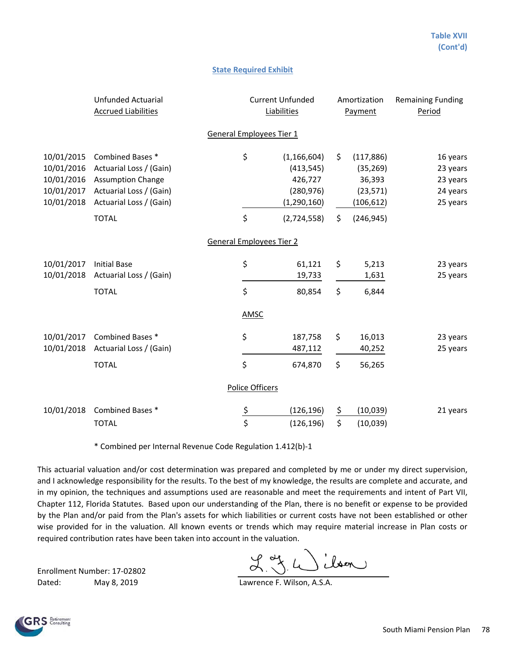#### **State Required Exhibit**

|                                                                    | <b>Unfunded Actuarial</b><br><b>Accrued Liabilities</b>                                                                       |                                 | <b>Current Unfunded</b><br>Liabilities                                |                 | Amortization<br>Payment                                      | <b>Remaining Funding</b><br>Period                       |  |
|--------------------------------------------------------------------|-------------------------------------------------------------------------------------------------------------------------------|---------------------------------|-----------------------------------------------------------------------|-----------------|--------------------------------------------------------------|----------------------------------------------------------|--|
|                                                                    |                                                                                                                               | <b>General Employees Tier 1</b> |                                                                       |                 |                                                              |                                                          |  |
| 10/01/2015<br>10/01/2016<br>10/01/2016<br>10/01/2017<br>10/01/2018 | Combined Bases *<br>Actuarial Loss / (Gain)<br><b>Assumption Change</b><br>Actuarial Loss / (Gain)<br>Actuarial Loss / (Gain) | \$                              | (1, 166, 604)<br>(413, 545)<br>426,727<br>(280, 976)<br>(1, 290, 160) | \$              | (117, 886)<br>(35, 269)<br>36,393<br>(23, 571)<br>(106, 612) | 16 years<br>23 years<br>23 years<br>24 years<br>25 years |  |
|                                                                    | <b>TOTAL</b>                                                                                                                  | \$                              | (2,724,558)                                                           | \$              | (246, 945)                                                   |                                                          |  |
|                                                                    |                                                                                                                               | <b>General Employees Tier 2</b> |                                                                       |                 |                                                              |                                                          |  |
| 10/01/2017<br>10/01/2018                                           | <b>Initial Base</b><br>Actuarial Loss / (Gain)                                                                                | \$                              | 61,121<br>19,733                                                      | \$              | 5,213<br>1,631                                               | 23 years<br>25 years                                     |  |
|                                                                    | <b>TOTAL</b>                                                                                                                  | \$                              | 80,854                                                                | \$              | 6,844                                                        |                                                          |  |
|                                                                    |                                                                                                                               | <b>AMSC</b>                     |                                                                       |                 |                                                              |                                                          |  |
| 10/01/2017<br>10/01/2018                                           | Combined Bases *<br>Actuarial Loss / (Gain)                                                                                   | \$                              | 187,758<br>487,112                                                    | \$              | 16,013<br>40,252                                             | 23 years<br>25 years                                     |  |
|                                                                    | <b>TOTAL</b>                                                                                                                  | $\zeta$                         | 674,870                                                               | \$              | 56,265                                                       |                                                          |  |
|                                                                    |                                                                                                                               | Police Officers                 |                                                                       |                 |                                                              |                                                          |  |
|                                                                    | 10/01/2018 Combined Bases *<br><b>TOTAL</b>                                                                                   | $\frac{5}{5}$                   | (126, 196)<br>(126, 196)                                              | <u>\$</u><br>\$ | (10, 039)<br>(10,039)                                        | 21 years                                                 |  |

\* Combined per Internal Revenue Code Regulation 1.412(b)-1

This actuarial valuation and/or cost determination was prepared and completed by me or under my direct supervision, and I acknowledge responsibility for the results. To the best of my knowledge, the results are complete and accurate, and in my opinion, the techniques and assumptions used are reasonable and meet the requirements and intent of Part VII, Chapter 112, Florida Statutes. Based upon our understanding of the Plan, there is no benefit or expense to be provided by the Plan and/or paid from the Plan's assets for which liabilities or current costs have not been established or other wise provided for in the valuation. All known events or trends which may require material increase in Plan costs or required contribution rates have been taken into account in the valuation.

Enrollment Number: 17-02802 Dated: May 8, 2019 May 19 Lawrence F. Wilson, A.S.A.

 $L_{\text{tot}}^{\text{max}}(L)$ 

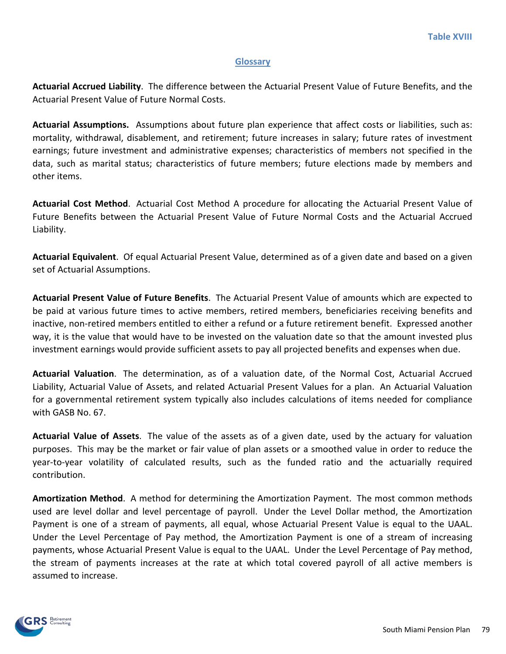### **Glossary**

**Actuarial Accrued Liability**. The difference between the Actuarial Present Value of Future Benefits, and the Actuarial Present Value of Future Normal Costs.

**Actuarial Assumptions.** Assumptions about future plan experience that affect costs or liabilities, such as: mortality, withdrawal, disablement, and retirement; future increases in salary; future rates of investment earnings; future investment and administrative expenses; characteristics of members not specified in the data, such as marital status; characteristics of future members; future elections made by members and other items.

**Actuarial Cost Method**. Actuarial Cost Method A procedure for allocating the Actuarial Present Value of Future Benefits between the Actuarial Present Value of Future Normal Costs and the Actuarial Accrued Liability.

**Actuarial Equivalent**. Of equal Actuarial Present Value, determined as of a given date and based on a given set of Actuarial Assumptions.

**Actuarial Present Value of Future Benefits**. The Actuarial Present Value of amounts which are expected to be paid at various future times to active members, retired members, beneficiaries receiving benefits and inactive, non-retired members entitled to either a refund or a future retirement benefit. Expressed another way, it is the value that would have to be invested on the valuation date so that the amount invested plus investment earnings would provide sufficient assets to pay all projected benefits and expenses when due.

**Actuarial Valuation**. The determination, as of a valuation date, of the Normal Cost, Actuarial Accrued Liability, Actuarial Value of Assets, and related Actuarial Present Values for a plan. An Actuarial Valuation for a governmental retirement system typically also includes calculations of items needed for compliance with GASB No. 67.

**Actuarial Value of Assets**. The value of the assets as of a given date, used by the actuary for valuation purposes. This may be the market or fair value of plan assets or a smoothed value in order to reduce the year-to-year volatility of calculated results, such as the funded ratio and the actuarially required contribution.

**Amortization Method**. A method for determining the Amortization Payment. The most common methods used are level dollar and level percentage of payroll. Under the Level Dollar method, the Amortization Payment is one of a stream of payments, all equal, whose Actuarial Present Value is equal to the UAAL. Under the Level Percentage of Pay method, the Amortization Payment is one of a stream of increasing payments, whose Actuarial Present Value is equal to the UAAL. Under the Level Percentage of Pay method, the stream of payments increases at the rate at which total covered payroll of all active members is assumed to increase.

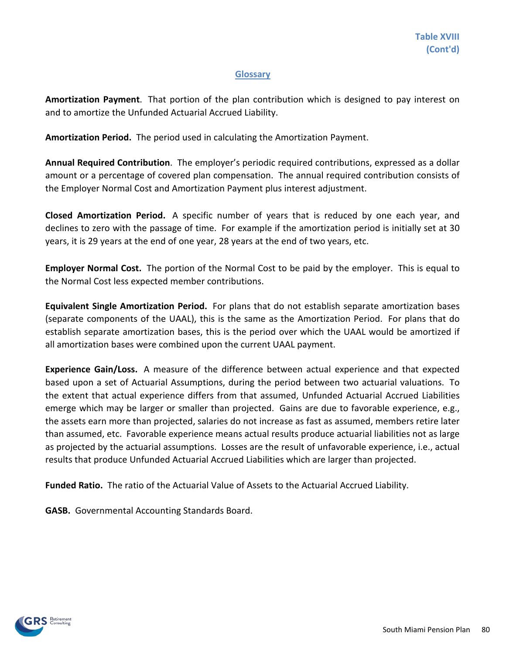# **Glossary**

**Amortization Payment**. That portion of the plan contribution which is designed to pay interest on and to amortize the Unfunded Actuarial Accrued Liability.

**Amortization Period.** The period used in calculating the Amortization Payment.

**Annual Required Contribution**. The employer's periodic required contributions, expressed as a dollar amount or a percentage of covered plan compensation. The annual required contribution consists of the Employer Normal Cost and Amortization Payment plus interest adjustment.

**Closed Amortization Period.** A specific number of years that is reduced by one each year, and declines to zero with the passage of time. For example if the amortization period is initially set at 30 years, it is 29 years at the end of one year, 28 years at the end of two years, etc.

**Employer Normal Cost.** The portion of the Normal Cost to be paid by the employer. This is equal to the Normal Cost less expected member contributions.

**Equivalent Single Amortization Period.** For plans that do not establish separate amortization bases (separate components of the UAAL), this is the same as the Amortization Period. For plans that do establish separate amortization bases, this is the period over which the UAAL would be amortized if all amortization bases were combined upon the current UAAL payment.

**Experience Gain/Loss.** A measure of the difference between actual experience and that expected based upon a set of Actuarial Assumptions, during the period between two actuarial valuations. To the extent that actual experience differs from that assumed, Unfunded Actuarial Accrued Liabilities emerge which may be larger or smaller than projected. Gains are due to favorable experience, e.g., the assets earn more than projected, salaries do not increase as fast as assumed, members retire later than assumed, etc. Favorable experience means actual results produce actuarial liabilities not as large as projected by the actuarial assumptions. Losses are the result of unfavorable experience, i.e., actual results that produce Unfunded Actuarial Accrued Liabilities which are larger than projected.

**Funded Ratio.** The ratio of the Actuarial Value of Assets to the Actuarial Accrued Liability.

**GASB.** Governmental Accounting Standards Board.